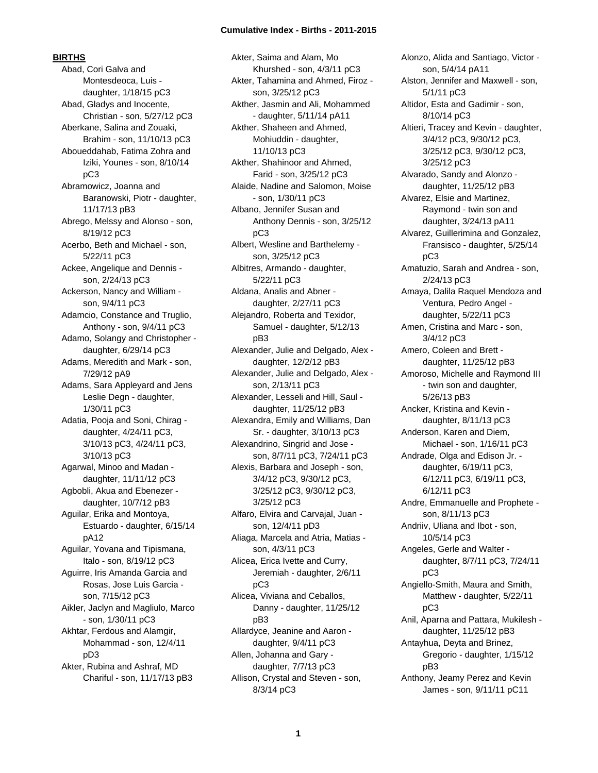**BIRTHS**

Abad, Cori Galva and Montesdeoca, Luis daughter, 1/18/15 pC3 Abad, Gladys and Inocente, Christian - son, 5/27/12 pC3 Aberkane, Salina and Zouaki, Brahim - son, 11/10/13 pC3 Aboueddahab, Fatima Zohra and Iziki, Younes - son, 8/10/14 pC3 Abramowicz, Joanna and Baranowski, Piotr - daughter, 11/17/13 pB3 Abrego, Melssy and Alonso - son, 8/19/12 pC3 Acerbo, Beth and Michael - son, 5/22/11 pC3 Ackee, Angelique and Dennis son, 2/24/13 pC3 Ackerson, Nancy and William son, 9/4/11 pC3 Adamcio, Constance and Truglio, Anthony - son, 9/4/11 pC3 Adamo, Solangy and Christopher daughter, 6/29/14 pC3 Adams, Meredith and Mark - son, 7/29/12 pA9 Adams, Sara Appleyard and Jens Leslie Degn - daughter, 1/30/11 pC3 Adatia, Pooja and Soni, Chirag daughter, 4/24/11 pC3, 3/10/13 pC3, 4/24/11 pC3, 3/10/13 pC3 Agarwal, Minoo and Madan daughter, 11/11/12 pC3 Agbobli, Akua and Ebenezer daughter, 10/7/12 pB3 Aguilar, Erika and Montoya, Estuardo - daughter, 6/15/14 pA12 Aguilar, Yovana and Tipismana, Italo - son, 8/19/12 pC3 Aguirre, Iris Amanda Garcia and Rosas, Jose Luis Garcia son, 7/15/12 pC3 Aikler, Jaclyn and Magliulo, Marco - son, 1/30/11 pC3 Akhtar, Ferdous and Alamgir, Mohammad - son, 12/4/11 pD3 Akter, Rubina and Ashraf, MD Chariful - son, 11/17/13 pB3

Akter, Saima and Alam, Mo Khurshed - son, 4/3/11 pC3 Akter, Tahamina and Ahmed, Firoz son, 3/25/12 pC3 Akther, Jasmin and Ali, Mohammed - daughter, 5/11/14 pA11 Akther, Shaheen and Ahmed, Mohiuddin - daughter, 11/10/13 pC3 Akther, Shahinoor and Ahmed, Farid - son, 3/25/12 pC3 Alaide, Nadine and Salomon, Moise - son, 1/30/11 pC3 Albano, Jennifer Susan and Anthony Dennis - son, 3/25/12 pC3 Albert, Wesline and Barthelemy son, 3/25/12 pC3 Albitres, Armando - daughter, 5/22/11 pC3 Aldana, Analis and Abner daughter, 2/27/11 pC3 Alejandro, Roberta and Texidor, Samuel - daughter, 5/12/13 pB3 Alexander, Julie and Delgado, Alex daughter, 12/2/12 pB3 Alexander, Julie and Delgado, Alex son, 2/13/11 pC3 Alexander, Lesseli and Hill, Saul daughter, 11/25/12 pB3 Alexandra, Emily and Williams, Dan Sr. - daughter, 3/10/13 pC3 Alexandrino, Singrid and Jose son, 8/7/11 pC3, 7/24/11 pC3 Alexis, Barbara and Joseph - son, 3/4/12 pC3, 9/30/12 pC3, 3/25/12 pC3, 9/30/12 pC3, 3/25/12 pC3 Alfaro, Elvira and Carvajal, Juan son, 12/4/11 pD3 Aliaga, Marcela and Atria, Matias son, 4/3/11 pC3 Alicea, Erica Ivette and Curry, Jeremiah - daughter, 2/6/11 pC3 Alicea, Viviana and Ceballos, Danny - daughter, 11/25/12 pB3 Allardyce, Jeanine and Aaron daughter, 9/4/11 pC3 Allen, Johanna and Gary daughter, 7/7/13 pC3 Allison, Crystal and Steven - son, 8/3/14 pC3

Alonzo, Alida and Santiago, Victor son, 5/4/14 pA11 Alston, Jennifer and Maxwell - son, 5/1/11 pC3 Altidor, Esta and Gadimir - son, 8/10/14 pC3 Altieri, Tracey and Kevin - daughter, 3/4/12 pC3, 9/30/12 pC3, 3/25/12 pC3, 9/30/12 pC3, 3/25/12 pC3 Alvarado, Sandy and Alonzo daughter, 11/25/12 pB3 Alvarez, Elsie and Martinez, Raymond - twin son and daughter, 3/24/13 pA11 Alvarez, Guillerimina and Gonzalez, Fransisco - daughter, 5/25/14 pC3 Amatuzio, Sarah and Andrea - son, 2/24/13 pC3 Amaya, Dalila Raquel Mendoza and Ventura, Pedro Angel daughter, 5/22/11 pC3 Amen, Cristina and Marc - son, 3/4/12 pC3 Amero, Coleen and Brett daughter, 11/25/12 pB3 Amoroso, Michelle and Raymond III - twin son and daughter, 5/26/13 pB3 Ancker, Kristina and Kevin daughter, 8/11/13 pC3 Anderson, Karen and Diem, Michael - son, 1/16/11 pC3 Andrade, Olga and Edison Jr. daughter, 6/19/11 pC3, 6/12/11 pC3, 6/19/11 pC3, 6/12/11 pC3 Andre, Emmanuelle and Prophete son, 8/11/13 pC3 Andriiv, Uliana and Ibot - son, 10/5/14 pC3 Angeles, Gerle and Walter daughter, 8/7/11 pC3, 7/24/11 pC3 Angiello-Smith, Maura and Smith, Matthew - daughter, 5/22/11 pC3 Anil, Aparna and Pattara, Mukilesh daughter, 11/25/12 pB3 Antayhua, Deyta and Brinez, Gregorio - daughter, 1/15/12 pB3 Anthony, Jeamy Perez and Kevin James - son, 9/11/11 pC11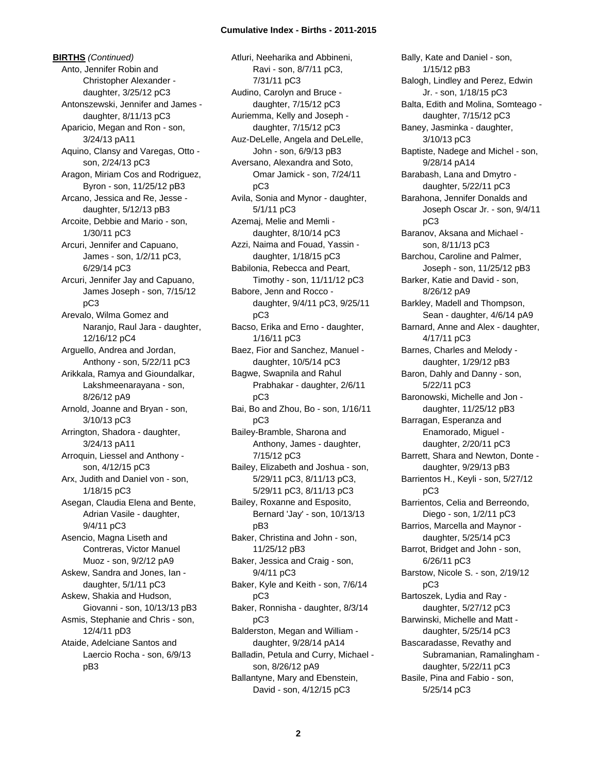**BIRTHS** *(Continued)* Anto, Jennifer Robin and Christopher Alexander daughter, 3/25/12 pC3 Antonszewski, Jennifer and James daughter, 8/11/13 pC3 Aparicio, Megan and Ron - son, 3/24/13 pA11 Aquino, Clansy and Varegas, Otto son, 2/24/13 pC3 Aragon, Miriam Cos and Rodriguez, Byron - son, 11/25/12 pB3 Arcano, Jessica and Re, Jesse daughter, 5/12/13 pB3 Arcoite, Debbie and Mario - son, 1/30/11 pC3 Arcuri, Jennifer and Capuano, James - son, 1/2/11 pC3, 6/29/14 pC3 Arcuri, Jennifer Jay and Capuano, James Joseph - son, 7/15/12 pC3 Arevalo, Wilma Gomez and Naranjo, Raul Jara - daughter, 12/16/12 pC4 Arguello, Andrea and Jordan, Anthony - son, 5/22/11 pC3 Arikkala, Ramya and Gioundalkar, Lakshmeenarayana - son, 8/26/12 pA9 Arnold, Joanne and Bryan - son, 3/10/13 pC3 Arrington, Shadora - daughter, 3/24/13 pA11 Arroquin, Liessel and Anthony son, 4/12/15 pC3 Arx, Judith and Daniel von - son, 1/18/15 pC3 Asegan, Claudia Elena and Bente, Adrian Vasile - daughter, 9/4/11 pC3 Asencio, Magna Liseth and Contreras, Victor Manuel Muoz - son, 9/2/12 pA9 Askew, Sandra and Jones, Ian daughter, 5/1/11 pC3 Askew, Shakia and Hudson, Giovanni - son, 10/13/13 pB3 Asmis, Stephanie and Chris - son, 12/4/11 pD3 Ataide, Adelciane Santos and Laercio Rocha - son, 6/9/13 pB3

Atluri, Neeharika and Abbineni, Ravi - son, 8/7/11 pC3, 7/31/11 pC3 Audino, Carolyn and Bruce daughter, 7/15/12 pC3 Auriemma, Kelly and Joseph daughter, 7/15/12 pC3 Auz-DeLelle, Angela and DeLelle, John - son, 6/9/13 pB3 Aversano, Alexandra and Soto, Omar Jamick - son, 7/24/11 pC3 Avila, Sonia and Mynor - daughter, 5/1/11 pC3 Azemaj, Melie and Memli daughter, 8/10/14 pC3 Azzi, Naima and Fouad, Yassin daughter, 1/18/15 pC3 Babilonia, Rebecca and Peart, Timothy - son, 11/11/12 pC3 Babore, Jenn and Rocco daughter, 9/4/11 pC3, 9/25/11 pC3 Bacso, Erika and Erno - daughter, 1/16/11 pC3 Baez, Fior and Sanchez, Manuel daughter, 10/5/14 pC3 Bagwe, Swapnila and Rahul Prabhakar - daughter, 2/6/11 pC3 Bai, Bo and Zhou, Bo - son, 1/16/11 pC3 Bailey-Bramble, Sharona and Anthony, James - daughter, 7/15/12 pC3 Bailey, Elizabeth and Joshua - son, 5/29/11 pC3, 8/11/13 pC3, 5/29/11 pC3, 8/11/13 pC3 Bailey, Roxanne and Esposito, Bernard 'Jay' - son, 10/13/13 pB3 Baker, Christina and John - son, 11/25/12 pB3 Baker, Jessica and Craig - son, 9/4/11 pC3 Baker, Kyle and Keith - son, 7/6/14 pC3 Baker, Ronnisha - daughter, 8/3/14 pC3 Balderston, Megan and William daughter, 9/28/14 pA14 Balladin, Petula and Curry, Michael son, 8/26/12 pA9 Ballantyne, Mary and Ebenstein, David - son, 4/12/15 pC3

Bally, Kate and Daniel - son, 1/15/12 pB3 Balogh, Lindley and Perez, Edwin Jr. - son, 1/18/15 pC3 Balta, Edith and Molina, Somteago daughter, 7/15/12 pC3 Baney, Jasminka - daughter, 3/10/13 pC3 Baptiste, Nadege and Michel - son, 9/28/14 pA14 Barabash, Lana and Dmytro daughter, 5/22/11 pC3 Barahona, Jennifer Donalds and Joseph Oscar Jr. - son, 9/4/11 pC3 Baranov, Aksana and Michael son, 8/11/13 pC3 Barchou, Caroline and Palmer, Joseph - son, 11/25/12 pB3 Barker, Katie and David - son, 8/26/12 pA9 Barkley, Madell and Thompson, Sean - daughter, 4/6/14 pA9 Barnard, Anne and Alex - daughter, 4/17/11 pC3 Barnes, Charles and Melody daughter, 1/29/12 pB3 Baron, Dahly and Danny - son, 5/22/11 pC3 Baronowski, Michelle and Jon daughter, 11/25/12 pB3 Barragan, Esperanza and Enamorado, Miguel daughter, 2/20/11 pC3 Barrett, Shara and Newton, Donte daughter, 9/29/13 pB3 Barrientos H., Keyli - son, 5/27/12 pC3 Barrientos, Celia and Berreondo, Diego - son, 1/2/11 pC3 Barrios, Marcella and Maynor daughter, 5/25/14 pC3 Barrot, Bridget and John - son, 6/26/11 pC3 Barstow, Nicole S. - son, 2/19/12 pC3 Bartoszek, Lydia and Ray daughter, 5/27/12 pC3 Barwinski, Michelle and Matt daughter, 5/25/14 pC3 Bascaradasse, Revathy and Subramanian, Ramalingham daughter, 5/22/11 pC3 Basile, Pina and Fabio - son, 5/25/14 pC3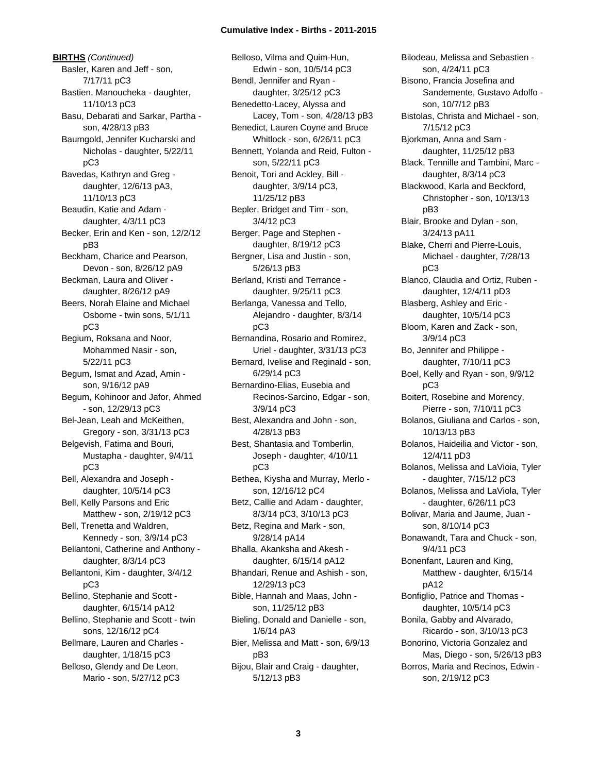**BIRTHS** *(Continued)* Basler, Karen and Jeff - son, 7/17/11 pC3 Bastien, Manoucheka - daughter, 11/10/13 pC3 Basu, Debarati and Sarkar, Partha son, 4/28/13 pB3 Baumgold, Jennifer Kucharski and Nicholas - daughter, 5/22/11 pC3 Bavedas, Kathryn and Greg daughter, 12/6/13 pA3, 11/10/13 pC3 Beaudin, Katie and Adam daughter, 4/3/11 pC3 Becker, Erin and Ken - son, 12/2/12 pB3 Beckham, Charice and Pearson, Devon - son, 8/26/12 pA9 Beckman, Laura and Oliver daughter, 8/26/12 pA9 Beers, Norah Elaine and Michael Osborne - twin sons, 5/1/11 pC3 Begium, Roksana and Noor, Mohammed Nasir - son, 5/22/11 pC3 Begum, Ismat and Azad, Amin son, 9/16/12 pA9 Begum, Kohinoor and Jafor, Ahmed - son, 12/29/13 pC3 Bel-Jean, Leah and McKeithen, Gregory - son, 3/31/13 pC3 Belgevish, Fatima and Bouri, Mustapha - daughter, 9/4/11 pC3 Bell, Alexandra and Joseph daughter, 10/5/14 pC3 Bell, Kelly Parsons and Eric Matthew - son, 2/19/12 pC3 Bell, Trenetta and Waldren, Kennedy - son, 3/9/14 pC3 Bellantoni, Catherine and Anthony daughter, 8/3/14 pC3 Bellantoni, Kim - daughter, 3/4/12 pC3 Bellino, Stephanie and Scott daughter, 6/15/14 pA12 Bellino, Stephanie and Scott - twin sons, 12/16/12 pC4 Bellmare, Lauren and Charles daughter, 1/18/15 pC3 Belloso, Glendy and De Leon, Mario - son, 5/27/12 pC3

Belloso, Vilma and Quim-Hun, Edwin - son, 10/5/14 pC3 Bendl, Jennifer and Ryan daughter, 3/25/12 pC3 Benedetto-Lacey, Alyssa and Lacey, Tom - son, 4/28/13 pB3 Benedict, Lauren Coyne and Bruce Whitlock - son, 6/26/11 pC3 Bennett, Yolanda and Reid, Fulton son, 5/22/11 pC3 Benoit, Tori and Ackley, Bill daughter, 3/9/14 pC3, 11/25/12 pB3 Bepler, Bridget and Tim - son, 3/4/12 pC3 Berger, Page and Stephen daughter, 8/19/12 pC3 Bergner, Lisa and Justin - son, 5/26/13 pB3 Berland, Kristi and Terrance daughter, 9/25/11 pC3 Berlanga, Vanessa and Tello, Alejandro - daughter, 8/3/14 pC3 Bernandina, Rosario and Romirez, Uriel - daughter, 3/31/13 pC3 Bernard, Ivelise and Reginald - son, 6/29/14 pC3 Bernardino-Elias, Eusebia and Recinos-Sarcino, Edgar - son, 3/9/14 pC3 Best, Alexandra and John - son, 4/28/13 pB3 Best, Shantasia and Tomberlin, Joseph - daughter, 4/10/11 pC3 Bethea, Kiysha and Murray, Merlo son, 12/16/12 pC4 Betz, Callie and Adam - daughter, 8/3/14 pC3, 3/10/13 pC3 Betz, Regina and Mark - son, 9/28/14 pA14 Bhalla, Akanksha and Akesh daughter, 6/15/14 pA12 Bhandari, Renue and Ashish - son, 12/29/13 pC3 Bible, Hannah and Maas, John son, 11/25/12 pB3 Bieling, Donald and Danielle - son, 1/6/14 pA3 Bier, Melissa and Matt - son, 6/9/13 pB3 Bijou, Blair and Craig - daughter, 5/12/13 pB3

Bilodeau, Melissa and Sebastien son, 4/24/11 pC3 Bisono, Francia Josefina and Sandemente, Gustavo Adolfo son, 10/7/12 pB3 Bistolas, Christa and Michael - son, 7/15/12 pC3 Bjorkman, Anna and Sam daughter, 11/25/12 pB3 Black, Tennille and Tambini, Marc daughter, 8/3/14 pC3 Blackwood, Karla and Beckford, Christopher - son, 10/13/13 pB3 Blair, Brooke and Dylan - son, 3/24/13 pA11 Blake, Cherri and Pierre-Louis, Michael - daughter, 7/28/13 pC3 Blanco, Claudia and Ortiz, Ruben daughter, 12/4/11 pD3 Blasberg, Ashley and Eric daughter, 10/5/14 pC3 Bloom, Karen and Zack - son, 3/9/14 pC3 Bo, Jennifer and Philippe daughter, 7/10/11 pC3 Boel, Kelly and Ryan - son, 9/9/12 pC3 Boitert, Rosebine and Morency, Pierre - son, 7/10/11 pC3 Bolanos, Giuliana and Carlos - son, 10/13/13 pB3 Bolanos, Haideilia and Victor - son, 12/4/11 pD3 Bolanos, Melissa and LaVioia, Tyler - daughter, 7/15/12 pC3 Bolanos, Melissa and LaViola, Tyler - daughter, 6/26/11 pC3 Bolivar, Maria and Jaume, Juan son, 8/10/14 pC3 Bonawandt, Tara and Chuck - son, 9/4/11 pC3 Bonenfant, Lauren and King, Matthew - daughter, 6/15/14 pA12 Bonfiglio, Patrice and Thomas daughter, 10/5/14 pC3 Bonila, Gabby and Alvarado, Ricardo - son, 3/10/13 pC3 Bonorino, Victoria Gonzalez and Mas, Diego - son, 5/26/13 pB3 Borros, Maria and Recinos, Edwin son, 2/19/12 pC3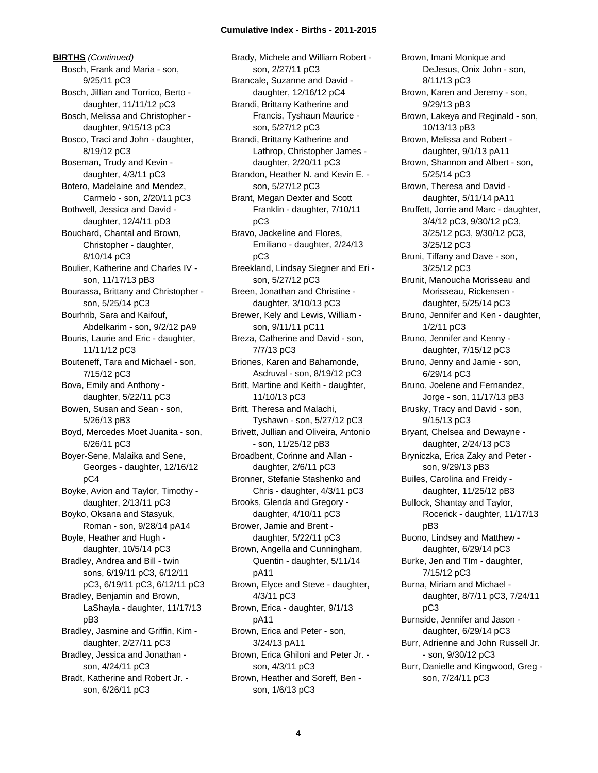**BIRTHS** *(Continued)* Bosch, Frank and Maria - son, 9/25/11 pC3 Bosch, Jillian and Torrico, Berto daughter, 11/11/12 pC3 Bosch, Melissa and Christopher daughter, 9/15/13 pC3 Bosco, Traci and John - daughter, 8/19/12 pC3 Boseman, Trudy and Kevin daughter, 4/3/11 pC3 Botero, Madelaine and Mendez, Carmelo - son, 2/20/11 pC3 Bothwell, Jessica and David daughter, 12/4/11 pD3 Bouchard, Chantal and Brown, Christopher - daughter, 8/10/14 pC3 Boulier, Katherine and Charles IV son, 11/17/13 pB3 Bourassa, Brittany and Christopher son, 5/25/14 pC3 Bourhrib, Sara and Kaifouf, Abdelkarim - son, 9/2/12 pA9 Bouris, Laurie and Eric - daughter, 11/11/12 pC3 Bouteneff, Tara and Michael - son, 7/15/12 pC3 Bova, Emily and Anthony daughter, 5/22/11 pC3 Bowen, Susan and Sean - son, 5/26/13 pB3 Boyd, Mercedes Moet Juanita - son, 6/26/11 pC3 Boyer-Sene, Malaika and Sene, Georges - daughter, 12/16/12 pC4 Boyke, Avion and Taylor, Timothy daughter, 2/13/11 pC3 Boyko, Oksana and Stasyuk, Roman - son, 9/28/14 pA14 Boyle, Heather and Hugh daughter, 10/5/14 pC3 Bradley, Andrea and Bill - twin sons, 6/19/11 pC3, 6/12/11 pC3, 6/19/11 pC3, 6/12/11 pC3 Bradley, Benjamin and Brown, LaShayla - daughter, 11/17/13 pB3 Bradley, Jasmine and Griffin, Kim daughter, 2/27/11 pC3 Bradley, Jessica and Jonathan son, 4/24/11 pC3 Bradt, Katherine and Robert Jr. son, 6/26/11 pC3

Brady, Michele and William Robert son, 2/27/11 pC3 Brancale, Suzanne and David daughter, 12/16/12 pC4 Brandi, Brittany Katherine and Francis, Tyshaun Maurice son, 5/27/12 pC3 Brandi, Brittany Katherine and Lathrop, Christopher James daughter, 2/20/11 pC3 Brandon, Heather N. and Kevin E. son, 5/27/12 pC3 Brant, Megan Dexter and Scott Franklin - daughter, 7/10/11 pC3 Bravo, Jackeline and Flores, Emiliano - daughter, 2/24/13 pC3 Breekland, Lindsay Siegner and Eri son, 5/27/12 pC3 Breen, Jonathan and Christine daughter, 3/10/13 pC3 Brewer, Kely and Lewis, William son, 9/11/11 pC11 Breza, Catherine and David - son, 7/7/13 pC3 Briones, Karen and Bahamonde, Asdruval - son, 8/19/12 pC3 Britt, Martine and Keith - daughter, 11/10/13 pC3 Britt, Theresa and Malachi, Tyshawn - son, 5/27/12 pC3 Brivett, Jullian and Oliveira, Antonio - son, 11/25/12 pB3 Broadbent, Corinne and Allan daughter, 2/6/11 pC3 Bronner, Stefanie Stashenko and Chris - daughter, 4/3/11 pC3 Brooks, Glenda and Gregory daughter, 4/10/11 pC3 Brower, Jamie and Brent daughter, 5/22/11 pC3 Brown, Angella and Cunningham, Quentin - daughter, 5/11/14 pA11 Brown, Elyce and Steve - daughter, 4/3/11 pC3 Brown, Erica - daughter, 9/1/13 pA11 Brown, Erica and Peter - son, 3/24/13 pA11 Brown, Erica Ghiloni and Peter Jr. son, 4/3/11 pC3 Brown, Heather and Soreff, Ben son, 1/6/13 pC3

Brown, Imani Monique and DeJesus, Onix John - son, 8/11/13 pC3 Brown, Karen and Jeremy - son, 9/29/13 pB3 Brown, Lakeya and Reginald - son, 10/13/13 pB3 Brown, Melissa and Robert daughter, 9/1/13 pA11 Brown, Shannon and Albert - son, 5/25/14 pC3 Brown, Theresa and David daughter, 5/11/14 pA11 Bruffett, Jorrie and Marc - daughter, 3/4/12 pC3, 9/30/12 pC3, 3/25/12 pC3, 9/30/12 pC3, 3/25/12 pC3 Bruni, Tiffany and Dave - son, 3/25/12 pC3 Brunit, Manoucha Morisseau and Morisseau, Rickensen daughter, 5/25/14 pC3 Bruno, Jennifer and Ken - daughter, 1/2/11 pC3 Bruno, Jennifer and Kenny daughter, 7/15/12 pC3 Bruno, Jenny and Jamie - son, 6/29/14 pC3 Bruno, Joelene and Fernandez, Jorge - son, 11/17/13 pB3 Brusky, Tracy and David - son, 9/15/13 pC3 Bryant, Chelsea and Dewayne daughter, 2/24/13 pC3 Bryniczka, Erica Zaky and Peter son, 9/29/13 pB3 Builes, Carolina and Freidy daughter, 11/25/12 pB3 Bullock, Shantay and Taylor, Rocerick - daughter, 11/17/13 pB3 Buono, Lindsey and Matthew daughter, 6/29/14 pC3 Burke, Jen and TIm - daughter, 7/15/12 pC3 Burna, Miriam and Michael daughter, 8/7/11 pC3, 7/24/11 pC3 Burnside, Jennifer and Jason daughter, 6/29/14 pC3 Burr, Adrienne and John Russell Jr. - son, 9/30/12 pC3 Burr, Danielle and Kingwood, Greg son, 7/24/11 pC3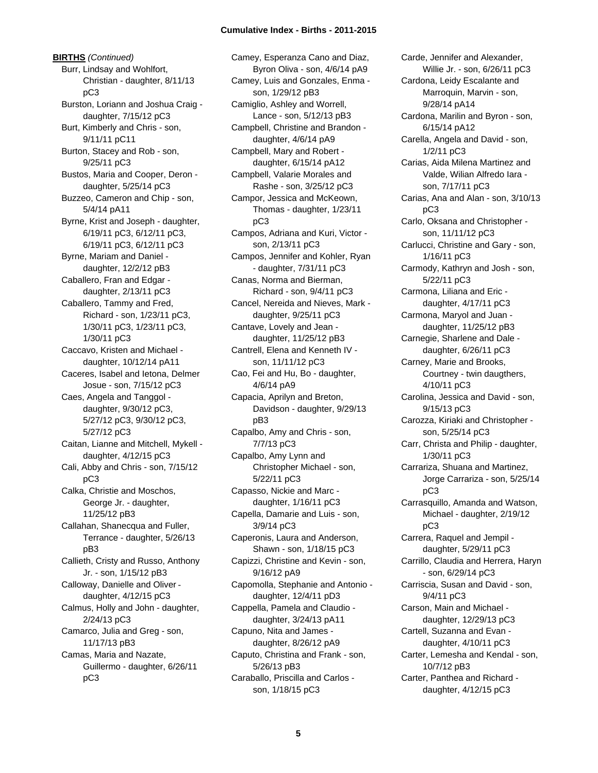**BIRTHS** *(Continued)* Burr, Lindsay and Wohlfort, Christian - daughter, 8/11/13 pC3 Burston, Loriann and Joshua Craig daughter, 7/15/12 pC3 Burt, Kimberly and Chris - son, 9/11/11 pC11 Burton, Stacey and Rob - son, 9/25/11 pC3 Bustos, Maria and Cooper, Deron daughter, 5/25/14 pC3 Buzzeo, Cameron and Chip - son, 5/4/14 pA11 Byrne, Krist and Joseph - daughter, 6/19/11 pC3, 6/12/11 pC3, 6/19/11 pC3, 6/12/11 pC3 Byrne, Mariam and Daniel daughter, 12/2/12 pB3 Caballero, Fran and Edgar daughter, 2/13/11 pC3 Caballero, Tammy and Fred, Richard - son, 1/23/11 pC3, 1/30/11 pC3, 1/23/11 pC3, 1/30/11 pC3 Caccavo, Kristen and Michael daughter, 10/12/14 pA11 Caceres, Isabel and Ietona, Delmer Josue - son, 7/15/12 pC3 Caes, Angela and Tanggol daughter, 9/30/12 pC3, 5/27/12 pC3, 9/30/12 pC3, 5/27/12 pC3 Caitan, Lianne and Mitchell, Mykell daughter, 4/12/15 pC3 Cali, Abby and Chris - son, 7/15/12 pC3 Calka, Christie and Moschos, George Jr. - daughter, 11/25/12 pB3 Callahan, Shanecqua and Fuller, Terrance - daughter, 5/26/13 pB3 Callieth, Cristy and Russo, Anthony Jr. - son, 1/15/12 pB3 Calloway, Danielle and Oliver daughter, 4/12/15 pC3 Calmus, Holly and John - daughter, 2/24/13 pC3 Camarco, Julia and Greg - son, 11/17/13 pB3 Camas, Maria and Nazate, Guillermo - daughter, 6/26/11 pC3

Camey, Esperanza Cano and Diaz, Byron Oliva - son, 4/6/14 pA9 Camey, Luis and Gonzales, Enma son, 1/29/12 pB3 Camiglio, Ashley and Worrell, Lance - son, 5/12/13 pB3 Campbell, Christine and Brandon daughter, 4/6/14 pA9 Campbell, Mary and Robert daughter, 6/15/14 pA12 Campbell, Valarie Morales and Rashe - son, 3/25/12 pC3 Campor, Jessica and McKeown, Thomas - daughter, 1/23/11 pC3 Campos, Adriana and Kuri, Victor son, 2/13/11 pC3 Campos, Jennifer and Kohler, Ryan - daughter, 7/31/11 pC3 Canas, Norma and Bierman, Richard - son, 9/4/11 pC3 Cancel, Nereida and Nieves, Mark daughter, 9/25/11 pC3 Cantave, Lovely and Jean daughter, 11/25/12 pB3 Cantrell, Elena and Kenneth IV son, 11/11/12 pC3 Cao, Fei and Hu, Bo - daughter, 4/6/14 pA9 Capacia, Aprilyn and Breton, Davidson - daughter, 9/29/13 pB3 Capalbo, Amy and Chris - son, 7/7/13 pC3 Capalbo, Amy Lynn and Christopher Michael - son, 5/22/11 pC3 Capasso, Nickie and Marc daughter, 1/16/11 pC3 Capella, Damarie and Luis - son, 3/9/14 pC3 Caperonis, Laura and Anderson, Shawn - son, 1/18/15 pC3 Capizzi, Christine and Kevin - son, 9/16/12 pA9 Capomolla, Stephanie and Antonio daughter, 12/4/11 pD3 Cappella, Pamela and Claudio daughter, 3/24/13 pA11 Capuno, Nita and James daughter, 8/26/12 pA9 Caputo, Christina and Frank - son, 5/26/13 pB3 Caraballo, Priscilla and Carlos son, 1/18/15 pC3

Carde, Jennifer and Alexander, Willie Jr. - son, 6/26/11 pC3 Cardona, Leidy Escalante and Marroquin, Marvin - son, 9/28/14 pA14 Cardona, Marilin and Byron - son, 6/15/14 pA12 Carella, Angela and David - son, 1/2/11 pC3 Carias, Aida Milena Martinez and Valde, Wilian Alfredo Iara son, 7/17/11 pC3 Carias, Ana and Alan - son, 3/10/13 pC3 Carlo, Oksana and Christopher son, 11/11/12 pC3 Carlucci, Christine and Gary - son, 1/16/11 pC3 Carmody, Kathryn and Josh - son, 5/22/11 pC3 Carmona, Liliana and Eric daughter, 4/17/11 pC3 Carmona, Maryol and Juan daughter, 11/25/12 pB3 Carnegie, Sharlene and Dale daughter, 6/26/11 pC3 Carney, Marie and Brooks, Courtney - twin daugthers, 4/10/11 pC3 Carolina, Jessica and David - son, 9/15/13 pC3 Carozza, Kiriaki and Christopher son, 5/25/14 pC3 Carr, Christa and Philip - daughter, 1/30/11 pC3 Carrariza, Shuana and Martinez, Jorge Carrariza - son, 5/25/14 pC3 Carrasquillo, Amanda and Watson, Michael - daughter, 2/19/12 pC3 Carrera, Raquel and Jempil daughter, 5/29/11 pC3 Carrillo, Claudia and Herrera, Haryn - son, 6/29/14 pC3 Carriscia, Susan and David - son, 9/4/11 pC3 Carson, Main and Michael daughter, 12/29/13 pC3 Cartell, Suzanna and Evan daughter, 4/10/11 pC3 Carter, Lemesha and Kendal - son, 10/7/12 pB3 Carter, Panthea and Richard daughter, 4/12/15 pC3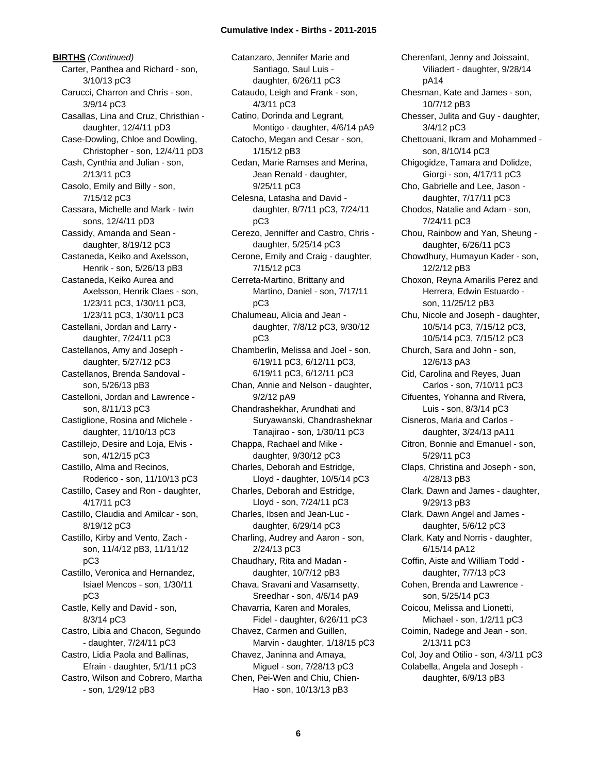**BIRTHS** *(Continued)* Carter, Panthea and Richard - son, 3/10/13 pC3 Carucci, Charron and Chris - son, 3/9/14 pC3 Casallas, Lina and Cruz, Christhian daughter, 12/4/11 pD3 Case-Dowling, Chloe and Dowling, Christopher - son, 12/4/11 pD3 Cash, Cynthia and Julian - son, 2/13/11 pC3 Casolo, Emily and Billy - son, 7/15/12 pC3 Cassara, Michelle and Mark - twin sons, 12/4/11 pD3 Cassidy, Amanda and Sean daughter, 8/19/12 pC3 Castaneda, Keiko and Axelsson, Henrik - son, 5/26/13 pB3 Castaneda, Keiko Aurea and Axelsson, Henrik Claes - son, 1/23/11 pC3, 1/30/11 pC3, 1/23/11 pC3, 1/30/11 pC3 Castellani, Jordan and Larry daughter, 7/24/11 pC3 Castellanos, Amy and Joseph daughter, 5/27/12 pC3 Castellanos, Brenda Sandoval son, 5/26/13 pB3 Castelloni, Jordan and Lawrence son, 8/11/13 pC3 Castiglione, Rosina and Michele daughter, 11/10/13 pC3 Castillejo, Desire and Loja, Elvis son, 4/12/15 pC3 Castillo, Alma and Recinos, Roderico - son, 11/10/13 pC3 Castillo, Casey and Ron - daughter, 4/17/11 pC3 Castillo, Claudia and Amilcar - son, 8/19/12 pC3 Castillo, Kirby and Vento, Zach son, 11/4/12 pB3, 11/11/12 pC3 Castillo, Veronica and Hernandez, Isiael Mencos - son, 1/30/11 pC3 Castle, Kelly and David - son, 8/3/14 pC3 Castro, Libia and Chacon, Segundo - daughter, 7/24/11 pC3 Castro, Lidia Paola and Ballinas, Efrain - daughter, 5/1/11 pC3 Castro, Wilson and Cobrero, Martha - son, 1/29/12 pB3

Catanzaro, Jennifer Marie and Santiago, Saul Luis daughter, 6/26/11 pC3 Cataudo, Leigh and Frank - son, 4/3/11 pC3 Catino, Dorinda and Legrant, Montigo - daughter, 4/6/14 pA9 Catocho, Megan and Cesar - son, 1/15/12 pB3 Cedan, Marie Ramses and Merina, Jean Renald - daughter, 9/25/11 pC3 Celesna, Latasha and David daughter, 8/7/11 pC3, 7/24/11 pC3 Cerezo, Jenniffer and Castro, Chris daughter, 5/25/14 pC3 Cerone, Emily and Craig - daughter, 7/15/12 pC3 Cerreta-Martino, Brittany and Martino, Daniel - son, 7/17/11 pC3 Chalumeau, Alicia and Jean daughter, 7/8/12 pC3, 9/30/12 pC3 Chamberlin, Melissa and Joel - son, 6/19/11 pC3, 6/12/11 pC3, 6/19/11 pC3, 6/12/11 pC3 Chan, Annie and Nelson - daughter, 9/2/12 pA9 Chandrashekhar, Arundhati and Suryawanski, Chandrasheknar Tanajirao - son, 1/30/11 pC3 Chappa, Rachael and Mike daughter, 9/30/12 pC3 Charles, Deborah and Estridge, Lloyd - daughter, 10/5/14 pC3 Charles, Deborah and Estridge, Lloyd - son, 7/24/11 pC3 Charles, Ibsen and Jean-Luc daughter, 6/29/14 pC3 Charling, Audrey and Aaron - son, 2/24/13 pC3 Chaudhary, Rita and Madan daughter, 10/7/12 pB3 Chava, Sravani and Vasamsetty, Sreedhar - son, 4/6/14 pA9 Chavarria, Karen and Morales, Fidel - daughter, 6/26/11 pC3 Chavez, Carmen and Guillen, Marvin - daughter, 1/18/15 pC3 Chavez, Janinna and Amaya, Miguel - son, 7/28/13 pC3 Chen, Pei-Wen and Chiu, Chien-Hao - son, 10/13/13 pB3

Cherenfant, Jenny and Joissaint, Viliadert - daughter, 9/28/14 pA14 Chesman, Kate and James - son, 10/7/12 pB3 Chesser, Julita and Guy - daughter, 3/4/12 pC3 Chettouani, Ikram and Mohammed son, 8/10/14 pC3 Chigogidze, Tamara and Dolidze, Giorgi - son, 4/17/11 pC3 Cho, Gabrielle and Lee, Jason daughter, 7/17/11 pC3 Chodos, Natalie and Adam - son, 7/24/11 pC3 Chou, Rainbow and Yan, Sheung daughter, 6/26/11 pC3 Chowdhury, Humayun Kader - son, 12/2/12 pB3 Choxon, Reyna Amarilis Perez and Herrera, Edwin Estuardo son, 11/25/12 pB3 Chu, Nicole and Joseph - daughter, 10/5/14 pC3, 7/15/12 pC3, 10/5/14 pC3, 7/15/12 pC3 Church, Sara and John - son, 12/6/13 pA3 Cid, Carolina and Reyes, Juan Carlos - son, 7/10/11 pC3 Cifuentes, Yohanna and Rivera, Luis - son, 8/3/14 pC3 Cisneros, Maria and Carlos daughter, 3/24/13 pA11 Citron, Bonnie and Emanuel - son, 5/29/11 pC3 Claps, Christina and Joseph - son, 4/28/13 pB3 Clark, Dawn and James - daughter, 9/29/13 pB3 Clark, Dawn Angel and James daughter, 5/6/12 pC3 Clark, Katy and Norris - daughter, 6/15/14 pA12 Coffin, Aiste and William Todd daughter, 7/7/13 pC3 Cohen, Brenda and Lawrence son, 5/25/14 pC3 Coicou, Melissa and Lionetti, Michael - son, 1/2/11 pC3 Coimin, Nadege and Jean - son, 2/13/11 pC3 Col, Joy and Otilio - son, 4/3/11 pC3 Colabella, Angela and Joseph daughter, 6/9/13 pB3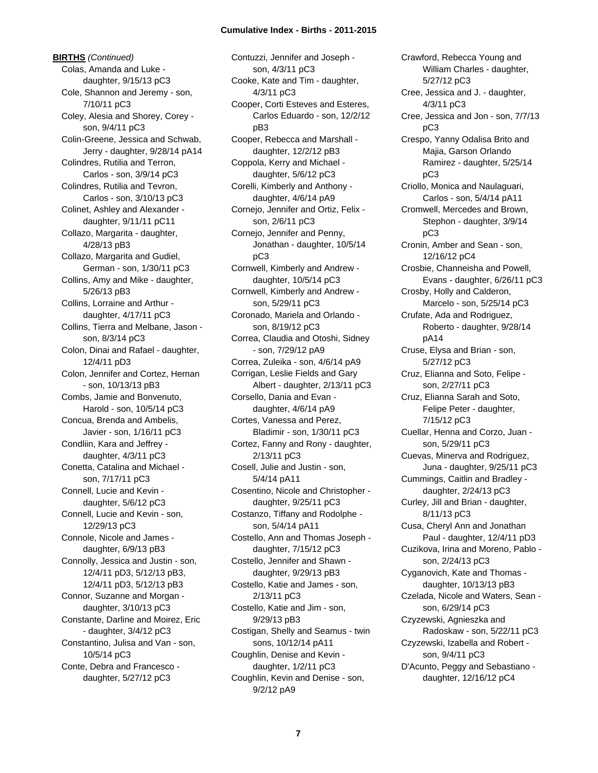**BIRTHS** *(Continued)* Colas, Amanda and Luke daughter, 9/15/13 pC3 Cole, Shannon and Jeremy - son, 7/10/11 pC3 Coley, Alesia and Shorey, Corey son, 9/4/11 pC3 Colin-Greene, Jessica and Schwab, Jerry - daughter, 9/28/14 pA14 Colindres, Rutilia and Terron, Carlos - son, 3/9/14 pC3 Colindres, Rutilia and Tevron, Carlos - son, 3/10/13 pC3 Colinet, Ashley and Alexander daughter, 9/11/11 pC11 Collazo, Margarita - daughter, 4/28/13 pB3 Collazo, Margarita and Gudiel, German - son, 1/30/11 pC3 Collins, Amy and Mike - daughter, 5/26/13 pB3 Collins, Lorraine and Arthur daughter, 4/17/11 pC3 Collins, Tierra and Melbane, Jason son, 8/3/14 pC3 Colon, Dinai and Rafael - daughter, 12/4/11 pD3 Colon, Jennifer and Cortez, Hernan - son, 10/13/13 pB3 Combs, Jamie and Bonvenuto, Harold - son, 10/5/14 pC3 Concua, Brenda and Ambelis, Javier - son, 1/16/11 pC3 Condliin, Kara and Jeffrey daughter, 4/3/11 pC3 Conetta, Catalina and Michael son, 7/17/11 pC3 Connell, Lucie and Kevin daughter, 5/6/12 pC3 Connell, Lucie and Kevin - son, 12/29/13 pC3 Connole, Nicole and James daughter, 6/9/13 pB3 Connolly, Jessica and Justin - son, 12/4/11 pD3, 5/12/13 pB3, 12/4/11 pD3, 5/12/13 pB3 Connor, Suzanne and Morgan daughter, 3/10/13 pC3 Constante, Darline and Moirez, Eric - daughter, 3/4/12 pC3 Constantino, Julisa and Van - son, 10/5/14 pC3 Conte, Debra and Francesco daughter, 5/27/12 pC3

Contuzzi, Jennifer and Joseph son, 4/3/11 pC3 Cooke, Kate and Tim - daughter, 4/3/11 pC3 Cooper, Corti Esteves and Esteres, Carlos Eduardo - son, 12/2/12 pB3 Cooper, Rebecca and Marshall daughter, 12/2/12 pB3 Coppola, Kerry and Michael daughter, 5/6/12 pC3 Corelli, Kimberly and Anthony daughter, 4/6/14 pA9 Cornejo, Jennifer and Ortiz, Felix son, 2/6/11 pC3 Cornejo, Jennifer and Penny, Jonathan - daughter, 10/5/14 pC3 Cornwell, Kimberly and Andrew daughter, 10/5/14 pC3 Cornwell, Kimberly and Andrew son, 5/29/11 pC3 Coronado, Mariela and Orlando son, 8/19/12 pC3 Correa, Claudia and Otoshi, Sidney - son, 7/29/12 pA9 Correa, Zuleika - son, 4/6/14 pA9 Corrigan, Leslie Fields and Gary Albert - daughter, 2/13/11 pC3 Corsello, Dania and Evan daughter, 4/6/14 pA9 Cortes, Vanessa and Perez, Bladimir - son, 1/30/11 pC3 Cortez, Fanny and Rony - daughter, 2/13/11 pC3 Cosell, Julie and Justin - son, 5/4/14 pA11 Cosentino, Nicole and Christopher daughter, 9/25/11 pC3 Costanzo, Tiffany and Rodolphe son, 5/4/14 pA11 Costello, Ann and Thomas Joseph daughter, 7/15/12 pC3 Costello, Jennifer and Shawn daughter, 9/29/13 pB3 Costello, Katie and James - son, 2/13/11 pC3 Costello, Katie and Jim - son, 9/29/13 pB3 Costigan, Shelly and Seamus - twin sons, 10/12/14 pA11 Coughlin, Denise and Kevin daughter, 1/2/11 pC3 Coughlin, Kevin and Denise - son, 9/2/12 pA9

Crawford, Rebecca Young and William Charles - daughter, 5/27/12 pC3 Cree, Jessica and J. - daughter, 4/3/11 pC3 Cree, Jessica and Jon - son, 7/7/13 pC3 Crespo, Yanny Odalisa Brito and Majia, Garson Orlando Ramirez - daughter, 5/25/14 pC3 Criollo, Monica and Naulaguari, Carlos - son, 5/4/14 pA11 Cromwell, Mercedes and Brown, Stephon - daughter, 3/9/14 pC3 Cronin, Amber and Sean - son, 12/16/12 pC4 Crosbie, Channeisha and Powell, Evans - daughter, 6/26/11 pC3 Crosby, Holly and Calderon, Marcelo - son, 5/25/14 pC3 Crufate, Ada and Rodriguez, Roberto - daughter, 9/28/14 pA14 Cruse, Elysa and Brian - son, 5/27/12 pC3 Cruz, Elianna and Soto, Felipe son, 2/27/11 pC3 Cruz, Elianna Sarah and Soto, Felipe Peter - daughter, 7/15/12 pC3 Cuellar, Henna and Corzo, Juan son, 5/29/11 pC3 Cuevas, Minerva and Rodriguez, Juna - daughter, 9/25/11 pC3 Cummings, Caitlin and Bradley daughter, 2/24/13 pC3 Curley, Jill and Brian - daughter, 8/11/13 pC3 Cusa, Cheryl Ann and Jonathan Paul - daughter, 12/4/11 pD3 Cuzikova, Irina and Moreno, Pablo son, 2/24/13 pC3 Cyganovich, Kate and Thomas daughter, 10/13/13 pB3 Czelada, Nicole and Waters, Sean son, 6/29/14 pC3 Czyzewski, Agnieszka and Radoskaw - son, 5/22/11 pC3 Czyzewski, Izabella and Robert son, 9/4/11 pC3 D'Acunto, Peggy and Sebastiano daughter, 12/16/12 pC4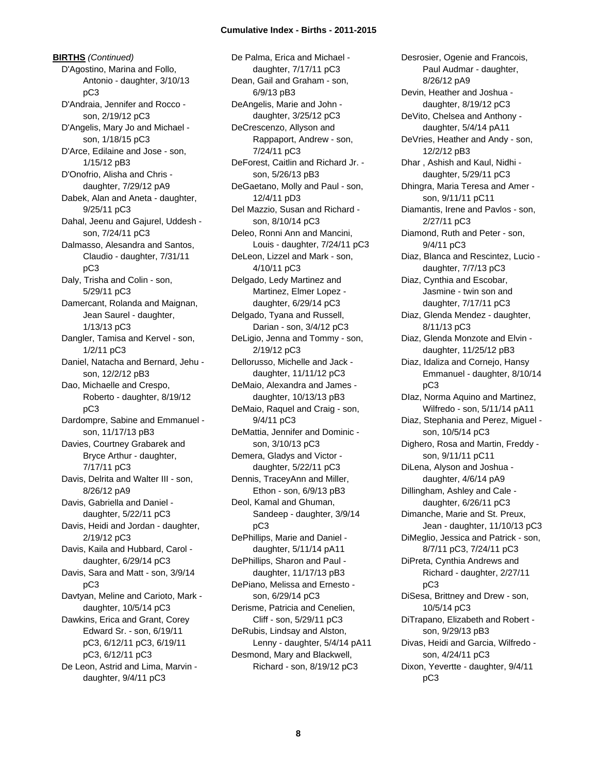**BIRTHS** *(Continued)* D'Agostino, Marina and Follo, Antonio - daughter, 3/10/13 pC3 D'Andraia, Jennifer and Rocco son, 2/19/12 pC3 D'Angelis, Mary Jo and Michael son, 1/18/15 pC3 D'Arce, Edilaine and Jose - son, 1/15/12 pB3 D'Onofrio, Alisha and Chris daughter, 7/29/12 pA9 Dabek, Alan and Aneta - daughter, 9/25/11 pC3 Dahal, Jeenu and Gajurel, Uddesh son, 7/24/11 pC3 Dalmasso, Alesandra and Santos, Claudio - daughter, 7/31/11 pC3 Daly, Trisha and Colin - son, 5/29/11 pC3 Damercant, Rolanda and Maignan, Jean Saurel - daughter, 1/13/13 pC3 Dangler, Tamisa and Kervel - son, 1/2/11 pC3 Daniel, Natacha and Bernard, Jehu son, 12/2/12 pB3 Dao, Michaelle and Crespo, Roberto - daughter, 8/19/12 pC3 Dardompre, Sabine and Emmanuel son, 11/17/13 pB3 Davies, Courtney Grabarek and Bryce Arthur - daughter, 7/17/11 pC3 Davis, Delrita and Walter III - son, 8/26/12 pA9 Davis, Gabriella and Daniel daughter, 5/22/11 pC3 Davis, Heidi and Jordan - daughter, 2/19/12 pC3 Davis, Kaila and Hubbard, Carol daughter, 6/29/14 pC3 Davis, Sara and Matt - son, 3/9/14 pC3 Davtyan, Meline and Carioto, Mark daughter, 10/5/14 pC3 Dawkins, Erica and Grant, Corey Edward Sr. - son, 6/19/11 pC3, 6/12/11 pC3, 6/19/11 pC3, 6/12/11 pC3 De Leon, Astrid and Lima, Marvin daughter, 9/4/11 pC3

De Palma, Erica and Michael daughter, 7/17/11 pC3 Dean, Gail and Graham - son, 6/9/13 pB3 DeAngelis, Marie and John daughter, 3/25/12 pC3 DeCrescenzo, Allyson and Rappaport, Andrew - son, 7/24/11 pC3 DeForest, Caitlin and Richard Jr. son, 5/26/13 pB3 DeGaetano, Molly and Paul - son, 12/4/11 pD3 Del Mazzio, Susan and Richard son, 8/10/14 pC3 Deleo, Ronni Ann and Mancini, Louis - daughter, 7/24/11 pC3 DeLeon, Lizzel and Mark - son, 4/10/11 pC3 Delgado, Ledy Martinez and Martinez, Elmer Lopez daughter, 6/29/14 pC3 Delgado, Tyana and Russell, Darian - son, 3/4/12 pC3 DeLigio, Jenna and Tommy - son, 2/19/12 pC3 Dellorusso, Michelle and Jack daughter, 11/11/12 pC3 DeMaio, Alexandra and James daughter, 10/13/13 pB3 DeMaio, Raquel and Craig - son, 9/4/11 pC3 DeMattia, Jennifer and Dominic son, 3/10/13 pC3 Demera, Gladys and Victor daughter, 5/22/11 pC3 Dennis, TraceyAnn and Miller, Ethon - son, 6/9/13 pB3 Deol, Kamal and Ghuman, Sandeep - daughter, 3/9/14 pC3 DePhillips, Marie and Daniel daughter, 5/11/14 pA11 DePhillips, Sharon and Paul daughter, 11/17/13 pB3 DePiano, Melissa and Ernesto son, 6/29/14 pC3 Derisme, Patricia and Cenelien, Cliff - son, 5/29/11 pC3 DeRubis, Lindsay and Alston, Lenny - daughter, 5/4/14 pA11 Desmond, Mary and Blackwell, Richard - son, 8/19/12 pC3

Desrosier, Ogenie and Francois, Paul Audmar - daughter, 8/26/12 pA9 Devin, Heather and Joshua daughter, 8/19/12 pC3 DeVito, Chelsea and Anthony daughter, 5/4/14 pA11 DeVries, Heather and Andy - son, 12/2/12 pB3 Dhar , Ashish and Kaul, Nidhi daughter, 5/29/11 pC3 Dhingra, Maria Teresa and Amer son, 9/11/11 pC11 Diamantis, Irene and Pavlos - son, 2/27/11 pC3 Diamond, Ruth and Peter - son, 9/4/11 pC3 Diaz, Blanca and Rescintez, Lucio daughter, 7/7/13 pC3 Diaz, Cynthia and Escobar, Jasmine - twin son and daughter, 7/17/11 pC3 Diaz, Glenda Mendez - daughter, 8/11/13 pC3 Diaz, Glenda Monzote and Elvin daughter, 11/25/12 pB3 Diaz, Idaliza and Cornejo, Hansy Emmanuel - daughter, 8/10/14 pC3 DIaz, Norma Aquino and Martinez, Wilfredo - son, 5/11/14 pA11 Diaz, Stephania and Perez, Miguel son, 10/5/14 pC3 Dighero, Rosa and Martin, Freddy son, 9/11/11 pC11 DiLena, Alyson and Joshua daughter, 4/6/14 pA9 Dillingham, Ashley and Cale daughter, 6/26/11 pC3 Dimanche, Marie and St. Preux, Jean - daughter, 11/10/13 pC3 DiMeglio, Jessica and Patrick - son, 8/7/11 pC3, 7/24/11 pC3 DiPreta, Cynthia Andrews and Richard - daughter, 2/27/11 pC3 DiSesa, Brittney and Drew - son, 10/5/14 pC3 DiTrapano, Elizabeth and Robert son, 9/29/13 pB3 Divas, Heidi and Garcia, Wilfredo son, 4/24/11 pC3 Dixon, Yevertte - daughter, 9/4/11 pC3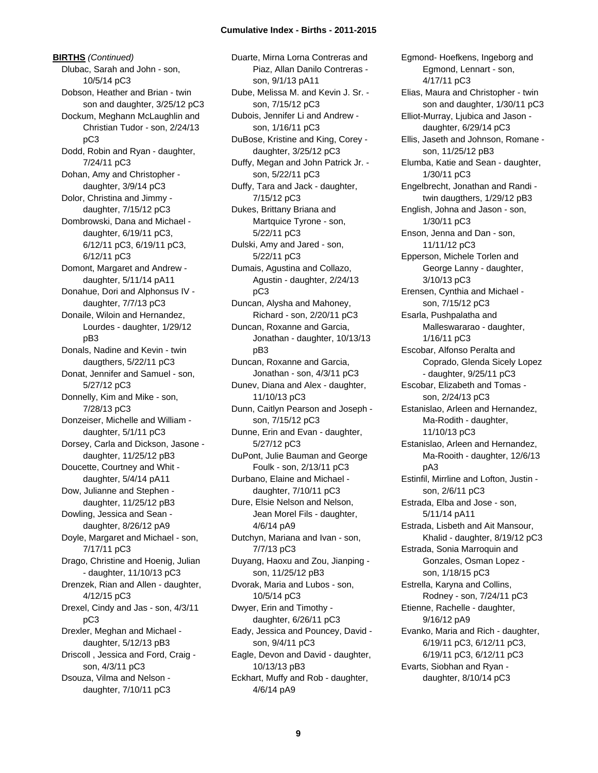**BIRTHS** *(Continued)* Dlubac, Sarah and John - son, 10/5/14 pC3 Dobson, Heather and Brian - twin son and daughter, 3/25/12 pC3 Dockum, Meghann McLaughlin and Christian Tudor - son, 2/24/13 pC3 Dodd, Robin and Ryan - daughter, 7/24/11 pC3 Dohan, Amy and Christopher daughter, 3/9/14 pC3 Dolor, Christina and Jimmy daughter, 7/15/12 pC3 Dombrowski, Dana and Michael daughter, 6/19/11 pC3, 6/12/11 pC3, 6/19/11 pC3, 6/12/11 pC3 Domont, Margaret and Andrew daughter, 5/11/14 pA11 Donahue, Dori and Alphonsus IV daughter, 7/7/13 pC3 Donaile, Wiloin and Hernandez, Lourdes - daughter, 1/29/12 pB3 Donals, Nadine and Kevin - twin daugthers, 5/22/11 pC3 Donat, Jennifer and Samuel - son, 5/27/12 pC3 Donnelly, Kim and Mike - son, 7/28/13 pC3 Donzeiser, Michelle and William daughter, 5/1/11 pC3 Dorsey, Carla and Dickson, Jasone daughter, 11/25/12 pB3 Doucette, Courtney and Whit daughter, 5/4/14 pA11 Dow, Julianne and Stephen daughter, 11/25/12 pB3 Dowling, Jessica and Sean daughter, 8/26/12 pA9 Doyle, Margaret and Michael - son, 7/17/11 pC3 Drago, Christine and Hoenig, Julian - daughter, 11/10/13 pC3 Drenzek, Rian and Allen - daughter, 4/12/15 pC3 Drexel, Cindy and Jas - son, 4/3/11 pC3 Drexler, Meghan and Michael daughter, 5/12/13 pB3 Driscoll , Jessica and Ford, Craig son, 4/3/11 pC3 Dsouza, Vilma and Nelson daughter, 7/10/11 pC3

Duarte, Mirna Lorna Contreras and Piaz, Allan Danilo Contreras son, 9/1/13 pA11 Dube, Melissa M. and Kevin J. Sr. son, 7/15/12 pC3 Dubois, Jennifer Li and Andrew son, 1/16/11 pC3 DuBose, Kristine and King, Corey daughter, 3/25/12 pC3 Duffy, Megan and John Patrick Jr. son, 5/22/11 pC3 Duffy, Tara and Jack - daughter, 7/15/12 pC3 Dukes, Brittany Briana and Martquice Tyrone - son, 5/22/11 pC3 Dulski, Amy and Jared - son, 5/22/11 pC3 Dumais, Agustina and Collazo, Agustin - daughter, 2/24/13 pC3 Duncan, Alysha and Mahoney, Richard - son, 2/20/11 pC3 Duncan, Roxanne and Garcia, Jonathan - daughter, 10/13/13 pB3 Duncan, Roxanne and Garcia, Jonathan - son, 4/3/11 pC3 Dunev, Diana and Alex - daughter, 11/10/13 pC3 Dunn, Caitlyn Pearson and Joseph son, 7/15/12 pC3 Dunne, Erin and Evan - daughter, 5/27/12 pC3 DuPont, Julie Bauman and George Foulk - son, 2/13/11 pC3 Durbano, Elaine and Michael daughter, 7/10/11 pC3 Dure, Elsie Nelson and Nelson, Jean Morel Fils - daughter, 4/6/14 pA9 Dutchyn, Mariana and Ivan - son, 7/7/13 pC3 Duyang, Haoxu and Zou, Jianping son, 11/25/12 pB3 Dvorak, Maria and Lubos - son, 10/5/14 pC3 Dwyer, Erin and Timothy daughter, 6/26/11 pC3 Eady, Jessica and Pouncey, David son, 9/4/11 pC3 Eagle, Devon and David - daughter, 10/13/13 pB3 Eckhart, Muffy and Rob - daughter, 4/6/14 pA9

Egmond- Hoefkens, Ingeborg and Egmond, Lennart - son, 4/17/11 pC3 Elias, Maura and Christopher - twin son and daughter, 1/30/11 pC3 Elliot-Murray, Ljubica and Jason daughter, 6/29/14 pC3 Ellis, Jaseth and Johnson, Romane son, 11/25/12 pB3 Elumba, Katie and Sean - daughter, 1/30/11 pC3 Engelbrecht, Jonathan and Randi twin daugthers, 1/29/12 pB3 English, Johna and Jason - son, 1/30/11 pC3 Enson, Jenna and Dan - son, 11/11/12 pC3 Epperson, Michele Torlen and George Lanny - daughter, 3/10/13 pC3 Erensen, Cynthia and Michael son, 7/15/12 pC3 Esarla, Pushpalatha and Malleswararao - daughter, 1/16/11 pC3 Escobar, Alfonso Peralta and Coprado, Glenda Sicely Lopez - daughter, 9/25/11 pC3 Escobar, Elizabeth and Tomas son, 2/24/13 pC3 Estanislao, Arleen and Hernandez, Ma-Rodith - daughter, 11/10/13 pC3 Estanislao, Arleen and Hernandez, Ma-Rooith - daughter, 12/6/13 pA3 Estinfil, Mirrline and Lofton, Justin son, 2/6/11 pC3 Estrada, Elba and Jose - son, 5/11/14 pA11 Estrada, Lisbeth and Ait Mansour, Khalid - daughter, 8/19/12 pC3 Estrada, Sonia Marroquin and Gonzales, Osman Lopez son, 1/18/15 pC3 Estrella, Karyna and Collins, Rodney - son, 7/24/11 pC3 Etienne, Rachelle - daughter, 9/16/12 pA9 Evanko, Maria and Rich - daughter, 6/19/11 pC3, 6/12/11 pC3, 6/19/11 pC3, 6/12/11 pC3 Evarts, Siobhan and Ryan daughter, 8/10/14 pC3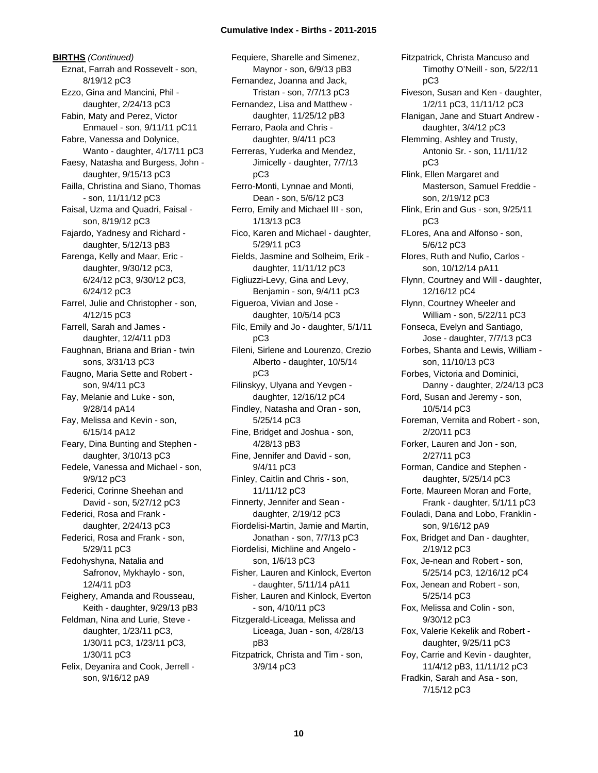**BIRTHS** *(Continued)* Eznat, Farrah and Rossevelt - son, 8/19/12 pC3 Ezzo, Gina and Mancini, Phil daughter, 2/24/13 pC3 Fabin, Maty and Perez, Victor Enmauel - son, 9/11/11 pC11 Fabre, Vanessa and Dolynice, Wanto - daughter, 4/17/11 pC3 Faesy, Natasha and Burgess, John daughter, 9/15/13 pC3 Failla, Christina and Siano, Thomas - son, 11/11/12 pC3 Faisal, Uzma and Quadri, Faisal son, 8/19/12 pC3 Fajardo, Yadnesy and Richard daughter, 5/12/13 pB3 Farenga, Kelly and Maar, Eric daughter, 9/30/12 pC3, 6/24/12 pC3, 9/30/12 pC3, 6/24/12 pC3 Farrel, Julie and Christopher - son, 4/12/15 pC3 Farrell, Sarah and James daughter, 12/4/11 pD3 Faughnan, Briana and Brian - twin sons, 3/31/13 pC3 Faugno, Maria Sette and Robert son, 9/4/11 pC3 Fay, Melanie and Luke - son, 9/28/14 pA14 Fay, Melissa and Kevin - son, 6/15/14 pA12 Feary, Dina Bunting and Stephen daughter, 3/10/13 pC3 Fedele, Vanessa and Michael - son, 9/9/12 pC3 Federici, Corinne Sheehan and David - son, 5/27/12 pC3 Federici, Rosa and Frank daughter, 2/24/13 pC3 Federici, Rosa and Frank - son, 5/29/11 pC3 Fedohyshyna, Natalia and Safronov, Mykhaylo - son, 12/4/11 pD3 Feighery, Amanda and Rousseau, Keith - daughter, 9/29/13 pB3 Feldman, Nina and Lurie, Steve daughter, 1/23/11 pC3, 1/30/11 pC3, 1/23/11 pC3, 1/30/11 pC3 Felix, Deyanira and Cook, Jerrell son, 9/16/12 pA9

Fequiere, Sharelle and Simenez, Maynor - son, 6/9/13 pB3 Fernandez, Joanna and Jack, Tristan - son, 7/7/13 pC3 Fernandez, Lisa and Matthew daughter, 11/25/12 pB3 Ferraro, Paola and Chris daughter, 9/4/11 pC3 Ferreras, Yuderka and Mendez, Jimicelly - daughter, 7/7/13 pC3 Ferro-Monti, Lynnae and Monti, Dean - son, 5/6/12 pC3 Ferro, Emily and Michael III - son, 1/13/13 pC3 Fico, Karen and Michael - daughter, 5/29/11 pC3 Fields, Jasmine and Solheim, Erik daughter, 11/11/12 pC3 Figliuzzi-Levy, Gina and Levy, Benjamin - son, 9/4/11 pC3 Figueroa, Vivian and Jose daughter, 10/5/14 pC3 Filc, Emily and Jo - daughter, 5/1/11 pC3 Fileni, Sirlene and Lourenzo, Crezio Alberto - daughter, 10/5/14 pC3 Filinskyy, Ulyana and Yevgen daughter, 12/16/12 pC4 Findley, Natasha and Oran - son, 5/25/14 pC3 Fine, Bridget and Joshua - son, 4/28/13 pB3 Fine, Jennifer and David - son, 9/4/11 pC3 Finley, Caitlin and Chris - son, 11/11/12 pC3 Finnerty, Jennifer and Sean daughter, 2/19/12 pC3 Fiordelisi-Martin, Jamie and Martin, Jonathan - son, 7/7/13 pC3 Fiordelisi, Michline and Angelo son, 1/6/13 pC3 Fisher, Lauren and Kinlock, Everton - daughter, 5/11/14 pA11 Fisher, Lauren and Kinlock, Everton - son, 4/10/11 pC3 Fitzgerald-Liceaga, Melissa and Liceaga, Juan - son, 4/28/13 pB3 Fitzpatrick, Christa and Tim - son, 3/9/14 pC3

Fitzpatrick, Christa Mancuso and Timothy O'Neill - son, 5/22/11 pC3 Fiveson, Susan and Ken - daughter, 1/2/11 pC3, 11/11/12 pC3 Flanigan, Jane and Stuart Andrew daughter, 3/4/12 pC3 Flemming, Ashley and Trusty, Antonio Sr. - son, 11/11/12 pC3 Flink, Ellen Margaret and Masterson, Samuel Freddie son, 2/19/12 pC3 Flink, Erin and Gus - son, 9/25/11 pC3 FLores, Ana and Alfonso - son, 5/6/12 pC3 Flores, Ruth and Nufio, Carlos son, 10/12/14 pA11 Flynn, Courtney and Will - daughter, 12/16/12 pC4 Flynn, Courtney Wheeler and William - son, 5/22/11 pC3 Fonseca, Evelyn and Santiago, Jose - daughter, 7/7/13 pC3 Forbes, Shanta and Lewis, William son, 11/10/13 pC3 Forbes, Victoria and Dominici, Danny - daughter, 2/24/13 pC3 Ford, Susan and Jeremy - son, 10/5/14 pC3 Foreman, Vernita and Robert - son, 2/20/11 pC3 Forker, Lauren and Jon - son, 2/27/11 pC3 Forman, Candice and Stephen daughter, 5/25/14 pC3 Forte, Maureen Moran and Forte, Frank - daughter, 5/1/11 pC3 Fouladi, Dana and Lobo, Franklin son, 9/16/12 pA9 Fox, Bridget and Dan - daughter, 2/19/12 pC3 Fox, Je-nean and Robert - son, 5/25/14 pC3, 12/16/12 pC4 Fox, Jenean and Robert - son, 5/25/14 pC3 Fox, Melissa and Colin - son, 9/30/12 pC3 Fox, Valerie Kekelik and Robert daughter, 9/25/11 pC3 Foy, Carrie and Kevin - daughter, 11/4/12 pB3, 11/11/12 pC3 Fradkin, Sarah and Asa - son, 7/15/12 pC3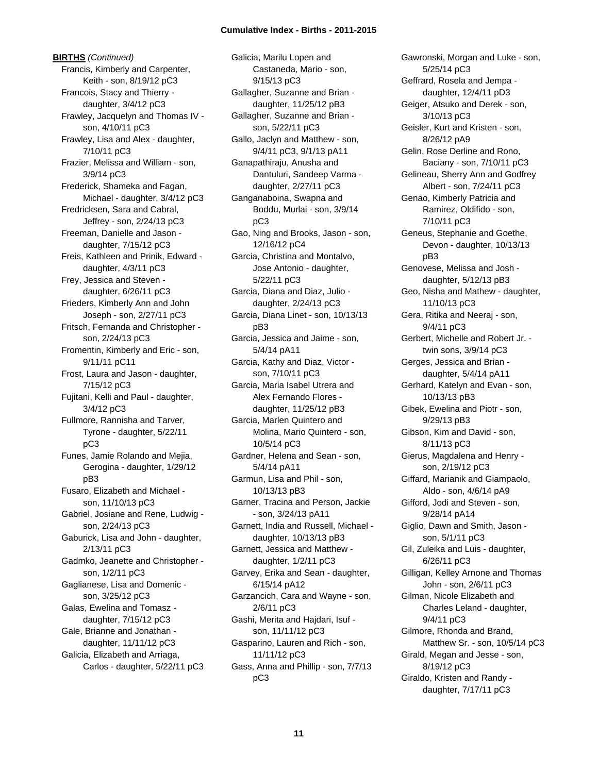**BIRTHS** *(Continued)* Francis, Kimberly and Carpenter, Keith - son, 8/19/12 pC3 Francois, Stacy and Thierry daughter, 3/4/12 pC3 Frawley, Jacquelyn and Thomas IV son, 4/10/11 pC3 Frawley, Lisa and Alex - daughter, 7/10/11 pC3 Frazier, Melissa and William - son, 3/9/14 pC3 Frederick, Shameka and Fagan, Michael - daughter, 3/4/12 pC3 Fredricksen, Sara and Cabral, Jeffrey - son, 2/24/13 pC3 Freeman, Danielle and Jason daughter, 7/15/12 pC3 Freis, Kathleen and Prinik, Edward daughter, 4/3/11 pC3 Frey, Jessica and Steven daughter, 6/26/11 pC3 Frieders, Kimberly Ann and John Joseph - son, 2/27/11 pC3 Fritsch, Fernanda and Christopher son, 2/24/13 pC3 Fromentin, Kimberly and Eric - son, 9/11/11 pC11 Frost, Laura and Jason - daughter, 7/15/12 pC3 Fujitani, Kelli and Paul - daughter, 3/4/12 pC3 Fullmore, Rannisha and Tarver, Tyrone - daughter, 5/22/11 pC3 Funes, Jamie Rolando and Mejia, Gerogina - daughter, 1/29/12 pB3 Fusaro, Elizabeth and Michael son, 11/10/13 pC3 Gabriel, Josiane and Rene, Ludwig son, 2/24/13 pC3 Gaburick, Lisa and John - daughter, 2/13/11 pC3 Gadmko, Jeanette and Christopher son, 1/2/11 pC3 Gaglianese, Lisa and Domenic son, 3/25/12 pC3 Galas, Ewelina and Tomasz daughter, 7/15/12 pC3 Gale, Brianne and Jonathan daughter, 11/11/12 pC3 Galicia, Elizabeth and Arriaga, Carlos - daughter, 5/22/11 pC3 Galicia, Marilu Lopen and Castaneda, Mario - son, 9/15/13 pC3 Gallagher, Suzanne and Brian daughter, 11/25/12 pB3 Gallagher, Suzanne and Brian son, 5/22/11 pC3 Gallo, Jaclyn and Matthew - son, 9/4/11 pC3, 9/1/13 pA11 Ganapathiraju, Anusha and Dantuluri, Sandeep Varma daughter, 2/27/11 pC3 Ganganaboina, Swapna and Boddu, Murlai - son, 3/9/14 pC3 Gao, Ning and Brooks, Jason - son, 12/16/12 pC4 Garcia, Christina and Montalvo, Jose Antonio - daughter, 5/22/11 pC3 Garcia, Diana and Diaz, Julio daughter, 2/24/13 pC3 Garcia, Diana Linet - son, 10/13/13 pB3 Garcia, Jessica and Jaime - son, 5/4/14 pA11 Garcia, Kathy and Diaz, Victor son, 7/10/11 pC3 Garcia, Maria Isabel Utrera and Alex Fernando Flores daughter, 11/25/12 pB3 Garcia, Marlen Quintero and Molina, Mario Quintero - son, 10/5/14 pC3 Gardner, Helena and Sean - son, 5/4/14 pA11 Garmun, Lisa and Phil - son, 10/13/13 pB3 Garner, Tracina and Person, Jackie - son, 3/24/13 pA11 Garnett, India and Russell, Michael daughter, 10/13/13 pB3 Garnett, Jessica and Matthew daughter, 1/2/11 pC3 Garvey, Erika and Sean - daughter, 6/15/14 pA12 Garzancich, Cara and Wayne - son, 2/6/11 pC3 Gashi, Merita and Hajdari, Isuf son, 11/11/12 pC3 Gasparino, Lauren and Rich - son, 11/11/12 pC3 Gass, Anna and Phillip - son, 7/7/13 pC3

Gawronski, Morgan and Luke - son, 5/25/14 pC3 Geffrard, Rosela and Jempa daughter, 12/4/11 pD3 Geiger, Atsuko and Derek - son, 3/10/13 pC3 Geisler, Kurt and Kristen - son, 8/26/12 pA9 Gelin, Rose Derline and Rono, Baciany - son, 7/10/11 pC3 Gelineau, Sherry Ann and Godfrey Albert - son, 7/24/11 pC3 Genao, Kimberly Patricia and Ramirez, Oldifido - son, 7/10/11 pC3 Geneus, Stephanie and Goethe, Devon - daughter, 10/13/13 pB3 Genovese, Melissa and Josh daughter, 5/12/13 pB3 Geo, Nisha and Mathew - daughter, 11/10/13 pC3 Gera, Ritika and Neeraj - son, 9/4/11 pC3 Gerbert, Michelle and Robert Jr. twin sons, 3/9/14 pC3 Gerges, Jessica and Brian daughter, 5/4/14 pA11 Gerhard, Katelyn and Evan - son, 10/13/13 pB3 Gibek, Ewelina and Piotr - son, 9/29/13 pB3 Gibson, Kim and David - son, 8/11/13 pC3 Gierus, Magdalena and Henry son, 2/19/12 pC3 Giffard, Marianik and Giampaolo, Aldo - son, 4/6/14 pA9 Gifford, Jodi and Steven - son, 9/28/14 pA14 Giglio, Dawn and Smith, Jason son, 5/1/11 pC3 Gil, Zuleika and Luis - daughter, 6/26/11 pC3 Gilligan, Kelley Arnone and Thomas John - son, 2/6/11 pC3 Gilman, Nicole Elizabeth and Charles Leland - daughter, 9/4/11 pC3 Gilmore, Rhonda and Brand, Matthew Sr. - son, 10/5/14 pC3 Girald, Megan and Jesse - son, 8/19/12 pC3 Giraldo, Kristen and Randy daughter, 7/17/11 pC3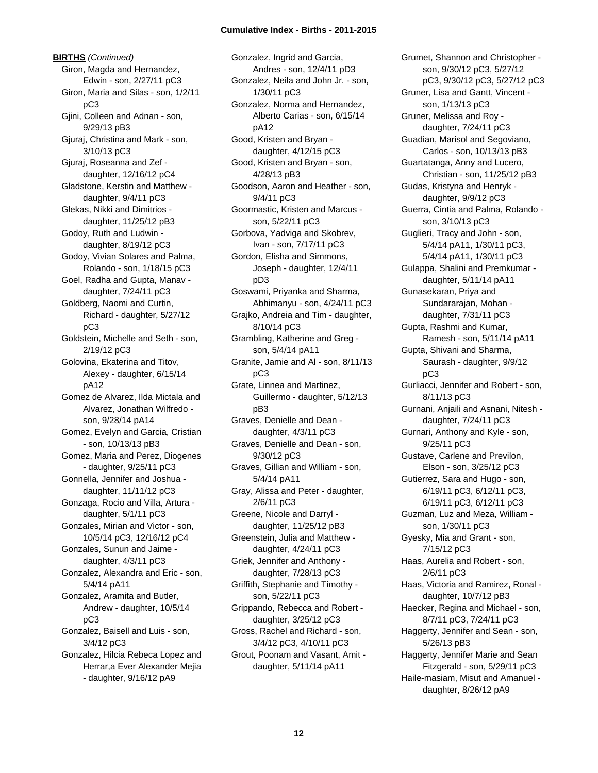**BIRTHS** *(Continued)* Giron, Magda and Hernandez, Edwin - son, 2/27/11 pC3 Giron, Maria and Silas - son, 1/2/11 pC3 Gjini, Colleen and Adnan - son, 9/29/13 pB3 Gjuraj, Christina and Mark - son, 3/10/13 pC3 Gjuraj, Roseanna and Zef daughter, 12/16/12 pC4 Gladstone, Kerstin and Matthew daughter, 9/4/11 pC3 Glekas, Nikki and Dimitrios daughter, 11/25/12 pB3 Godoy, Ruth and Ludwin daughter, 8/19/12 pC3 Godoy, Vivian Solares and Palma, Rolando - son, 1/18/15 pC3 Goel, Radha and Gupta, Manav daughter, 7/24/11 pC3 Goldberg, Naomi and Curtin, Richard - daughter, 5/27/12 pC3 Goldstein, Michelle and Seth - son, 2/19/12 pC3 Golovina, Ekaterina and Titov, Alexey - daughter, 6/15/14 pA12 Gomez de Alvarez, Ilda Mictala and Alvarez, Jonathan Wilfredo son, 9/28/14 pA14 Gomez, Evelyn and Garcia, Cristian - son, 10/13/13 pB3 Gomez, Maria and Perez, Diogenes - daughter, 9/25/11 pC3 Gonnella, Jennifer and Joshua daughter, 11/11/12 pC3 Gonzaga, Rocio and Villa, Artura daughter, 5/1/11 pC3 Gonzales, Mirian and Victor - son, 10/5/14 pC3, 12/16/12 pC4 Gonzales, Sunun and Jaime daughter, 4/3/11 pC3 Gonzalez, Alexandra and Eric - son, 5/4/14 pA11 Gonzalez, Aramita and Butler, Andrew - daughter, 10/5/14 pC3 Gonzalez, Baisell and Luis - son, 3/4/12 pC3 Gonzalez, Hilcia Rebeca Lopez and Herrar,a Ever Alexander Mejia - daughter, 9/16/12 pA9

Gonzalez, Ingrid and Garcia, Andres - son, 12/4/11 pD3 Gonzalez, Neila and John Jr. - son, 1/30/11 pC3 Gonzalez, Norma and Hernandez, Alberto Carias - son, 6/15/14 pA12 Good, Kristen and Bryan daughter, 4/12/15 pC3 Good, Kristen and Bryan - son, 4/28/13 pB3 Goodson, Aaron and Heather - son, 9/4/11 pC3 Goormastic, Kristen and Marcus son, 5/22/11 pC3 Gorbova, Yadviga and Skobrev, Ivan - son, 7/17/11 pC3 Gordon, Elisha and Simmons, Joseph - daughter, 12/4/11 pD3 Goswami, Priyanka and Sharma, Abhimanyu - son, 4/24/11 pC3 Grajko, Andreia and Tim - daughter, 8/10/14 pC3 Grambling, Katherine and Greg son, 5/4/14 pA11 Granite, Jamie and Al - son, 8/11/13 pC3 Grate, Linnea and Martinez, Guillermo - daughter, 5/12/13 pB3 Graves, Denielle and Dean daughter, 4/3/11 pC3 Graves, Denielle and Dean - son, 9/30/12 pC3 Graves, Gillian and William - son, 5/4/14 pA11 Gray, Alissa and Peter - daughter, 2/6/11 pC3 Greene, Nicole and Darryl daughter, 11/25/12 pB3 Greenstein, Julia and Matthew daughter, 4/24/11 pC3 Griek, Jennifer and Anthony daughter, 7/28/13 pC3 Griffith, Stephanie and Timothy son, 5/22/11 pC3 Grippando, Rebecca and Robert daughter, 3/25/12 pC3 Gross, Rachel and Richard - son, 3/4/12 pC3, 4/10/11 pC3 Grout, Poonam and Vasant, Amit daughter, 5/11/14 pA11

Grumet, Shannon and Christopher son, 9/30/12 pC3, 5/27/12 pC3, 9/30/12 pC3, 5/27/12 pC3 Gruner, Lisa and Gantt, Vincent son, 1/13/13 pC3 Gruner, Melissa and Roy daughter, 7/24/11 pC3 Guadian, Marisol and Segoviano, Carlos - son, 10/13/13 pB3 Guartatanga, Anny and Lucero, Christian - son, 11/25/12 pB3 Gudas, Kristyna and Henryk daughter, 9/9/12 pC3 Guerra, Cintia and Palma, Rolando son, 3/10/13 pC3 Guglieri, Tracy and John - son, 5/4/14 pA11, 1/30/11 pC3, 5/4/14 pA11, 1/30/11 pC3 Gulappa, Shalini and Premkumar daughter, 5/11/14 pA11 Gunasekaran, Priya and Sundararajan, Mohan daughter, 7/31/11 pC3 Gupta, Rashmi and Kumar, Ramesh - son, 5/11/14 pA11 Gupta, Shivani and Sharma, Saurash - daughter, 9/9/12 pC3 Gurliacci, Jennifer and Robert - son, 8/11/13 pC3 Gurnani, Anjaili and Asnani, Nitesh daughter, 7/24/11 pC3 Gurnari, Anthony and Kyle - son, 9/25/11 pC3 Gustave, Carlene and Previlon, Elson - son, 3/25/12 pC3 Gutierrez, Sara and Hugo - son, 6/19/11 pC3, 6/12/11 pC3, 6/19/11 pC3, 6/12/11 pC3 Guzman, Luz and Meza, William son, 1/30/11 pC3 Gyesky, Mia and Grant - son, 7/15/12 pC3 Haas, Aurelia and Robert - son, 2/6/11 pC3 Haas, Victoria and Ramirez, Ronal daughter, 10/7/12 pB3 Haecker, Regina and Michael - son, 8/7/11 pC3, 7/24/11 pC3 Haggerty, Jennifer and Sean - son, 5/26/13 pB3 Haggerty, Jennifer Marie and Sean Fitzgerald - son, 5/29/11 pC3 Haile-masiam, Misut and Amanuel daughter, 8/26/12 pA9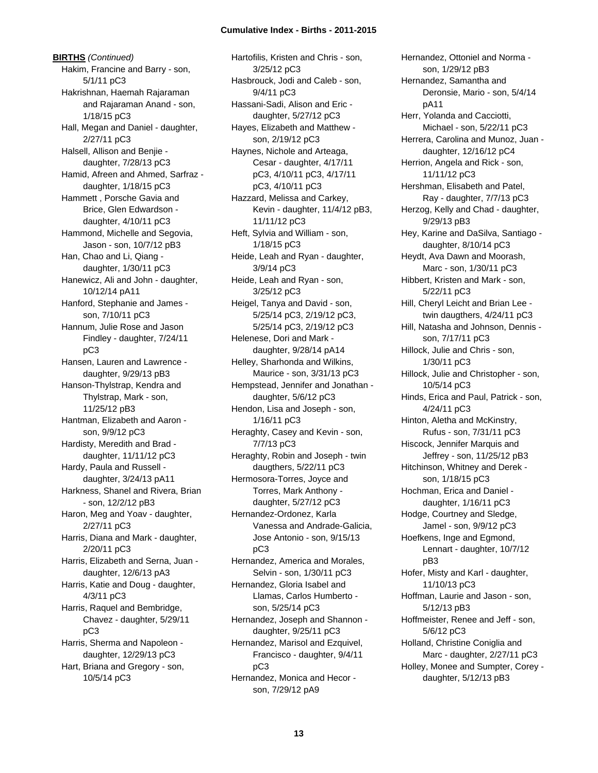**BIRTHS** *(Continued)* Hakim, Francine and Barry - son, 5/1/11 pC3 Hakrishnan, Haemah Rajaraman and Rajaraman Anand - son, 1/18/15 pC3 Hall, Megan and Daniel - daughter, 2/27/11 pC3 Halsell, Allison and Benjie daughter, 7/28/13 pC3 Hamid, Afreen and Ahmed, Sarfraz daughter, 1/18/15 pC3 Hammett , Porsche Gavia and Brice, Glen Edwardson daughter, 4/10/11 pC3 Hammond, Michelle and Segovia, Jason - son, 10/7/12 pB3 Han, Chao and Li, Qiang daughter, 1/30/11 pC3 Hanewicz, Ali and John - daughter, 10/12/14 pA11 Hanford, Stephanie and James son, 7/10/11 pC3 Hannum, Julie Rose and Jason Findley - daughter, 7/24/11 pC3 Hansen, Lauren and Lawrence daughter, 9/29/13 pB3 Hanson-Thylstrap, Kendra and Thylstrap, Mark - son, 11/25/12 pB3 Hantman, Elizabeth and Aaron son, 9/9/12 pC3 Hardisty, Meredith and Brad daughter, 11/11/12 pC3 Hardy, Paula and Russell daughter, 3/24/13 pA11 Harkness, Shanel and Rivera, Brian - son, 12/2/12 pB3 Haron, Meg and Yoav - daughter, 2/27/11 pC3 Harris, Diana and Mark - daughter, 2/20/11 pC3 Harris, Elizabeth and Serna, Juan daughter, 12/6/13 pA3 Harris, Katie and Doug - daughter, 4/3/11 pC3 Harris, Raquel and Bembridge, Chavez - daughter, 5/29/11 pC3 Harris, Sherma and Napoleon daughter, 12/29/13 pC3 Hart, Briana and Gregory - son, 10/5/14 pC3

Hartofilis, Kristen and Chris - son, 3/25/12 pC3 Hasbrouck, Jodi and Caleb - son, 9/4/11 pC3 Hassani-Sadi, Alison and Eric daughter, 5/27/12 pC3 Hayes, Elizabeth and Matthew son, 2/19/12 pC3 Haynes, Nichole and Arteaga, Cesar - daughter, 4/17/11 pC3, 4/10/11 pC3, 4/17/11 pC3, 4/10/11 pC3 Hazzard, Melissa and Carkey, Kevin - daughter, 11/4/12 pB3, 11/11/12 pC3 Heft, Sylvia and William - son, 1/18/15 pC3 Heide, Leah and Ryan - daughter, 3/9/14 pC3 Heide, Leah and Ryan - son, 3/25/12 pC3 Heigel, Tanya and David - son, 5/25/14 pC3, 2/19/12 pC3, 5/25/14 pC3, 2/19/12 pC3 Helenese, Dori and Mark daughter, 9/28/14 pA14 Helley, Sharhonda and Wilkins, Maurice - son, 3/31/13 pC3 Hempstead, Jennifer and Jonathan daughter, 5/6/12 pC3 Hendon, Lisa and Joseph - son, 1/16/11 pC3 Heraghty, Casey and Kevin - son, 7/7/13 pC3 Heraghty, Robin and Joseph - twin daugthers, 5/22/11 pC3 Hermosora-Torres, Joyce and Torres, Mark Anthony daughter, 5/27/12 pC3 Hernandez-Ordonez, Karla Vanessa and Andrade-Galicia, Jose Antonio - son, 9/15/13 pC3 Hernandez, America and Morales, Selvin - son, 1/30/11 pC3 Hernandez, Gloria Isabel and Llamas, Carlos Humberto son, 5/25/14 pC3 Hernandez, Joseph and Shannon daughter, 9/25/11 pC3 Hernandez, Marisol and Ezquivel, Francisco - daughter, 9/4/11 pC3 Hernandez, Monica and Hecor son, 7/29/12 pA9

Hernandez, Ottoniel and Norma son, 1/29/12 pB3 Hernandez, Samantha and Deronsie, Mario - son, 5/4/14 pA11 Herr, Yolanda and Cacciotti, Michael - son, 5/22/11 pC3 Herrera, Carolina and Munoz, Juan daughter, 12/16/12 pC4 Herrion, Angela and Rick - son, 11/11/12 pC3 Hershman, Elisabeth and Patel, Ray - daughter, 7/7/13 pC3 Herzog, Kelly and Chad - daughter, 9/29/13 pB3 Hey, Karine and DaSilva, Santiago daughter, 8/10/14 pC3 Heydt, Ava Dawn and Moorash, Marc - son, 1/30/11 pC3 Hibbert, Kristen and Mark - son, 5/22/11 pC3 Hill, Cheryl Leicht and Brian Lee twin daugthers, 4/24/11 pC3 Hill, Natasha and Johnson, Dennis son, 7/17/11 pC3 Hillock, Julie and Chris - son, 1/30/11 pC3 Hillock, Julie and Christopher - son, 10/5/14 pC3 Hinds, Erica and Paul, Patrick - son, 4/24/11 pC3 Hinton, Aletha and McKinstry, Rufus - son, 7/31/11 pC3 Hiscock, Jennifer Marquis and Jeffrey - son, 11/25/12 pB3 Hitchinson, Whitney and Derek son, 1/18/15 pC3 Hochman, Erica and Daniel daughter, 1/16/11 pC3 Hodge, Courtney and Sledge, Jamel - son, 9/9/12 pC3 Hoefkens, Inge and Egmond, Lennart - daughter, 10/7/12 pB3 Hofer, Misty and Karl - daughter, 11/10/13 pC3 Hoffman, Laurie and Jason - son, 5/12/13 pB3 Hoffmeister, Renee and Jeff - son, 5/6/12 pC3 Holland, Christine Coniglia and Marc - daughter, 2/27/11 pC3 Holley, Monee and Sumpter, Corey daughter, 5/12/13 pB3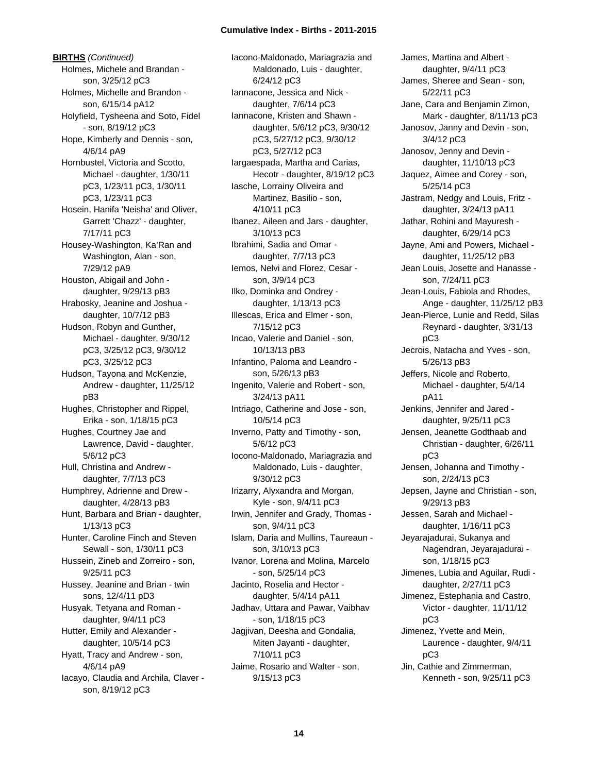**BIRTHS** *(Continued)* Holmes, Michele and Brandan son, 3/25/12 pC3 Holmes, Michelle and Brandon son, 6/15/14 pA12 Holyfield, Tysheena and Soto, Fidel - son, 8/19/12 pC3 Hope, Kimberly and Dennis - son, 4/6/14 pA9 Hornbustel, Victoria and Scotto, Michael - daughter, 1/30/11 pC3, 1/23/11 pC3, 1/30/11 pC3, 1/23/11 pC3 Hosein, Hanifa 'Neisha' and Oliver, Garrett 'Chazz' - daughter, 7/17/11 pC3 Housey-Washington, Ka'Ran and Washington, Alan - son, 7/29/12 pA9 Houston, Abigail and John daughter, 9/29/13 pB3 Hrabosky, Jeanine and Joshua daughter, 10/7/12 pB3 Hudson, Robyn and Gunther, Michael - daughter, 9/30/12 pC3, 3/25/12 pC3, 9/30/12 pC3, 3/25/12 pC3 Hudson, Tayona and McKenzie, Andrew - daughter, 11/25/12 pB3 Hughes, Christopher and Rippel, Erika - son, 1/18/15 pC3 Hughes, Courtney Jae and Lawrence, David - daughter, 5/6/12 pC3 Hull, Christina and Andrew daughter, 7/7/13 pC3 Humphrey, Adrienne and Drew daughter, 4/28/13 pB3 Hunt, Barbara and Brian - daughter, 1/13/13 pC3 Hunter, Caroline Finch and Steven Sewall - son, 1/30/11 pC3 Hussein, Zineb and Zorreiro - son, 9/25/11 pC3 Hussey, Jeanine and Brian - twin sons, 12/4/11 pD3 Husyak, Tetyana and Roman daughter, 9/4/11 pC3 Hutter, Emily and Alexander daughter, 10/5/14 pC3 Hyatt, Tracy and Andrew - son, 4/6/14 pA9 Iacayo, Claudia and Archila, Claver son, 8/19/12 pC3

Iacono-Maldonado, Mariagrazia and Maldonado, Luis - daughter, 6/24/12 pC3 Iannacone, Jessica and Nick daughter, 7/6/14 pC3 Iannacone, Kristen and Shawn daughter, 5/6/12 pC3, 9/30/12 pC3, 5/27/12 pC3, 9/30/12 pC3, 5/27/12 pC3 Iargaespada, Martha and Carias, Hecotr - daughter, 8/19/12 pC3 Iasche, Lorrainy Oliveira and Martinez, Basilio - son, 4/10/11 pC3 Ibanez, Aileen and Jars - daughter, 3/10/13 pC3 Ibrahimi, Sadia and Omar daughter, 7/7/13 pC3 Iemos, Nelvi and Florez, Cesar son, 3/9/14 pC3 Ilko, Dominka and Ondrey daughter, 1/13/13 pC3 Illescas, Erica and Elmer - son, 7/15/12 pC3 Incao, Valerie and Daniel - son, 10/13/13 pB3 Infantino, Paloma and Leandro son, 5/26/13 pB3 Ingenito, Valerie and Robert - son, 3/24/13 pA11 Intriago, Catherine and Jose - son, 10/5/14 pC3 Inverno, Patty and Timothy - son, 5/6/12 pC3 Iocono-Maldonado, Mariagrazia and Maldonado, Luis - daughter, 9/30/12 pC3 Irizarry, Alyxandra and Morgan, Kyle - son, 9/4/11 pC3 Irwin, Jennifer and Grady, Thomas son, 9/4/11 pC3 Islam, Daria and Mullins, Taureaun son, 3/10/13 pC3 Ivanor, Lorena and Molina, Marcelo - son, 5/25/14 pC3 Jacinto, Roselia and Hector daughter, 5/4/14 pA11 Jadhav, Uttara and Pawar, Vaibhav - son, 1/18/15 pC3 Jagjivan, Deesha and Gondalia, Miten Jayanti - daughter, 7/10/11 pC3 Jaime, Rosario and Walter - son, 9/15/13 pC3

James, Martina and Albert daughter, 9/4/11 pC3 James, Sheree and Sean - son, 5/22/11 pC3 Jane, Cara and Benjamin Zimon, Mark - daughter, 8/11/13 pC3 Janosov, Janny and Devin - son, 3/4/12 pC3 Janosov, Jenny and Devin daughter, 11/10/13 pC3 Jaquez, Aimee and Corey - son, 5/25/14 pC3 Jastram, Nedgy and Louis, Fritz daughter, 3/24/13 pA11 Jathar, Rohini and Mayuresh daughter, 6/29/14 pC3 Jayne, Ami and Powers, Michael daughter, 11/25/12 pB3 Jean Louis, Josette and Hanasse son, 7/24/11 pC3 Jean-Louis, Fabiola and Rhodes, Ange - daughter, 11/25/12 pB3 Jean-Pierce, Lunie and Redd, Silas Reynard - daughter, 3/31/13 pC3 Jecrois, Natacha and Yves - son, 5/26/13 pB3 Jeffers, Nicole and Roberto, Michael - daughter, 5/4/14 pA11 Jenkins, Jennifer and Jared daughter, 9/25/11 pC3 Jensen, Jeanette Godthaab and Christian - daughter, 6/26/11 pC3 Jensen, Johanna and Timothy son, 2/24/13 pC3 Jepsen, Jayne and Christian - son, 9/29/13 pB3 Jessen, Sarah and Michael daughter, 1/16/11 pC3 Jeyarajadurai, Sukanya and Nagendran, Jeyarajadurai son, 1/18/15 pC3 Jimenes, Lubia and Aguilar, Rudi daughter, 2/27/11 pC3 Jimenez, Estephania and Castro, Victor - daughter, 11/11/12 pC3 Jimenez, Yvette and Mein, Laurence - daughter, 9/4/11 pC3 Jin, Cathie and Zimmerman, Kenneth - son, 9/25/11 pC3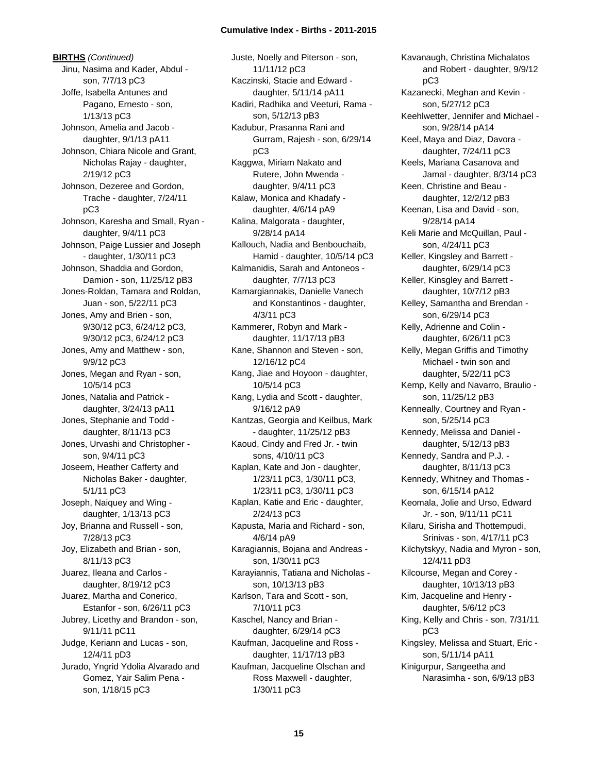**BIRTHS** *(Continued)* Jinu, Nasima and Kader, Abdul son, 7/7/13 pC3 Joffe, Isabella Antunes and Pagano, Ernesto - son, 1/13/13 pC3 Johnson, Amelia and Jacob daughter, 9/1/13 pA11 Johnson, Chiara Nicole and Grant, Nicholas Rajay - daughter, 2/19/12 pC3 Johnson, Dezeree and Gordon, Trache - daughter, 7/24/11 pC3 Johnson, Karesha and Small, Ryan daughter, 9/4/11 pC3 Johnson, Paige Lussier and Joseph - daughter, 1/30/11 pC3 Johnson, Shaddia and Gordon, Damion - son, 11/25/12 pB3 Jones-Roldan, Tamara and Roldan, Juan - son, 5/22/11 pC3 Jones, Amy and Brien - son, 9/30/12 pC3, 6/24/12 pC3, 9/30/12 pC3, 6/24/12 pC3 Jones, Amy and Matthew - son, 9/9/12 pC3 Jones, Megan and Ryan - son, 10/5/14 pC3 Jones, Natalia and Patrick daughter, 3/24/13 pA11 Jones, Stephanie and Todd daughter, 8/11/13 pC3 Jones, Urvashi and Christopher son, 9/4/11 pC3 Joseem, Heather Cafferty and Nicholas Baker - daughter, 5/1/11 pC3 Joseph, Naiquey and Wing daughter, 1/13/13 pC3 Joy, Brianna and Russell - son, 7/28/13 pC3 Joy, Elizabeth and Brian - son, 8/11/13 pC3 Juarez, Ileana and Carlos daughter, 8/19/12 pC3 Juarez, Martha and Conerico, Estanfor - son, 6/26/11 pC3 Jubrey, Licethy and Brandon - son, 9/11/11 pC11 Judge, Keriann and Lucas - son, 12/4/11 pD3 Jurado, Yngrid Ydolia Alvarado and Gomez, Yair Salim Pena son, 1/18/15 pC3

Juste, Noelly and Piterson - son, 11/11/12 pC3 Kaczinski, Stacie and Edward daughter, 5/11/14 pA11 Kadiri, Radhika and Veeturi, Rama son, 5/12/13 pB3 Kadubur, Prasanna Rani and Gurram, Rajesh - son, 6/29/14 pC3 Kaggwa, Miriam Nakato and Rutere, John Mwenda daughter, 9/4/11 pC3 Kalaw, Monica and Khadafy daughter, 4/6/14 pA9 Kalina, Malgorata - daughter, 9/28/14 pA14 Kallouch, Nadia and Benbouchaib, Hamid - daughter, 10/5/14 pC3 Kalmanidis, Sarah and Antoneos daughter, 7/7/13 pC3 Kamargiannakis, Danielle Vanech and Konstantinos - daughter, 4/3/11 pC3 Kammerer, Robyn and Mark daughter, 11/17/13 pB3 Kane, Shannon and Steven - son, 12/16/12 pC4 Kang, Jiae and Hoyoon - daughter, 10/5/14 pC3 Kang, Lydia and Scott - daughter, 9/16/12 pA9 Kantzas, Georgia and Keilbus, Mark - daughter, 11/25/12 pB3 Kaoud, Cindy and Fred Jr. - twin sons, 4/10/11 pC3 Kaplan, Kate and Jon - daughter, 1/23/11 pC3, 1/30/11 pC3, 1/23/11 pC3, 1/30/11 pC3 Kaplan, Katie and Eric - daughter, 2/24/13 pC3 Kapusta, Maria and Richard - son, 4/6/14 pA9 Karagiannis, Bojana and Andreas son, 1/30/11 pC3 Karayiannis, Tatiana and Nicholas son, 10/13/13 pB3 Karlson, Tara and Scott - son, 7/10/11 pC3 Kaschel, Nancy and Brian daughter, 6/29/14 pC3 Kaufman, Jacqueline and Ross daughter, 11/17/13 pB3 Kaufman, Jacqueline Olschan and Ross Maxwell - daughter, 1/30/11 pC3

Kavanaugh, Christina Michalatos and Robert - daughter, 9/9/12 pC3 Kazanecki, Meghan and Kevin son, 5/27/12 pC3 Keehlwetter, Jennifer and Michael son, 9/28/14 pA14 Keel, Maya and Diaz, Davora daughter, 7/24/11 pC3 Keels, Mariana Casanova and Jamal - daughter, 8/3/14 pC3 Keen, Christine and Beau daughter, 12/2/12 pB3 Keenan, Lisa and David - son, 9/28/14 pA14 Keli Marie and McQuillan, Paul son, 4/24/11 pC3 Keller, Kingsley and Barrett daughter, 6/29/14 pC3 Keller, Kinsgley and Barrett daughter, 10/7/12 pB3 Kelley, Samantha and Brendan son, 6/29/14 pC3 Kelly, Adrienne and Colin daughter, 6/26/11 pC3 Kelly, Megan Griffis and Timothy Michael - twin son and daughter, 5/22/11 pC3 Kemp, Kelly and Navarro, Braulio son, 11/25/12 pB3 Kenneally, Courtney and Ryan son, 5/25/14 pC3 Kennedy, Melissa and Daniel daughter, 5/12/13 pB3 Kennedy, Sandra and P.J. daughter, 8/11/13 pC3 Kennedy, Whitney and Thomas son, 6/15/14 pA12 Keomala, Jolie and Urso, Edward Jr. - son, 9/11/11 pC11 Kilaru, Sirisha and Thottempudi, Srinivas - son, 4/17/11 pC3 Kilchytskyy, Nadia and Myron - son, 12/4/11 pD3 Kilcourse, Megan and Corey daughter, 10/13/13 pB3 Kim, Jacqueline and Henry daughter, 5/6/12 pC3 King, Kelly and Chris - son, 7/31/11 pC3 Kingsley, Melissa and Stuart, Eric son, 5/11/14 pA11 Kinigurpur, Sangeetha and Narasimha - son, 6/9/13 pB3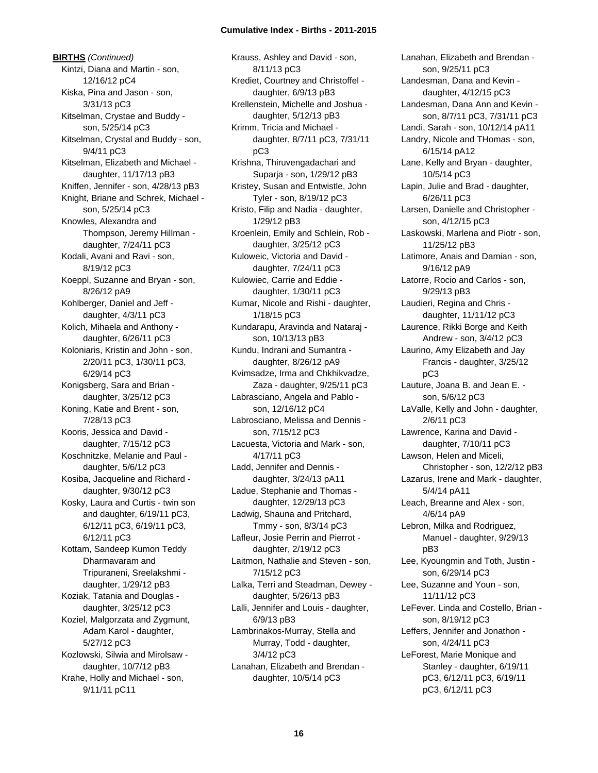**BIRTHS** *(Continued)* Kintzi, Diana and Martin - son, 12/16/12 pC4 Kiska, Pina and Jason - son, 3/31/13 pC3 Kitselman, Crystae and Buddy son, 5/25/14 pC3 Kitselman, Crystal and Buddy - son, 9/4/11 pC3 Kitselman, Elizabeth and Michael daughter, 11/17/13 pB3 Kniffen, Jennifer - son, 4/28/13 pB3 Knight, Briane and Schrek, Michael son, 5/25/14 pC3 Knowles, Alexandra and Thompson, Jeremy Hillman daughter, 7/24/11 pC3 Kodali, Avani and Ravi - son, 8/19/12 pC3 Koeppl, Suzanne and Bryan - son, 8/26/12 pA9 Kohlberger, Daniel and Jeff daughter, 4/3/11 pC3 Kolich, Mihaela and Anthony daughter, 6/26/11 pC3 Koloniaris, Kristin and John - son, 2/20/11 pC3, 1/30/11 pC3, 6/29/14 pC3 Konigsberg, Sara and Brian daughter, 3/25/12 pC3 Koning, Katie and Brent - son, 7/28/13 pC3 Kooris, Jessica and David daughter, 7/15/12 pC3 Koschnitzke, Melanie and Paul daughter, 5/6/12 pC3 Kosiba, Jacqueline and Richard daughter, 9/30/12 pC3 Kosky, Laura and Curtis - twin son and daughter, 6/19/11 pC3, 6/12/11 pC3, 6/19/11 pC3, 6/12/11 pC3 Kottam, Sandeep Kumon Teddy Dharmavaram and Tripuraneni, Sreelakshmi daughter, 1/29/12 pB3 Koziak, Tatania and Douglas daughter, 3/25/12 pC3 Koziel, Malgorzata and Zygmunt, Adam Karol - daughter, 5/27/12 pC3 Kozlowski, Silwia and Mirolsaw daughter, 10/7/12 pB3 Krahe, Holly and Michael - son, 9/11/11 pC11

Krauss, Ashley and David - son, 8/11/13 pC3 Krediet, Courtney and Christoffel daughter, 6/9/13 pB3 Krellenstein, Michelle and Joshua daughter, 5/12/13 pB3 Krimm, Tricia and Michael daughter, 8/7/11 pC3, 7/31/11 pC3 Krishna, Thiruvengadachari and Suparja - son, 1/29/12 pB3 Kristey, Susan and Entwistle, John Tyler - son, 8/19/12 pC3 Kristo, Filip and Nadia - daughter, 1/29/12 pB3 Kroenlein, Emily and Schlein, Rob daughter, 3/25/12 pC3 Kuloweic, Victoria and David daughter, 7/24/11 pC3 Kulowiec, Carrie and Eddie daughter, 1/30/11 pC3 Kumar, Nicole and Rishi - daughter, 1/18/15 pC3 Kundarapu, Aravinda and Nataraj son, 10/13/13 pB3 Kundu, Indrani and Sumantra daughter, 8/26/12 pA9 Kvimsadze, Irma and Chkhikvadze, Zaza - daughter, 9/25/11 pC3 Labrasciano, Angela and Pablo son, 12/16/12 pC4 Labrosciano, Melissa and Dennis son, 7/15/12 pC3 Lacuesta, Victoria and Mark - son, 4/17/11 pC3 Ladd, Jennifer and Dennis daughter, 3/24/13 pA11 Ladue, Stephanie and Thomas daughter, 12/29/13 pC3 Ladwig, Shauna and Pritchard, Tmmy - son, 8/3/14 pC3 Lafleur, Josie Perrin and Pierrot daughter, 2/19/12 pC3 Laitmon, Nathalie and Steven - son, 7/15/12 pC3 Lalka, Terri and Steadman, Dewey daughter, 5/26/13 pB3 Lalli, Jennifer and Louis - daughter, 6/9/13 pB3 Lambrinakos-Murray, Stella and Murray, Todd - daughter, 3/4/12 pC3 Lanahan, Elizabeth and Brendan daughter, 10/5/14 pC3

Lanahan, Elizabeth and Brendan son, 9/25/11 pC3 Landesman, Dana and Kevin daughter, 4/12/15 pC3 Landesman, Dana Ann and Kevin son, 8/7/11 pC3, 7/31/11 pC3 Landi, Sarah - son, 10/12/14 pA11 Landry, Nicole and THomas - son, 6/15/14 pA12 Lane, Kelly and Bryan - daughter, 10/5/14 pC3 Lapin, Julie and Brad - daughter, 6/26/11 pC3 Larsen, Danielle and Christopher son, 4/12/15 pC3 Laskowski, Marlena and Piotr - son, 11/25/12 pB3 Latimore, Anais and Damian - son, 9/16/12 pA9 Latorre, Rocio and Carlos - son, 9/29/13 pB3 Laudieri, Regina and Chris daughter, 11/11/12 pC3 Laurence, Rikki Borge and Keith Andrew - son, 3/4/12 pC3 Laurino, Amy Elizabeth and Jay Francis - daughter, 3/25/12 pC3 Lauture, Joana B. and Jean E. son, 5/6/12 pC3 LaValle, Kelly and John - daughter, 2/6/11 pC3 Lawrence, Karina and David daughter, 7/10/11 pC3 Lawson, Helen and Miceli, Christopher - son, 12/2/12 pB3 Lazarus, Irene and Mark - daughter, 5/4/14 pA11 Leach, Breanne and Alex - son, 4/6/14 pA9 Lebron, Milka and Rodriguez, Manuel - daughter, 9/29/13 pB3 Lee, Kyoungmin and Toth, Justin son, 6/29/14 pC3 Lee, Suzanne and Youn - son, 11/11/12 pC3 LeFever. Linda and Costello, Brian son, 8/19/12 pC3 Leffers, Jennifer and Jonathon son, 4/24/11 pC3 LeForest, Marie Monique and Stanley - daughter, 6/19/11 pC3, 6/12/11 pC3, 6/19/11 pC3, 6/12/11 pC3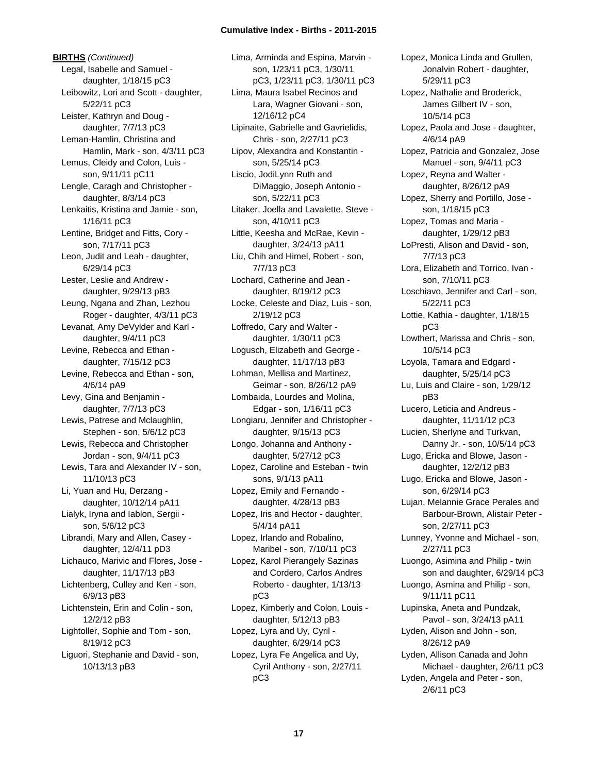**BIRTHS** *(Continued)* Legal, Isabelle and Samuel daughter, 1/18/15 pC3 Leibowitz, Lori and Scott - daughter, 5/22/11 pC3 Leister, Kathryn and Doug daughter, 7/7/13 pC3 Leman-Hamlin, Christina and Hamlin, Mark - son, 4/3/11 pC3 Lemus, Cleidy and Colon, Luis son, 9/11/11 pC11 Lengle, Caragh and Christopher daughter, 8/3/14 pC3 Lenkaitis, Kristina and Jamie - son, 1/16/11 pC3 Lentine, Bridget and Fitts, Cory son, 7/17/11 pC3 Leon, Judit and Leah - daughter, 6/29/14 pC3 Lester, Leslie and Andrew daughter, 9/29/13 pB3 Leung, Ngana and Zhan, Lezhou Roger - daughter, 4/3/11 pC3 Levanat, Amy DeVylder and Karl daughter, 9/4/11 pC3 Levine, Rebecca and Ethan daughter, 7/15/12 pC3 Levine, Rebecca and Ethan - son, 4/6/14 pA9 Levy, Gina and Benjamin daughter, 7/7/13 pC3 Lewis, Patrese and Mclaughlin, Stephen - son, 5/6/12 pC3 Lewis, Rebecca and Christopher Jordan - son, 9/4/11 pC3 Lewis, Tara and Alexander IV - son, 11/10/13 pC3 Li, Yuan and Hu, Derzang daughter, 10/12/14 pA11 Lialyk, Iryna and Iablon, Sergii son, 5/6/12 pC3 Librandi, Mary and Allen, Casey daughter, 12/4/11 pD3 Lichauco, Marivic and Flores, Jose daughter, 11/17/13 pB3 Lichtenberg, Culley and Ken - son, 6/9/13 pB3 Lichtenstein, Erin and Colin - son, 12/2/12 pB3 Lightoller, Sophie and Tom - son, 8/19/12 pC3 Liguori, Stephanie and David - son, 10/13/13 pB3

Lima, Arminda and Espina, Marvin son, 1/23/11 pC3, 1/30/11 pC3, 1/23/11 pC3, 1/30/11 pC3 Lima, Maura Isabel Recinos and Lara, Wagner Giovani - son, 12/16/12 pC4 Lipinaite, Gabrielle and Gavrielidis, Chris - son, 2/27/11 pC3 Lipov, Alexandra and Konstantin son, 5/25/14 pC3 Liscio, JodiLynn Ruth and DiMaggio, Joseph Antonio son, 5/22/11 pC3 Litaker, Joella and Lavalette, Steve son, 4/10/11 pC3 Little, Keesha and McRae, Kevin daughter, 3/24/13 pA11 Liu, Chih and Himel, Robert - son, 7/7/13 pC3 Lochard, Catherine and Jean daughter, 8/19/12 pC3 Locke, Celeste and Diaz, Luis - son, 2/19/12 pC3 Loffredo, Cary and Walter daughter, 1/30/11 pC3 Logusch, Elizabeth and George daughter, 11/17/13 pB3 Lohman, Mellisa and Martinez, Geimar - son, 8/26/12 pA9 Lombaida, Lourdes and Molina, Edgar - son, 1/16/11 pC3 Longiaru, Jennifer and Christopher daughter, 9/15/13 pC3 Longo, Johanna and Anthony daughter, 5/27/12 pC3 Lopez, Caroline and Esteban - twin sons, 9/1/13 pA11 Lopez, Emily and Fernando daughter, 4/28/13 pB3 Lopez, Iris and Hector - daughter, 5/4/14 pA11 Lopez, Irlando and Robalino, Maribel - son, 7/10/11 pC3 Lopez, Karol Pierangely Sazinas and Cordero, Carlos Andres Roberto - daughter, 1/13/13 pC3 Lopez, Kimberly and Colon, Louis daughter, 5/12/13 pB3 Lopez, Lyra and Uy, Cyril daughter, 6/29/14 pC3 Lopez, Lyra Fe Angelica and Uy, Cyril Anthony - son, 2/27/11 pC3

Lopez, Monica Linda and Grullen, Jonalvin Robert - daughter, 5/29/11 pC3 Lopez, Nathalie and Broderick, James Gilbert IV - son, 10/5/14 pC3 Lopez, Paola and Jose - daughter, 4/6/14 pA9 Lopez, Patricia and Gonzalez, Jose Manuel - son, 9/4/11 pC3 Lopez, Reyna and Walter daughter, 8/26/12 pA9 Lopez, Sherry and Portillo, Jose son, 1/18/15 pC3 Lopez, Tomas and Maria daughter, 1/29/12 pB3 LoPresti, Alison and David - son, 7/7/13 pC3 Lora, Elizabeth and Torrico, Ivan son, 7/10/11 pC3 Loschiavo, Jennifer and Carl - son, 5/22/11 pC3 Lottie, Kathia - daughter, 1/18/15 pC3 Lowthert, Marissa and Chris - son, 10/5/14 pC3 Loyola, Tamara and Edgard daughter, 5/25/14 pC3 Lu, Luis and Claire - son, 1/29/12 pB3 Lucero, Leticia and Andreus daughter, 11/11/12 pC3 Lucien, Sherlyne and Turkvan, Danny Jr. - son, 10/5/14 pC3 Lugo, Ericka and Blowe, Jason daughter, 12/2/12 pB3 Lugo, Ericka and Blowe, Jason son, 6/29/14 pC3 Lujan, Melannie Grace Perales and Barbour-Brown, Alistair Peter son, 2/27/11 pC3 Lunney, Yvonne and Michael - son, 2/27/11 pC3 Luongo, Asimina and Philip - twin son and daughter, 6/29/14 pC3 Luongo, Asmina and Philip - son, 9/11/11 pC11 Lupinska, Aneta and Pundzak, Pavol - son, 3/24/13 pA11 Lyden, Alison and John - son, 8/26/12 pA9 Lyden, Allison Canada and John Michael - daughter, 2/6/11 pC3 Lyden, Angela and Peter - son, 2/6/11 pC3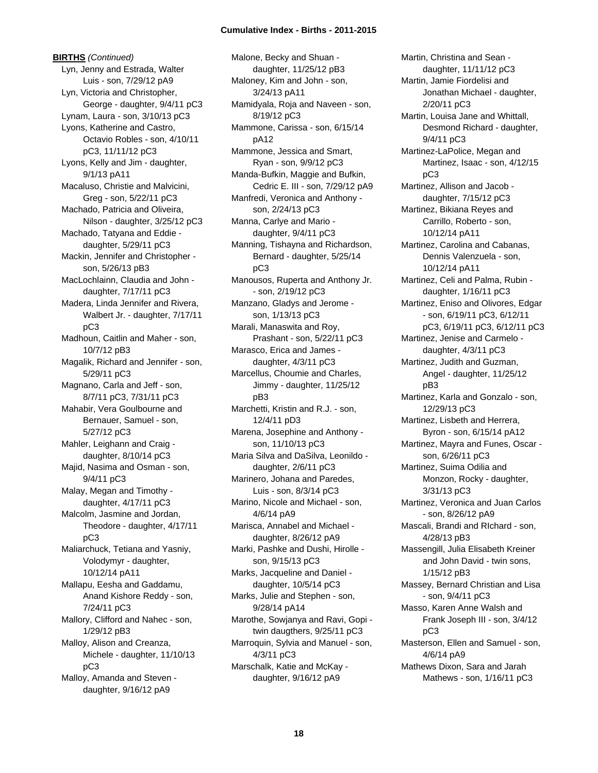**BIRTHS** *(Continued)* Lyn, Jenny and Estrada, Walter Luis - son, 7/29/12 pA9 Lyn, Victoria and Christopher, George - daughter, 9/4/11 pC3 Lynam, Laura - son, 3/10/13 pC3 Lyons, Katherine and Castro, Octavio Robles - son, 4/10/11 pC3, 11/11/12 pC3 Lyons, Kelly and Jim - daughter, 9/1/13 pA11 Macaluso, Christie and Malvicini, Greg - son, 5/22/11 pC3 Machado, Patricia and Oliveira, Nilson - daughter, 3/25/12 pC3 Machado, Tatyana and Eddie daughter, 5/29/11 pC3 Mackin, Jennifer and Christopher son, 5/26/13 pB3 MacLochlainn, Claudia and John daughter, 7/17/11 pC3 Madera, Linda Jennifer and Rivera, Walbert Jr. - daughter, 7/17/11 pC3 Madhoun, Caitlin and Maher - son, 10/7/12 pB3 Magalik, Richard and Jennifer - son, 5/29/11 pC3 Magnano, Carla and Jeff - son, 8/7/11 pC3, 7/31/11 pC3 Mahabir, Vera Goulbourne and Bernauer, Samuel - son, 5/27/12 pC3 Mahler, Leighann and Craig daughter, 8/10/14 pC3 Majid, Nasima and Osman - son, 9/4/11 pC3 Malay, Megan and Timothy daughter, 4/17/11 pC3 Malcolm, Jasmine and Jordan, Theodore - daughter, 4/17/11 pC3 Maliarchuck, Tetiana and Yasniy, Volodymyr - daughter, 10/12/14 pA11 Mallapu, Eesha and Gaddamu, Anand Kishore Reddy - son, 7/24/11 pC3 Mallory, Clifford and Nahec - son, 1/29/12 pB3 Malloy, Alison and Creanza, Michele - daughter, 11/10/13 pC3 Malloy, Amanda and Steven daughter, 9/16/12 pA9

Malone, Becky and Shuan daughter, 11/25/12 pB3 Maloney, Kim and John - son, 3/24/13 pA11 Mamidyala, Roja and Naveen - son, 8/19/12 pC3 Mammone, Carissa - son, 6/15/14 pA12 Mammone, Jessica and Smart, Ryan - son, 9/9/12 pC3 Manda-Bufkin, Maggie and Bufkin, Cedric E. III - son, 7/29/12 pA9 Manfredi, Veronica and Anthony son, 2/24/13 pC3 Manna, Carlye and Mario daughter, 9/4/11 pC3 Manning, Tishayna and Richardson, Bernard - daughter, 5/25/14 pC3 Manousos, Ruperta and Anthony Jr. - son, 2/19/12 pC3 Manzano, Gladys and Jerome son, 1/13/13 pC3 Marali, Manaswita and Roy, Prashant - son, 5/22/11 pC3 Marasco, Erica and James daughter, 4/3/11 pC3 Marcellus, Choumie and Charles, Jimmy - daughter, 11/25/12 pB3 Marchetti, Kristin and R.J. - son, 12/4/11 pD3 Marena, Josephine and Anthony son, 11/10/13 pC3 Maria Silva and DaSilva, Leonildo daughter, 2/6/11 pC3 Marinero, Johana and Paredes, Luis - son, 8/3/14 pC3 Marino, Nicole and Michael - son, 4/6/14 pA9 Marisca, Annabel and Michael daughter, 8/26/12 pA9 Marki, Pashke and Dushi, Hirolle son, 9/15/13 pC3 Marks, Jacqueline and Daniel daughter, 10/5/14 pC3 Marks, Julie and Stephen - son, 9/28/14 pA14 Marothe, Sowjanya and Ravi, Gopi twin daugthers, 9/25/11 pC3 Marroquin, Sylvia and Manuel - son, 4/3/11 pC3 Marschalk, Katie and McKay daughter, 9/16/12 pA9

Martin, Christina and Sean daughter, 11/11/12 pC3 Martin, Jamie Fiordelisi and Jonathan Michael - daughter, 2/20/11 pC3 Martin, Louisa Jane and Whittall, Desmond Richard - daughter, 9/4/11 pC3 Martinez-LaPolice, Megan and Martinez, Isaac - son, 4/12/15 pC3 Martinez, Allison and Jacob daughter, 7/15/12 pC3 Martinez, Bikiana Reyes and Carrillo, Roberto - son, 10/12/14 pA11 Martinez, Carolina and Cabanas, Dennis Valenzuela - son, 10/12/14 pA11 Martinez, Celi and Palma, Rubin daughter, 1/16/11 pC3 Martinez, Eniso and Olivores, Edgar - son, 6/19/11 pC3, 6/12/11 pC3, 6/19/11 pC3, 6/12/11 pC3 Martinez, Jenise and Carmelo daughter, 4/3/11 pC3 Martinez, Judith and Guzman, Angel - daughter, 11/25/12 pB3 Martinez, Karla and Gonzalo - son, 12/29/13 pC3 Martinez, Lisbeth and Herrera, Byron - son, 6/15/14 pA12 Martinez, Mayra and Funes, Oscar son, 6/26/11 pC3 Martinez, Suima Odilia and Monzon, Rocky - daughter, 3/31/13 pC3 Martinez, Veronica and Juan Carlos - son, 8/26/12 pA9 Mascali, Brandi and RIchard - son, 4/28/13 pB3 Massengill, Julia Elisabeth Kreiner and John David - twin sons, 1/15/12 pB3 Massey, Bernard Christian and Lisa - son, 9/4/11 pC3 Masso, Karen Anne Walsh and Frank Joseph III - son, 3/4/12 pC3 Masterson, Ellen and Samuel - son, 4/6/14 pA9 Mathews Dixon, Sara and Jarah Mathews - son, 1/16/11 pC3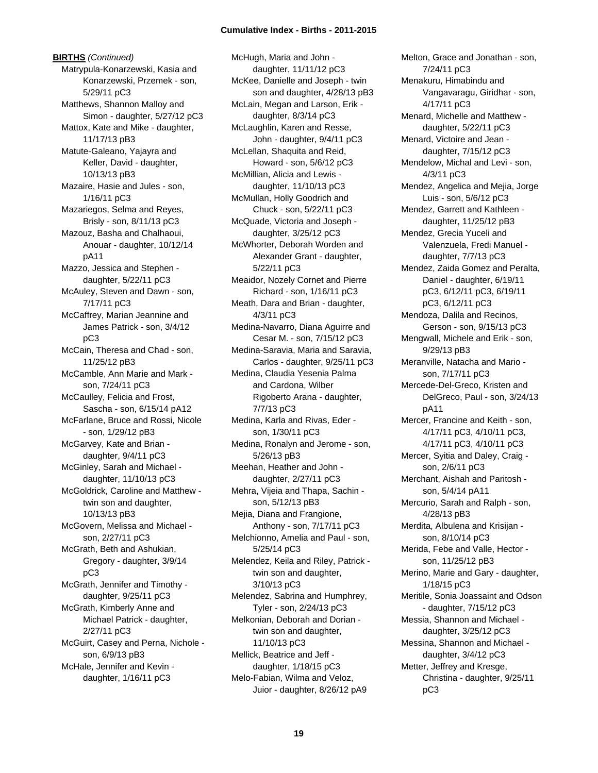**BIRTHS** *(Continued)* Matrypula-Konarzewski, Kasia and Konarzewski, Przemek - son, 5/29/11 pC3 Matthews, Shannon Malloy and Simon - daughter, 5/27/12 pC3 Mattox, Kate and Mike - daughter, 11/17/13 pB3 Matute-Galeano, Yajayra and Keller, David - daughter, 10/13/13 pB3 Mazaire, Hasie and Jules - son, 1/16/11 pC3 Mazariegos, Selma and Reyes, Brisly - son, 8/11/13 pC3 Mazouz, Basha and Chalhaoui, Anouar - daughter, 10/12/14 pA11 Mazzo, Jessica and Stephen daughter, 5/22/11 pC3 McAuley, Steven and Dawn - son, 7/17/11 pC3 McCaffrey, Marian Jeannine and James Patrick - son, 3/4/12 pC3 McCain, Theresa and Chad - son, 11/25/12 pB3 McCamble, Ann Marie and Mark son, 7/24/11 pC3 McCaulley, Felicia and Frost, Sascha - son, 6/15/14 pA12 McFarlane, Bruce and Rossi, Nicole - son, 1/29/12 pB3 McGarvey, Kate and Brian daughter, 9/4/11 pC3 McGinley, Sarah and Michael daughter, 11/10/13 pC3 McGoldrick, Caroline and Matthew twin son and daughter, 10/13/13 pB3 McGovern, Melissa and Michael son, 2/27/11 pC3 McGrath, Beth and Ashukian, Gregory - daughter, 3/9/14 pC3 McGrath, Jennifer and Timothy daughter, 9/25/11 pC3 McGrath, Kimberly Anne and Michael Patrick - daughter, 2/27/11 pC3 McGuirt, Casey and Perna, Nichole son, 6/9/13 pB3 McHale, Jennifer and Kevin daughter, 1/16/11 pC3

McHugh, Maria and John daughter, 11/11/12 pC3 McKee, Danielle and Joseph - twin son and daughter, 4/28/13 pB3 McLain, Megan and Larson, Erik daughter, 8/3/14 pC3 McLaughlin, Karen and Resse, John - daughter, 9/4/11 pC3 McLellan, Shaquita and Reid, Howard - son, 5/6/12 pC3 McMillian, Alicia and Lewis daughter, 11/10/13 pC3 McMullan, Holly Goodrich and Chuck - son, 5/22/11 pC3 McQuade, Victoria and Joseph daughter, 3/25/12 pC3 McWhorter, Deborah Worden and Alexander Grant - daughter, 5/22/11 pC3 Meaidor, Nozely Cornet and Pierre Richard - son, 1/16/11 pC3 Meath, Dara and Brian - daughter, 4/3/11 pC3 Medina-Navarro, Diana Aguirre and Cesar M. - son, 7/15/12 pC3 Medina-Saravia, Maria and Saravia, Carlos - daughter, 9/25/11 pC3 Medina, Claudia Yesenia Palma and Cardona, Wilber Rigoberto Arana - daughter, 7/7/13 pC3 Medina, Karla and Rivas, Eder son, 1/30/11 pC3 Medina, Ronalyn and Jerome - son, 5/26/13 pB3 Meehan, Heather and John daughter, 2/27/11 pC3 Mehra, Vijeia and Thapa, Sachin son, 5/12/13 pB3 Mejia, Diana and Frangione, Anthony - son, 7/17/11 pC3 Melchionno, Amelia and Paul - son, 5/25/14 pC3 Melendez, Keila and Riley, Patrick twin son and daughter, 3/10/13 pC3 Melendez, Sabrina and Humphrey, Tyler - son, 2/24/13 pC3 Melkonian, Deborah and Dorian twin son and daughter, 11/10/13 pC3 Mellick, Beatrice and Jeff daughter, 1/18/15 pC3 Melo-Fabian, Wilma and Veloz, Juior - daughter, 8/26/12 pA9

Melton, Grace and Jonathan - son, 7/24/11 pC3 Menakuru, Himabindu and Vangavaragu, Giridhar - son, 4/17/11 pC3 Menard, Michelle and Matthew daughter, 5/22/11 pC3 Menard, Victoire and Jean daughter, 7/15/12 pC3 Mendelow, Michal and Levi - son, 4/3/11 pC3 Mendez, Angelica and Mejia, Jorge Luis - son, 5/6/12 pC3 Mendez, Garrett and Kathleen daughter, 11/25/12 pB3 Mendez, Grecia Yuceli and Valenzuela, Fredi Manuel daughter, 7/7/13 pC3 Mendez, Zaida Gomez and Peralta, Daniel - daughter, 6/19/11 pC3, 6/12/11 pC3, 6/19/11 pC3, 6/12/11 pC3 Mendoza, Dalila and Recinos, Gerson - son, 9/15/13 pC3 Mengwall, Michele and Erik - son, 9/29/13 pB3 Meranville, Natacha and Mario son, 7/17/11 pC3 Mercede-Del-Greco, Kristen and DelGreco, Paul - son, 3/24/13 pA11 Mercer, Francine and Keith - son, 4/17/11 pC3, 4/10/11 pC3, 4/17/11 pC3, 4/10/11 pC3 Mercer, Syitia and Daley, Craig son, 2/6/11 pC3 Merchant, Aishah and Paritosh son, 5/4/14 pA11 Mercurio, Sarah and Ralph - son, 4/28/13 pB3 Merdita, Albulena and Krisijan son, 8/10/14 pC3 Merida, Febe and Valle, Hector son, 11/25/12 pB3 Merino, Marie and Gary - daughter, 1/18/15 pC3 Meritile, Sonia Joassaint and Odson - daughter, 7/15/12 pC3 Messia, Shannon and Michael daughter, 3/25/12 pC3 Messina, Shannon and Michael daughter, 3/4/12 pC3 Metter, Jeffrey and Kresge, Christina - daughter, 9/25/11 pC3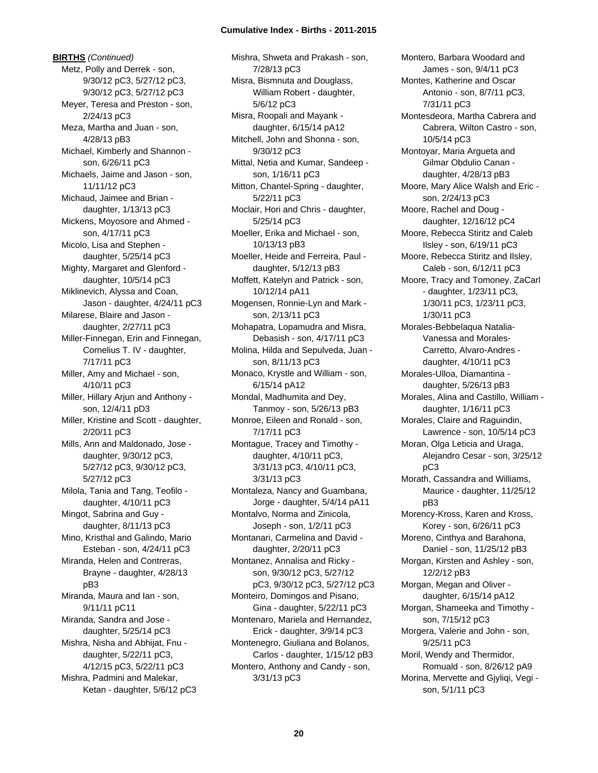**BIRTHS** *(Continued)* Metz, Polly and Derrek - son, 9/30/12 pC3, 5/27/12 pC3, 9/30/12 pC3, 5/27/12 pC3 Meyer, Teresa and Preston - son, 2/24/13 pC3 Meza, Martha and Juan - son, 4/28/13 pB3 Michael, Kimberly and Shannon son, 6/26/11 pC3 Michaels, Jaime and Jason - son, 11/11/12 pC3 Michaud, Jaimee and Brian daughter, 1/13/13 pC3 Mickens, Moyosore and Ahmed son, 4/17/11 pC3 Micolo, Lisa and Stephen daughter, 5/25/14 pC3 Mighty, Margaret and Glenford daughter, 10/5/14 pC3 Miklinevich, Alyssa and Coan, Jason - daughter, 4/24/11 pC3 Milarese, Blaire and Jason daughter, 2/27/11 pC3 Miller-Finnegan, Erin and Finnegan, Cornelius T. IV - daughter, 7/17/11 pC3 Miller, Amy and Michael - son, 4/10/11 pC3 Miller, Hillary Arjun and Anthony son, 12/4/11 pD3 Miller, Kristine and Scott - daughter, 2/20/11 pC3 Mills, Ann and Maldonado, Jose daughter, 9/30/12 pC3, 5/27/12 pC3, 9/30/12 pC3, 5/27/12 pC3 Milola, Tania and Tang, Teofilo daughter, 4/10/11 pC3 Mingot, Sabrina and Guy daughter, 8/11/13 pC3 Mino, Kristhal and Galindo, Mario Esteban - son, 4/24/11 pC3 Miranda, Helen and Contreras, Brayne - daughter, 4/28/13 pB3 Miranda, Maura and Ian - son, 9/11/11 pC11 Miranda, Sandra and Jose daughter, 5/25/14 pC3 Mishra, Nisha and Abhijat, Fnu daughter, 5/22/11 pC3, 4/12/15 pC3, 5/22/11 pC3 Mishra, Padmini and Malekar, Ketan - daughter, 5/6/12 pC3

Mishra, Shweta and Prakash - son, 7/28/13 pC3 Misra, Bismnuta and Douglass, William Robert - daughter, 5/6/12 pC3 Misra, Roopali and Mayank daughter, 6/15/14 pA12 Mitchell, John and Shonna - son, 9/30/12 pC3 Mittal, Netia and Kumar, Sandeep son, 1/16/11 pC3 Mitton, Chantel-Spring - daughter, 5/22/11 pC3 Moclair, Hori and Chris - daughter, 5/25/14 pC3 Moeller, Erika and Michael - son, 10/13/13 pB3 Moeller, Heide and Ferreira, Paul daughter, 5/12/13 pB3 Moffett, Katelyn and Patrick - son, 10/12/14 pA11 Mogensen, Ronnie-Lyn and Mark son, 2/13/11 pC3 Mohapatra, Lopamudra and Misra, Debasish - son, 4/17/11 pC3 Molina, Hilda and Sepulveda, Juan son, 8/11/13 pC3 Monaco, Krystle and William - son, 6/15/14 pA12 Mondal, Madhumita and Dey, Tanmoy - son, 5/26/13 pB3 Monroe, Eileen and Ronald - son, 7/17/11 pC3 Montague, Tracey and Timothy daughter, 4/10/11 pC3, 3/31/13 pC3, 4/10/11 pC3, 3/31/13 pC3 Montaleza, Nancy and Guambana, Jorge - daughter, 5/4/14 pA11 Montalvo, Norma and Zinicola, Joseph - son, 1/2/11 pC3 Montanari, Carmelina and David daughter, 2/20/11 pC3 Montanez, Annalisa and Ricky son, 9/30/12 pC3, 5/27/12 pC3, 9/30/12 pC3, 5/27/12 pC3 Monteiro, Domingos and Pisano, Gina - daughter, 5/22/11 pC3 Montenaro, Mariela and Hernandez, Erick - daughter, 3/9/14 pC3 Montenegro, Giuliana and Bolanos, Carlos - daughter, 1/15/12 pB3 Montero, Anthony and Candy - son, 3/31/13 pC3

Montero, Barbara Woodard and James - son, 9/4/11 pC3 Montes, Katherine and Oscar Antonio - son, 8/7/11 pC3, 7/31/11 pC3 Montesdeora, Martha Cabrera and Cabrera, Wilton Castro - son, 10/5/14 pC3 Montoyar, Maria Argueta and Gilmar Obdulio Canan daughter, 4/28/13 pB3 Moore, Mary Alice Walsh and Eric son, 2/24/13 pC3 Moore, Rachel and Doug daughter, 12/16/12 pC4 Moore, Rebecca Stiritz and Caleb Ilsley - son, 6/19/11 pC3 Moore, Rebecca Stiritz and Ilsley, Caleb - son, 6/12/11 pC3 Moore, Tracy and Tomoney, ZaCarl - daughter, 1/23/11 pC3, 1/30/11 pC3, 1/23/11 pC3, 1/30/11 pC3 Morales-Bebbelaqua Natalia-Vanessa and Morales-Carretto, Alvaro-Andres daughter, 4/10/11 pC3 Morales-Ulloa, Diamantina daughter, 5/26/13 pB3 Morales, Alina and Castillo, William daughter, 1/16/11 pC3 Morales, Claire and Raguindin, Lawrence - son, 10/5/14 pC3 Moran, Olga Leticia and Uraga, Alejandro Cesar - son, 3/25/12 pC3 Morath, Cassandra and Williams, Maurice - daughter, 11/25/12 pB3 Morency-Kross, Karen and Kross, Korey - son, 6/26/11 pC3 Moreno, Cinthya and Barahona, Daniel - son, 11/25/12 pB3 Morgan, Kirsten and Ashley - son, 12/2/12 pB3 Morgan, Megan and Oliver daughter, 6/15/14 pA12 Morgan, Shameeka and Timothy son, 7/15/12 pC3 Morgera, Valerie and John - son, 9/25/11 pC3 Moril, Wendy and Thermidor, Romuald - son, 8/26/12 pA9 Morina, Mervette and Gjyliqi, Vegi son, 5/1/11 pC3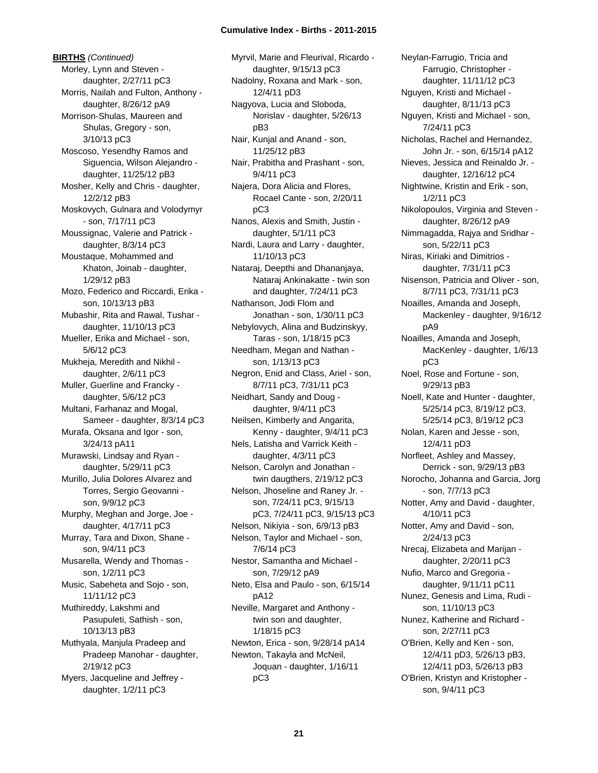**BIRTHS** *(Continued)* Morley, Lynn and Steven daughter, 2/27/11 pC3 Morris, Nailah and Fulton, Anthony daughter, 8/26/12 pA9 Morrison-Shulas, Maureen and Shulas, Gregory - son, 3/10/13 pC3 Moscoso, Yesendhy Ramos and Siguencia, Wilson Alejandro daughter, 11/25/12 pB3 Mosher, Kelly and Chris - daughter, 12/2/12 pB3 Moskovych, Gulnara and Volodymyr - son, 7/17/11 pC3 Moussignac, Valerie and Patrick daughter, 8/3/14 pC3 Moustaque, Mohammed and Khaton, Joinab - daughter, 1/29/12 pB3 Mozo, Federico and Riccardi, Erika son, 10/13/13 pB3 Mubashir, Rita and Rawal, Tushar daughter, 11/10/13 pC3 Mueller, Erika and Michael - son, 5/6/12 pC3 Mukheja, Meredith and Nikhil daughter, 2/6/11 pC3 Muller, Guerline and Francky daughter, 5/6/12 pC3 Multani, Farhanaz and Mogal, Sameer - daughter, 8/3/14 pC3 Murafa, Oksana and Igor - son, 3/24/13 pA11 Murawski, Lindsay and Ryan daughter, 5/29/11 pC3 Murillo, Julia Dolores Alvarez and Torres, Sergio Geovanni son, 9/9/12 pC3 Murphy, Meghan and Jorge, Joe daughter, 4/17/11 pC3 Murray, Tara and Dixon, Shane son, 9/4/11 pC3 Musarella, Wendy and Thomas son, 1/2/11 pC3 Music, Sabeheta and Sojo - son, 11/11/12 pC3 Muthireddy, Lakshmi and Pasupuleti, Sathish - son, 10/13/13 pB3 Muthyala, Manjula Pradeep and Pradeep Manohar - daughter, 2/19/12 pC3 Myers, Jacqueline and Jeffrey daughter, 1/2/11 pC3

Myrvil, Marie and Fleurival, Ricardo daughter, 9/15/13 pC3 Nadolny, Roxana and Mark - son, 12/4/11 pD3 Nagyova, Lucia and Sloboda, Norislav - daughter, 5/26/13 pB3 Nair, Kunjal and Anand - son, 11/25/12 pB3 Nair, Prabitha and Prashant - son, 9/4/11 pC3 Najera, Dora Alicia and Flores, Rocael Cante - son, 2/20/11 pC3 Nanos, Alexis and Smith, Justin daughter, 5/1/11 pC3 Nardi, Laura and Larry - daughter, 11/10/13 pC3 Nataraj, Deepthi and Dhananjaya, Nataraj Ankinakatte - twin son and daughter, 7/24/11 pC3 Nathanson, Jodi Flom and Jonathan - son, 1/30/11 pC3 Nebylovych, Alina and Budzinskyy, Taras - son, 1/18/15 pC3 Needham, Megan and Nathan son, 1/13/13 pC3 Negron, Enid and Class, Ariel - son, 8/7/11 pC3, 7/31/11 pC3 Neidhart, Sandy and Doug daughter, 9/4/11 pC3 Neilsen, Kimberly and Angarita, Kenny - daughter, 9/4/11 pC3 Nels, Latisha and Varrick Keith daughter, 4/3/11 pC3 Nelson, Carolyn and Jonathan twin daugthers, 2/19/12 pC3 Nelson, Jhoseline and Raney Jr. son, 7/24/11 pC3, 9/15/13 pC3, 7/24/11 pC3, 9/15/13 pC3 Nelson, Nikiyia - son, 6/9/13 pB3 Nelson, Taylor and Michael - son, 7/6/14 pC3 Nestor, Samantha and Michael son, 7/29/12 pA9 Neto, Elsa and Paulo - son, 6/15/14 pA12 Neville, Margaret and Anthony twin son and daughter, 1/18/15 pC3 Newton, Erica - son, 9/28/14 pA14 Newton, Takayla and McNeil, Joquan - daughter, 1/16/11 pC3

Neylan-Farrugio, Tricia and Farrugio, Christopher daughter, 11/11/12 pC3 Nguyen, Kristi and Michael daughter, 8/11/13 pC3 Nguyen, Kristi and Michael - son, 7/24/11 pC3 Nicholas, Rachel and Hernandez, John Jr. - son, 6/15/14 pA12 Nieves, Jessica and Reinaldo Jr. daughter, 12/16/12 pC4 Nightwine, Kristin and Erik - son, 1/2/11 pC3 Nikolopoulos, Virginia and Steven daughter, 8/26/12 pA9 Nimmagadda, Rajya and Sridhar son, 5/22/11 pC3 Niras, Kiriaki and Dimitrios daughter, 7/31/11 pC3 Nisenson, Patricia and Oliver - son, 8/7/11 pC3, 7/31/11 pC3 Noailles, Amanda and Joseph, Mackenley - daughter, 9/16/12 pA9 Noailles, Amanda and Joseph, MacKenley - daughter, 1/6/13 pC3 Noel, Rose and Fortune - son, 9/29/13 pB3 Noell, Kate and Hunter - daughter, 5/25/14 pC3, 8/19/12 pC3, 5/25/14 pC3, 8/19/12 pC3 Nolan, Karen and Jesse - son, 12/4/11 pD3 Norfleet, Ashley and Massey, Derrick - son, 9/29/13 pB3 Norocho, Johanna and Garcia, Jorg - son, 7/7/13 pC3 Notter, Amy and David - daughter, 4/10/11 pC3 Notter, Amy and David - son, 2/24/13 pC3 Nrecaj, Elizabeta and Marijan daughter, 2/20/11 pC3 Nufio, Marco and Gregoria daughter, 9/11/11 pC11 Nunez, Genesis and Lima, Rudi son, 11/10/13 pC3 Nunez, Katherine and Richard son, 2/27/11 pC3 O'Brien, Kelly and Ken - son, 12/4/11 pD3, 5/26/13 pB3, 12/4/11 pD3, 5/26/13 pB3 O'Brien, Kristyn and Kristopher son, 9/4/11 pC3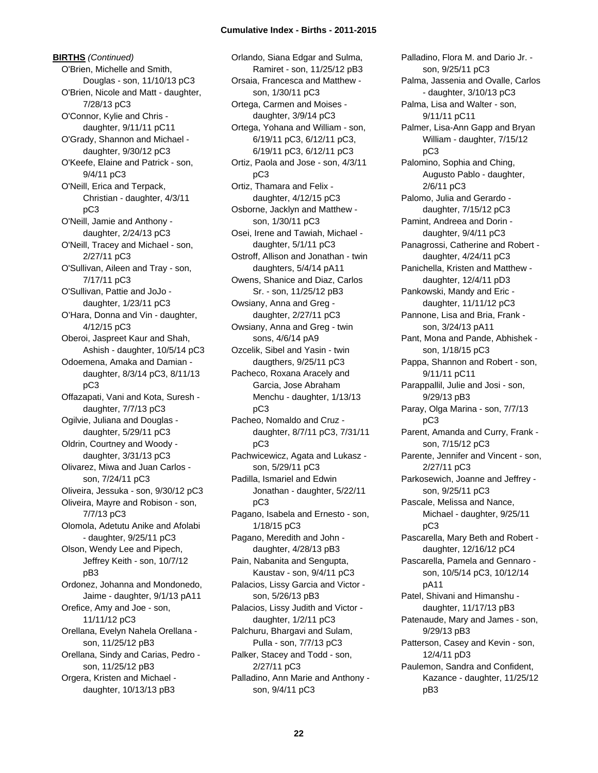**BIRTHS** *(Continued)* O'Brien, Michelle and Smith, Douglas - son, 11/10/13 pC3 O'Brien, Nicole and Matt - daughter, 7/28/13 pC3 O'Connor, Kylie and Chris daughter, 9/11/11 pC11 O'Grady, Shannon and Michael daughter, 9/30/12 pC3 O'Keefe, Elaine and Patrick - son, 9/4/11 pC3 O'Neill, Erica and Terpack, Christian - daughter, 4/3/11 pC3 O'Neill, Jamie and Anthony daughter, 2/24/13 pC3 O'Neill, Tracey and Michael - son, 2/27/11 pC3 O'Sullivan, Aileen and Tray - son, 7/17/11 pC3 O'Sullivan, Pattie and JoJo daughter, 1/23/11 pC3 O'Hara, Donna and Vin - daughter, 4/12/15 pC3 Oberoi, Jaspreet Kaur and Shah, Ashish - daughter, 10/5/14 pC3 Odoemena, Amaka and Damian daughter, 8/3/14 pC3, 8/11/13 pC3 Offazapati, Vani and Kota, Suresh daughter, 7/7/13 pC3 Ogilvie, Juliana and Douglas daughter, 5/29/11 pC3 Oldrin, Courtney and Woody daughter, 3/31/13 pC3 Olivarez, Miwa and Juan Carlos son, 7/24/11 pC3 Oliveira, Jessuka - son, 9/30/12 pC3 Oliveira, Mayre and Robison - son, 7/7/13 pC3 Olomola, Adetutu Anike and Afolabi - daughter, 9/25/11 pC3 Olson, Wendy Lee and Pipech, Jeffrey Keith - son, 10/7/12 pB3 Ordonez, Johanna and Mondonedo, Jaime - daughter, 9/1/13 pA11 Orefice, Amy and Joe - son, 11/11/12 pC3 Orellana, Evelyn Nahela Orellana son, 11/25/12 pB3 Orellana, Sindy and Carias, Pedro son, 11/25/12 pB3 Orgera, Kristen and Michael daughter, 10/13/13 pB3

Orlando, Siana Edgar and Sulma, Ramiret - son, 11/25/12 pB3 Orsaia, Francesca and Matthew son, 1/30/11 pC3 Ortega, Carmen and Moises daughter, 3/9/14 pC3 Ortega, Yohana and William - son, 6/19/11 pC3, 6/12/11 pC3, 6/19/11 pC3, 6/12/11 pC3 Ortiz, Paola and Jose - son, 4/3/11 pC3 Ortiz, Thamara and Felix daughter, 4/12/15 pC3 Osborne, Jacklyn and Matthew son, 1/30/11 pC3 Osei, Irene and Tawiah, Michael daughter, 5/1/11 pC3 Ostroff, Allison and Jonathan - twin daughters, 5/4/14 pA11 Owens, Shanice and Diaz, Carlos Sr. - son, 11/25/12 pB3 Owsiany, Anna and Greg daughter, 2/27/11 pC3 Owsiany, Anna and Greg - twin sons, 4/6/14 pA9 Ozcelik, Sibel and Yasin - twin daugthers, 9/25/11 pC3 Pacheco, Roxana Aracely and Garcia, Jose Abraham Menchu - daughter, 1/13/13 pC3 Pacheo, Nomaldo and Cruz daughter, 8/7/11 pC3, 7/31/11 pC3 Pachwicewicz, Agata and Lukasz son, 5/29/11 pC3 Padilla, Ismariel and Edwin Jonathan - daughter, 5/22/11 pC3 Pagano, Isabela and Ernesto - son, 1/18/15 pC3 Pagano, Meredith and John daughter, 4/28/13 pB3 Pain, Nabanita and Sengupta, Kaustav - son, 9/4/11 pC3 Palacios, Lissy Garcia and Victor son, 5/26/13 pB3 Palacios, Lissy Judith and Victor daughter, 1/2/11 pC3 Palchuru, Bhargavi and Sulam, Pulla - son, 7/7/13 pC3 Palker, Stacey and Todd - son, 2/27/11 pC3 Palladino, Ann Marie and Anthony son, 9/4/11 pC3

Palladino, Flora M. and Dario Jr. son, 9/25/11 pC3 Palma, Jassenia and Ovalle, Carlos - daughter, 3/10/13 pC3 Palma, Lisa and Walter - son, 9/11/11 pC11 Palmer, Lisa-Ann Gapp and Bryan William - daughter, 7/15/12 pC3 Palomino, Sophia and Ching, Augusto Pablo - daughter, 2/6/11 pC3 Palomo, Julia and Gerardo daughter, 7/15/12 pC3 Pamint, Andreea and Dorin daughter, 9/4/11 pC3 Panagrossi, Catherine and Robert daughter, 4/24/11 pC3 Panichella, Kristen and Matthew daughter, 12/4/11 pD3 Pankowski, Mandy and Eric daughter, 11/11/12 pC3 Pannone, Lisa and Bria, Frank son, 3/24/13 pA11 Pant, Mona and Pande, Abhishek son, 1/18/15 pC3 Pappa, Shannon and Robert - son, 9/11/11 pC11 Parappallil, Julie and Josi - son, 9/29/13 pB3 Paray, Olga Marina - son, 7/7/13 pC3 Parent, Amanda and Curry, Frank son, 7/15/12 pC3 Parente, Jennifer and Vincent - son, 2/27/11 pC3 Parkosewich, Joanne and Jeffrey son, 9/25/11 pC3 Pascale, Melissa and Nance, Michael - daughter, 9/25/11 pC3 Pascarella, Mary Beth and Robert daughter, 12/16/12 pC4 Pascarella, Pamela and Gennaro son, 10/5/14 pC3, 10/12/14 pA11 Patel, Shivani and Himanshu daughter, 11/17/13 pB3 Patenaude, Mary and James - son, 9/29/13 pB3 Patterson, Casey and Kevin - son, 12/4/11 pD3 Paulemon, Sandra and Confident, Kazance - daughter, 11/25/12 pB3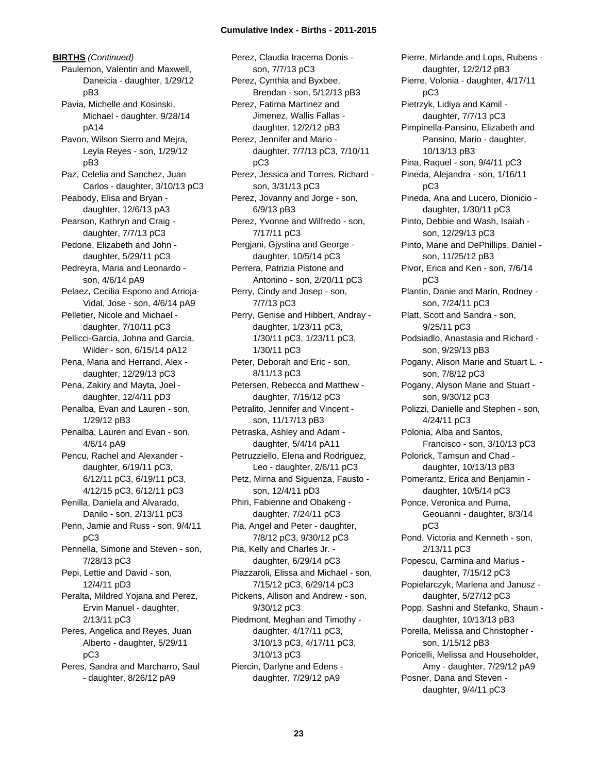**BIRTHS** *(Continued)* Paulemon, Valentin and Maxwell, Daneicia - daughter, 1/29/12 pB3 Pavia, Michelle and Kosinski, Michael - daughter, 9/28/14 pA14 Pavon, Wilson Sierro and Mejra, Leyla Reyes - son, 1/29/12 pB3 Paz, Celelia and Sanchez, Juan Carlos - daughter, 3/10/13 pC3 Peabody, Elisa and Bryan daughter, 12/6/13 pA3 Pearson, Kathryn and Craig daughter, 7/7/13 pC3 Pedone, Elizabeth and John daughter, 5/29/11 pC3 Pedreyra, Maria and Leonardo son, 4/6/14 pA9 Pelaez, Cecilia Espono and Arrioja-Vidal, Jose - son, 4/6/14 pA9 Pelletier, Nicole and Michael daughter, 7/10/11 pC3 Pellicci-Garcia, Johna and Garcia, Wilder - son, 6/15/14 pA12 Pena, Maria and Herrand, Alex daughter, 12/29/13 pC3 Pena, Zakiry and Mayta, Joel daughter, 12/4/11 pD3 Penalba, Evan and Lauren - son, 1/29/12 pB3 Penalba, Lauren and Evan - son, 4/6/14 pA9 Pencu, Rachel and Alexander daughter, 6/19/11 pC3, 6/12/11 pC3, 6/19/11 pC3, 4/12/15 pC3, 6/12/11 pC3 Penilla, Daniela and Alvarado, Danilo - son, 2/13/11 pC3 Penn, Jamie and Russ - son, 9/4/11 pC3 Pennella, Simone and Steven - son, 7/28/13 pC3 Pepi, Lettie and David - son, 12/4/11 pD3 Peralta, Mildred Yojana and Perez, Ervin Manuel - daughter, 2/13/11 pC3 Peres, Angelica and Reyes, Juan Alberto - daughter, 5/29/11 pC3 Peres, Sandra and Marcharro, Saul - daughter, 8/26/12 pA9

Perez, Claudia Iracema Donis son, 7/7/13 pC3 Perez, Cynthia and Byxbee, Brendan - son, 5/12/13 pB3 Perez, Fatima Martinez and Jimenez, Wallis Fallas daughter, 12/2/12 pB3 Perez, Jennifer and Mario daughter, 7/7/13 pC3, 7/10/11 pC3 Perez, Jessica and Torres, Richard son, 3/31/13 pC3 Perez, Jovanny and Jorge - son, 6/9/13 pB3 Perez, Yvonne and Wilfredo - son, 7/17/11 pC3 Pergjani, Gjystina and George daughter, 10/5/14 pC3 Perrera, Patrizia Pistone and Antonino - son, 2/20/11 pC3 Perry, Cindy and Josep - son, 7/7/13 pC3 Perry, Genise and Hibbert, Andray daughter, 1/23/11 pC3, 1/30/11 pC3, 1/23/11 pC3, 1/30/11 pC3 Peter, Deborah and Eric - son, 8/11/13 pC3 Petersen, Rebecca and Matthew daughter, 7/15/12 pC3 Petralito, Jennifer and Vincent son, 11/17/13 pB3 Petraska, Ashley and Adam daughter, 5/4/14 pA11 Petruzziello, Elena and Rodriguez, Leo - daughter, 2/6/11 pC3 Petz, Mirna and Siguenza, Fausto son, 12/4/11 pD3 Phiri, Fabienne and Obakeng daughter, 7/24/11 pC3 Pia, Angel and Peter - daughter, 7/8/12 pC3, 9/30/12 pC3 Pia, Kelly and Charles Jr. daughter, 6/29/14 pC3 Piazzaroli, Elissa and Michael - son, 7/15/12 pC3, 6/29/14 pC3 Pickens, Allison and Andrew - son, 9/30/12 pC3 Piedmont, Meghan and Timothy daughter, 4/17/11 pC3, 3/10/13 pC3, 4/17/11 pC3, 3/10/13 pC3 Piercin, Darlyne and Edens daughter, 7/29/12 pA9

Pierre, Mirlande and Lops, Rubens daughter, 12/2/12 pB3 Pierre, Volonia - daughter, 4/17/11 pC3 Pietrzyk, Lidiya and Kamil daughter, 7/7/13 pC3 Pimpinella-Pansino, Elizabeth and Pansino, Mario - daughter, 10/13/13 pB3 Pina, Raquel - son, 9/4/11 pC3 Pineda, Alejandra - son, 1/16/11 pC3 Pineda, Ana and Lucero, Dionicio daughter, 1/30/11 pC3 Pinto, Debbie and Wash, Isaiah son, 12/29/13 pC3 Pinto, Marie and DePhillips, Daniel son, 11/25/12 pB3 Pivor, Erica and Ken - son, 7/6/14 pC3 Plantin, Danie and Marin, Rodney son, 7/24/11 pC3 Platt, Scott and Sandra - son, 9/25/11 pC3 Podsiadlo, Anastasia and Richard son, 9/29/13 pB3 Pogany, Alison Marie and Stuart L. son, 7/8/12 pC3 Pogany, Alyson Marie and Stuart son, 9/30/12 pC3 Polizzi, Danielle and Stephen - son, 4/24/11 pC3 Polonia, Alba and Santos, Francisco - son, 3/10/13 pC3 Polorick, Tamsun and Chad daughter, 10/13/13 pB3 Pomerantz, Erica and Benjamin daughter, 10/5/14 pC3 Ponce, Veronica and Puma, Geouanni - daughter, 8/3/14 pC3 Pond, Victoria and Kenneth - son, 2/13/11 pC3 Popescu, Carmina and Marius daughter, 7/15/12 pC3 Popielarczyk, Marlena and Janusz daughter, 5/27/12 pC3 Popp, Sashni and Stefanko, Shaun daughter, 10/13/13 pB3 Porella, Melissa and Christopher son, 1/15/12 pB3 Poricelli, Melissa and Householder, Amy - daughter, 7/29/12 pA9 Posner, Dana and Steven daughter, 9/4/11 pC3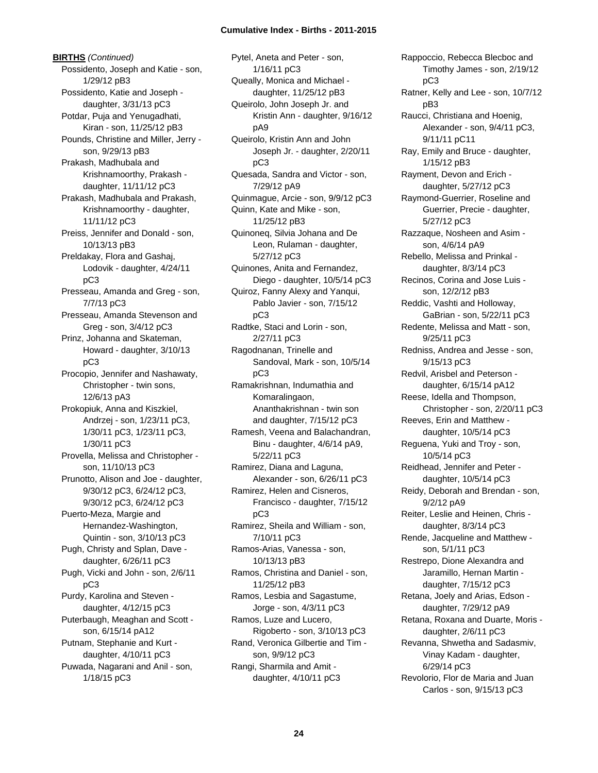**BIRTHS** *(Continued)* Possidento, Joseph and Katie - son, 1/29/12 pB3 Possidento, Katie and Joseph daughter, 3/31/13 pC3 Potdar, Puja and Yenugadhati, Kiran - son, 11/25/12 pB3 Pounds, Christine and Miller, Jerry son, 9/29/13 pB3 Prakash, Madhubala and Krishnamoorthy, Prakash daughter, 11/11/12 pC3 Prakash, Madhubala and Prakash, Krishnamoorthy - daughter, 11/11/12 pC3 Preiss, Jennifer and Donald - son, 10/13/13 pB3 Preldakay, Flora and Gashaj, Lodovik - daughter, 4/24/11 pC3 Presseau, Amanda and Greg - son, 7/7/13 pC3 Presseau, Amanda Stevenson and Greg - son, 3/4/12 pC3 Prinz, Johanna and Skateman, Howard - daughter, 3/10/13 pC3 Procopio, Jennifer and Nashawaty, Christopher - twin sons, 12/6/13 pA3 Prokopiuk, Anna and Kiszkiel, Andrzej - son, 1/23/11 pC3, 1/30/11 pC3, 1/23/11 pC3, 1/30/11 pC3 Provella, Melissa and Christopher son, 11/10/13 pC3 Prunotto, Alison and Joe - daughter, 9/30/12 pC3, 6/24/12 pC3, 9/30/12 pC3, 6/24/12 pC3 Puerto-Meza, Margie and Hernandez-Washington, Quintin - son, 3/10/13 pC3 Pugh, Christy and Splan, Dave daughter, 6/26/11 pC3 Pugh, Vicki and John - son, 2/6/11 pC3 Purdy, Karolina and Steven daughter, 4/12/15 pC3 Puterbaugh, Meaghan and Scott son, 6/15/14 pA12 Putnam, Stephanie and Kurt daughter, 4/10/11 pC3 Puwada, Nagarani and Anil - son, 1/18/15 pC3

Pytel, Aneta and Peter - son, 1/16/11 pC3 Queally, Monica and Michael daughter, 11/25/12 pB3 Queirolo, John Joseph Jr. and Kristin Ann - daughter, 9/16/12 pA9 Queirolo, Kristin Ann and John Joseph Jr. - daughter, 2/20/11 pC3 Quesada, Sandra and Victor - son, 7/29/12 pA9 Quinmague, Arcie - son, 9/9/12 pC3 Quinn, Kate and Mike - son, 11/25/12 pB3 Quinoneq, Silvia Johana and De Leon, Rulaman - daughter, 5/27/12 pC3 Quinones, Anita and Fernandez, Diego - daughter, 10/5/14 pC3 Quiroz, Fanny Alexy and Yanqui, Pablo Javier - son, 7/15/12 pC3 Radtke, Staci and Lorin - son, 2/27/11 pC3 Ragodnanan, Trinelle and Sandoval, Mark - son, 10/5/14 pC3 Ramakrishnan, Indumathia and Komaralingaon, Ananthakrishnan - twin son and daughter, 7/15/12 pC3 Ramesh, Veena and Balachandran, Binu - daughter, 4/6/14 pA9, 5/22/11 pC3 Ramirez, Diana and Laguna, Alexander - son, 6/26/11 pC3 Ramirez, Helen and Cisneros, Francisco - daughter, 7/15/12 pC3 Ramirez, Sheila and William - son, 7/10/11 pC3 Ramos-Arias, Vanessa - son, 10/13/13 pB3 Ramos, Christina and Daniel - son, 11/25/12 pB3 Ramos, Lesbia and Sagastume, Jorge - son, 4/3/11 pC3 Ramos, Luze and Lucero, Rigoberto - son, 3/10/13 pC3 Rand, Veronica Gilbertie and Tim son, 9/9/12 pC3 Rangi, Sharmila and Amit daughter, 4/10/11 pC3

Rappoccio, Rebecca Blecboc and Timothy James - son, 2/19/12 pC3 Ratner, Kelly and Lee - son, 10/7/12 pB3 Raucci, Christiana and Hoenig, Alexander - son, 9/4/11 pC3, 9/11/11 pC11 Ray, Emily and Bruce - daughter, 1/15/12 pB3 Rayment, Devon and Erich daughter, 5/27/12 pC3 Raymond-Guerrier, Roseline and Guerrier, Precie - daughter, 5/27/12 pC3 Razzaque, Nosheen and Asim son, 4/6/14 pA9 Rebello, Melissa and Prinkal daughter, 8/3/14 pC3 Recinos, Corina and Jose Luis son, 12/2/12 pB3 Reddic, Vashti and Holloway, GaBrian - son, 5/22/11 pC3 Redente, Melissa and Matt - son, 9/25/11 pC3 Redniss, Andrea and Jesse - son, 9/15/13 pC3 Redvil, Arisbel and Peterson daughter, 6/15/14 pA12 Reese, Idella and Thompson, Christopher - son, 2/20/11 pC3 Reeves, Erin and Matthew daughter, 10/5/14 pC3 Reguena, Yuki and Troy - son, 10/5/14 pC3 Reidhead, Jennifer and Peter daughter, 10/5/14 pC3 Reidy, Deborah and Brendan - son, 9/2/12 pA9 Reiter, Leslie and Heinen, Chris daughter, 8/3/14 pC3 Rende, Jacqueline and Matthew son, 5/1/11 pC3 Restrepo, Dione Alexandra and Jaramillo, Hernan Martin daughter, 7/15/12 pC3 Retana, Joely and Arias, Edson daughter, 7/29/12 pA9 Retana, Roxana and Duarte, Moris daughter, 2/6/11 pC3 Revanna, Shwetha and Sadasmiv, Vinay Kadam - daughter, 6/29/14 pC3 Revolorio, Flor de Maria and Juan Carlos - son, 9/15/13 pC3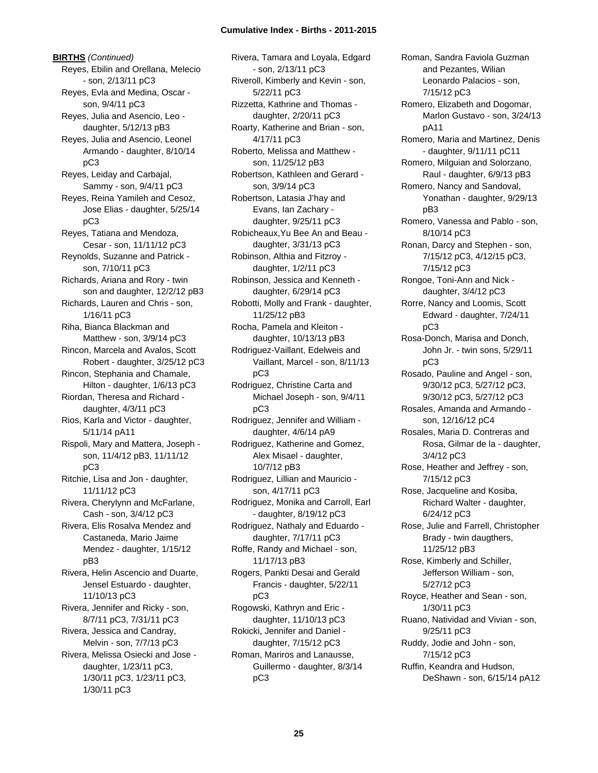**BIRTHS** *(Continued)* Reyes, Ebilin and Orellana, Melecio - son, 2/13/11 pC3 Reyes, Evla and Medina, Oscar son, 9/4/11 pC3 Reyes, Julia and Asencio, Leo daughter, 5/12/13 pB3 Reyes, Julia and Asencio, Leonel Armando - daughter, 8/10/14 pC3 Reyes, Leiday and Carbajal, Sammy - son, 9/4/11 pC3 Reyes, Reina Yamileh and Cesoz, Jose Elias - daughter, 5/25/14 pC3 Reyes, Tatiana and Mendoza, Cesar - son, 11/11/12 pC3 Reynolds, Suzanne and Patrick son, 7/10/11 pC3 Richards, Ariana and Rory - twin son and daughter, 12/2/12 pB3 Richards, Lauren and Chris - son, 1/16/11 pC3 Riha, Bianca Blackman and Matthew - son, 3/9/14 pC3 Rincon, Marcela and Avalos, Scott Robert - daughter, 3/25/12 pC3 Rincon, Stephania and Chamale, Hilton - daughter, 1/6/13 pC3 Riordan, Theresa and Richard daughter, 4/3/11 pC3 Rios, Karla and Victor - daughter, 5/11/14 pA11 Rispoli, Mary and Mattera, Joseph son, 11/4/12 pB3, 11/11/12 pC3 Ritchie, Lisa and Jon - daughter, 11/11/12 pC3 Rivera, Cherylynn and McFarlane, Cash - son, 3/4/12 pC3 Rivera, Elis Rosalva Mendez and Castaneda, Mario Jaime Mendez - daughter, 1/15/12 pB3 Rivera, Helin Ascencio and Duarte, Jensel Estuardo - daughter, 11/10/13 pC3 Rivera, Jennifer and Ricky - son, 8/7/11 pC3, 7/31/11 pC3 Rivera, Jessica and Candray, Melvin - son, 7/7/13 pC3 Rivera, Melissa Osiecki and Jose daughter, 1/23/11 pC3, 1/30/11 pC3, 1/23/11 pC3, 1/30/11 pC3

Rivera, Tamara and Loyala, Edgard - son, 2/13/11 pC3 Riveroll, Kimberly and Kevin - son, 5/22/11 pC3 Rizzetta, Kathrine and Thomas daughter, 2/20/11 pC3 Roarty, Katherine and Brian - son, 4/17/11 pC3 Roberto, Melissa and Matthew son, 11/25/12 pB3 Robertson, Kathleen and Gerard son, 3/9/14 pC3 Robertson, Latasia J'hay and Evans, Ian Zachary daughter, 9/25/11 pC3 Robicheaux,Yu Bee An and Beau daughter, 3/31/13 pC3 Robinson, Althia and Fitzroy daughter, 1/2/11 pC3 Robinson, Jessica and Kenneth daughter, 6/29/14 pC3 Robotti, Molly and Frank - daughter, 11/25/12 pB3 Rocha, Pamela and Kleiton daughter, 10/13/13 pB3 Rodriguez-Vaillant, Edelweis and Vaillant, Marcel - son, 8/11/13 pC3 Rodriguez, Christine Carta and Michael Joseph - son, 9/4/11 pC3 Rodriguez, Jennifer and William daughter, 4/6/14 pA9 Rodriguez, Katherine and Gomez, Alex Misael - daughter, 10/7/12 pB3 Rodriguez, Lillian and Mauricio son, 4/17/11 pC3 Rodriguez, Monika and Carroll, Earl - daughter, 8/19/12 pC3 Rodriguez, Nathaly and Eduardo daughter, 7/17/11 pC3 Roffe, Randy and Michael - son, 11/17/13 pB3 Rogers, Pankti Desai and Gerald Francis - daughter, 5/22/11 pC3 Rogowski, Kathryn and Eric daughter, 11/10/13 pC3 Rokicki, Jennifer and Daniel daughter, 7/15/12 pC3 Roman, Mariros and Lanausse, Guillermo - daughter, 8/3/14 pC3

Roman, Sandra Faviola Guzman and Pezantes, Wilian Leonardo Palacios - son, 7/15/12 pC3 Romero, Elizabeth and Dogomar, Marlon Gustavo - son, 3/24/13 pA11 Romero, Maria and Martinez, Denis - daughter, 9/11/11 pC11 Romero, Milguian and Solorzano, Raul - daughter, 6/9/13 pB3 Romero, Nancy and Sandoval, Yonathan - daughter, 9/29/13 pB3 Romero, Vanessa and Pablo - son, 8/10/14 pC3 Ronan, Darcy and Stephen - son, 7/15/12 pC3, 4/12/15 pC3, 7/15/12 pC3 Rongoe, Toni-Ann and Nick daughter, 3/4/12 pC3 Rorre, Nancy and Loomis, Scott Edward - daughter, 7/24/11 pC3 Rosa-Donch, Marisa and Donch, John Jr. - twin sons, 5/29/11 pC3 Rosado, Pauline and Angel - son, 9/30/12 pC3, 5/27/12 pC3, 9/30/12 pC3, 5/27/12 pC3 Rosales, Amanda and Armando son, 12/16/12 pC4 Rosales, Maria D. Contreras and Rosa, Gilmar de la - daughter, 3/4/12 pC3 Rose, Heather and Jeffrey - son, 7/15/12 pC3 Rose, Jacqueline and Kosiba, Richard Walter - daughter, 6/24/12 pC3 Rose, Julie and Farrell, Christopher Brady - twin daugthers, 11/25/12 pB3 Rose, Kimberly and Schiller, Jefferson William - son, 5/27/12 pC3 Royce, Heather and Sean - son, 1/30/11 pC3 Ruano, Natividad and Vivian - son, 9/25/11 pC3 Ruddy, Jodie and John - son, 7/15/12 pC3 Ruffin, Keandra and Hudson, DeShawn - son, 6/15/14 pA12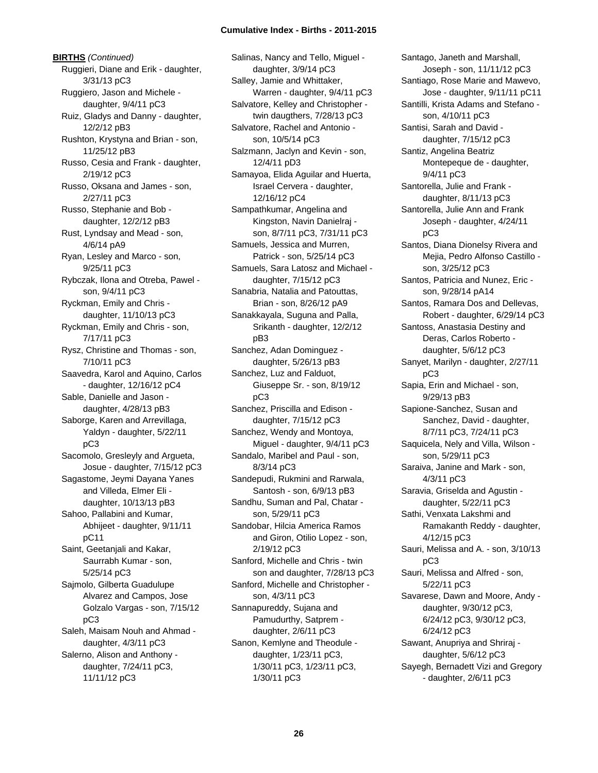**BIRTHS** *(Continued)* Ruggieri, Diane and Erik - daughter, 3/31/13 pC3 Ruggiero, Jason and Michele daughter, 9/4/11 pC3 Ruiz, Gladys and Danny - daughter, 12/2/12 pB3 Rushton, Krystyna and Brian - son, 11/25/12 pB3 Russo, Cesia and Frank - daughter, 2/19/12 pC3 Russo, Oksana and James - son, 2/27/11 pC3 Russo, Stephanie and Bob daughter, 12/2/12 pB3 Rust, Lyndsay and Mead - son, 4/6/14 pA9 Ryan, Lesley and Marco - son, 9/25/11 pC3 Rybczak, Ilona and Otreba, Pawel son, 9/4/11 pC3 Ryckman, Emily and Chris daughter, 11/10/13 pC3 Ryckman, Emily and Chris - son, 7/17/11 pC3 Rysz, Christine and Thomas - son, 7/10/11 pC3 Saavedra, Karol and Aquino, Carlos - daughter, 12/16/12 pC4 Sable, Danielle and Jason daughter, 4/28/13 pB3 Saborge, Karen and Arrevillaga, Yaldyn - daughter, 5/22/11 pC3 Sacomolo, Gresleyly and Argueta, Josue - daughter, 7/15/12 pC3 Sagastome, Jeymi Dayana Yanes and Villeda, Elmer Eli daughter, 10/13/13 pB3 Sahoo, Pallabini and Kumar, Abhijeet - daughter, 9/11/11 pC11 Saint, Geetanjali and Kakar, Saurrabh Kumar - son, 5/25/14 pC3 Sajmolo, Gilberta Guadulupe Alvarez and Campos, Jose Golzalo Vargas - son, 7/15/12 pC3 Saleh, Maisam Nouh and Ahmad daughter, 4/3/11 pC3 Salerno, Alison and Anthony daughter, 7/24/11 pC3, 11/11/12 pC3

Salinas, Nancy and Tello, Miguel daughter, 3/9/14 pC3 Salley, Jamie and Whittaker, Warren - daughter, 9/4/11 pC3 Salvatore, Kelley and Christopher twin daugthers, 7/28/13 pC3 Salvatore, Rachel and Antonio son, 10/5/14 pC3 Salzmann, Jaclyn and Kevin - son, 12/4/11 pD3 Samayoa, Elida Aguilar and Huerta, Israel Cervera - daughter, 12/16/12 pC4 Sampathkumar, Angelina and Kingston, Navin Danielraj son, 8/7/11 pC3, 7/31/11 pC3 Samuels, Jessica and Murren, Patrick - son, 5/25/14 pC3 Samuels, Sara Latosz and Michael daughter, 7/15/12 pC3 Sanabria, Natalia and Patouttas, Brian - son, 8/26/12 pA9 Sanakkayala, Suguna and Palla, Srikanth - daughter, 12/2/12 pB3 Sanchez, Adan Dominguez daughter, 5/26/13 pB3 Sanchez, Luz and Falduot, Giuseppe Sr. - son, 8/19/12 pC3 Sanchez, Priscilla and Edison daughter, 7/15/12 pC3 Sanchez, Wendy and Montoya, Miguel - daughter, 9/4/11 pC3 Sandalo, Maribel and Paul - son, 8/3/14 pC3 Sandepudi, Rukmini and Rarwala, Santosh - son, 6/9/13 pB3 Sandhu, Suman and Pal, Chatar son, 5/29/11 pC3 Sandobar, Hilcia America Ramos and Giron, Otilio Lopez - son, 2/19/12 pC3 Sanford, Michelle and Chris - twin son and daughter, 7/28/13 pC3 Sanford, Michelle and Christopher son, 4/3/11 pC3 Sannapureddy, Sujana and Pamudurthy, Satprem daughter, 2/6/11 pC3 Sanon, Kemlyne and Theodule daughter, 1/23/11 pC3, 1/30/11 pC3, 1/23/11 pC3, 1/30/11 pC3

Santago, Janeth and Marshall, Joseph - son, 11/11/12 pC3 Santiago, Rose Marie and Mawevo, Jose - daughter, 9/11/11 pC11 Santilli, Krista Adams and Stefano son, 4/10/11 pC3 Santisi, Sarah and David daughter, 7/15/12 pC3 Santiz, Angelina Beatriz Montepeque de - daughter, 9/4/11 pC3 Santorella, Julie and Frank daughter, 8/11/13 pC3 Santorella, Julie Ann and Frank Joseph - daughter, 4/24/11 pC3 Santos, Diana Dionelsy Rivera and Mejia, Pedro Alfonso Castillo son, 3/25/12 pC3 Santos, Patricia and Nunez, Eric son, 9/28/14 pA14 Santos, Ramara Dos and Dellevas, Robert - daughter, 6/29/14 pC3 Santoss, Anastasia Destiny and Deras, Carlos Roberto daughter, 5/6/12 pC3 Sanyet, Marilyn - daughter, 2/27/11 pC3 Sapia, Erin and Michael - son, 9/29/13 pB3 Sapione-Sanchez, Susan and Sanchez, David - daughter, 8/7/11 pC3, 7/24/11 pC3 Saquicela, Nely and Villa, Wilson son, 5/29/11 pC3 Saraiva, Janine and Mark - son, 4/3/11 pC3 Saravia, Griselda and Agustin daughter, 5/22/11 pC3 Sathi, Venxata Lakshmi and Ramakanth Reddy - daughter, 4/12/15 pC3 Sauri, Melissa and A. - son, 3/10/13 pC3 Sauri, Melissa and Alfred - son, 5/22/11 pC3 Savarese, Dawn and Moore, Andy daughter, 9/30/12 pC3, 6/24/12 pC3, 9/30/12 pC3, 6/24/12 pC3 Sawant, Anupriya and Shriraj daughter, 5/6/12 pC3 Sayegh, Bernadett Vizi and Gregory - daughter, 2/6/11 pC3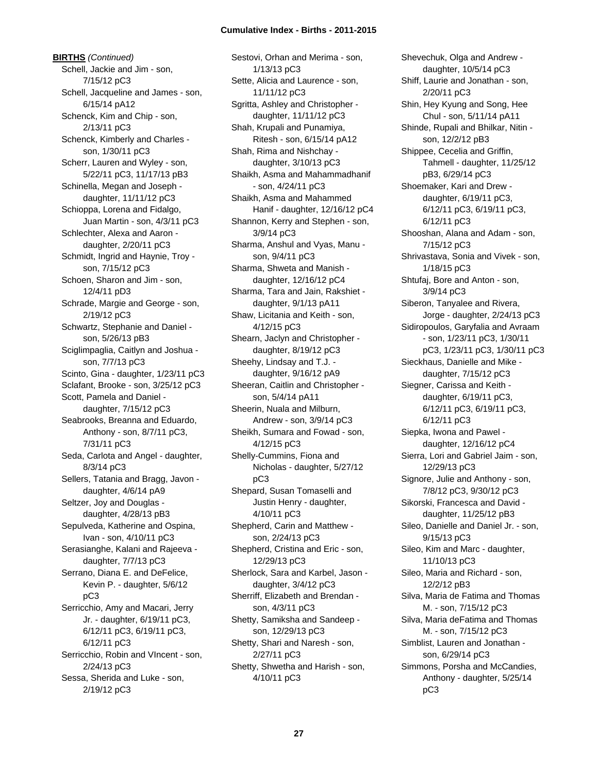**BIRTHS** *(Continued)* Schell, Jackie and Jim - son, 7/15/12 pC3 Schell, Jacqueline and James - son, 6/15/14 pA12 Schenck, Kim and Chip - son, 2/13/11 pC3 Schenck, Kimberly and Charles son, 1/30/11 pC3 Scherr, Lauren and Wyley - son, 5/22/11 pC3, 11/17/13 pB3 Schinella, Megan and Joseph daughter, 11/11/12 pC3 Schioppa, Lorena and Fidalgo, Juan Martin - son, 4/3/11 pC3 Schlechter, Alexa and Aaron daughter, 2/20/11 pC3 Schmidt, Ingrid and Haynie, Troy son, 7/15/12 pC3 Schoen, Sharon and Jim - son, 12/4/11 pD3 Schrade, Margie and George - son, 2/19/12 pC3 Schwartz, Stephanie and Daniel son, 5/26/13 pB3 Sciglimpaglia, Caitlyn and Joshua son, 7/7/13 pC3 Scinto, Gina - daughter, 1/23/11 pC3 Sclafant, Brooke - son, 3/25/12 pC3 Scott, Pamela and Daniel daughter, 7/15/12 pC3 Seabrooks, Breanna and Eduardo, Anthony - son, 8/7/11 pC3, 7/31/11 pC3 Seda, Carlota and Angel - daughter, 8/3/14 pC3 Sellers, Tatania and Bragg, Javon daughter, 4/6/14 pA9 Seltzer, Joy and Douglas daughter, 4/28/13 pB3 Sepulveda, Katherine and Ospina, Ivan - son, 4/10/11 pC3 Serasianghe, Kalani and Rajeeva daughter, 7/7/13 pC3 Serrano, Diana E. and DeFelice, Kevin P. - daughter, 5/6/12 pC3 Serricchio, Amy and Macari, Jerry Jr. - daughter, 6/19/11 pC3, 6/12/11 pC3, 6/19/11 pC3, 6/12/11 pC3 Serricchio, Robin and VIncent - son, 2/24/13 pC3 Sessa, Sherida and Luke - son, 2/19/12 pC3

Sestovi, Orhan and Merima - son, 1/13/13 pC3 Sette, Alicia and Laurence - son, 11/11/12 pC3 Sgritta, Ashley and Christopher daughter, 11/11/12 pC3 Shah, Krupali and Punamiya, Ritesh - son, 6/15/14 pA12 Shah, Rima and Nishchay daughter, 3/10/13 pC3 Shaikh, Asma and Mahammadhanif - son, 4/24/11 pC3 Shaikh, Asma and Mahammed Hanif - daughter, 12/16/12 pC4 Shannon, Kerry and Stephen - son, 3/9/14 pC3 Sharma, Anshul and Vyas, Manu son, 9/4/11 pC3 Sharma, Shweta and Manish daughter, 12/16/12 pC4 Sharma, Tara and Jain, Rakshiet daughter, 9/1/13 pA11 Shaw, Licitania and Keith - son, 4/12/15 pC3 Shearn, Jaclyn and Christopher daughter, 8/19/12 pC3 Sheehy, Lindsay and T.J. daughter, 9/16/12 pA9 Sheeran, Caitlin and Christopher son, 5/4/14 pA11 Sheerin, Nuala and Milburn, Andrew - son, 3/9/14 pC3 Sheikh, Sumara and Fowad - son, 4/12/15 pC3 Shelly-Cummins, Fiona and Nicholas - daughter, 5/27/12 pC3 Shepard, Susan Tomaselli and Justin Henry - daughter, 4/10/11 pC3 Shepherd, Carin and Matthew son, 2/24/13 pC3 Shepherd, Cristina and Eric - son, 12/29/13 pC3 Sherlock, Sara and Karbel, Jason daughter, 3/4/12 pC3 Sherriff, Elizabeth and Brendan son, 4/3/11 pC3 Shetty, Samiksha and Sandeep son, 12/29/13 pC3 Shetty, Shari and Naresh - son, 2/27/11 pC3 Shetty, Shwetha and Harish - son, 4/10/11 pC3

Shevechuk, Olga and Andrew daughter, 10/5/14 pC3 Shiff, Laurie and Jonathan - son, 2/20/11 pC3 Shin, Hey Kyung and Song, Hee Chul - son, 5/11/14 pA11 Shinde, Rupali and Bhilkar, Nitin son, 12/2/12 pB3 Shippee, Cecelia and Griffin, Tahmell - daughter, 11/25/12 pB3, 6/29/14 pC3 Shoemaker, Kari and Drew daughter, 6/19/11 pC3, 6/12/11 pC3, 6/19/11 pC3, 6/12/11 pC3 Shooshan, Alana and Adam - son, 7/15/12 pC3 Shrivastava, Sonia and Vivek - son, 1/18/15 pC3 Shtufaj, Bore and Anton - son, 3/9/14 pC3 Siberon, Tanyalee and Rivera, Jorge - daughter, 2/24/13 pC3 Sidiropoulos, Garyfalia and Avraam - son, 1/23/11 pC3, 1/30/11 pC3, 1/23/11 pC3, 1/30/11 pC3 Sieckhaus, Danielle and Mike daughter, 7/15/12 pC3 Siegner, Carissa and Keith daughter, 6/19/11 pC3, 6/12/11 pC3, 6/19/11 pC3, 6/12/11 pC3 Siepka, Iwona and Pawel daughter, 12/16/12 pC4 Sierra, Lori and Gabriel Jaim - son, 12/29/13 pC3 Signore, Julie and Anthony - son, 7/8/12 pC3, 9/30/12 pC3 Sikorski, Francesca and David daughter, 11/25/12 pB3 Sileo, Danielle and Daniel Jr. - son, 9/15/13 pC3 Sileo, Kim and Marc - daughter, 11/10/13 pC3 Sileo, Maria and Richard - son, 12/2/12 pB3 Silva, Maria de Fatima and Thomas M. - son, 7/15/12 pC3 Silva, Maria deFatima and Thomas M. - son, 7/15/12 pC3 Simblist, Lauren and Jonathan son, 6/29/14 pC3 Simmons, Porsha and McCandies, Anthony - daughter, 5/25/14 pC3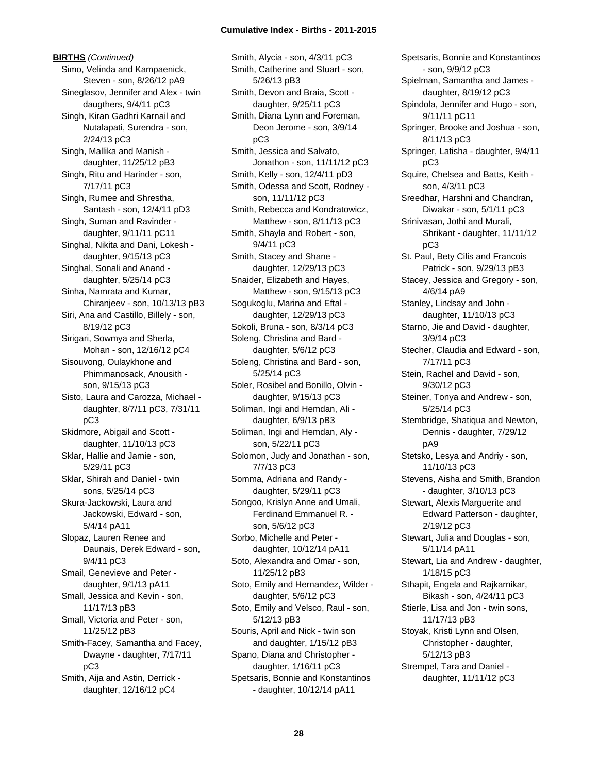**BIRTHS** *(Continued)* Simo, Velinda and Kampaenick, Steven - son, 8/26/12 pA9 Sineglasov, Jennifer and Alex - twin daugthers, 9/4/11 pC3 Singh, Kiran Gadhri Karnail and Nutalapati, Surendra - son, 2/24/13 pC3 Singh, Mallika and Manish daughter, 11/25/12 pB3 Singh, Ritu and Harinder - son, 7/17/11 pC3 Singh, Rumee and Shrestha, Santash - son, 12/4/11 pD3 Singh, Suman and Ravinder daughter, 9/11/11 pC11 Singhal, Nikita and Dani, Lokesh daughter, 9/15/13 pC3 Singhal, Sonali and Anand daughter, 5/25/14 pC3 Sinha, Namrata and Kumar, Chiranjeev - son, 10/13/13 pB3 Siri, Ana and Castillo, Billely - son, 8/19/12 pC3 Sirigari, Sowmya and Sherla, Mohan - son, 12/16/12 pC4 Sisouvong, Oulaykhone and Phimmanosack, Anousith son, 9/15/13 pC3 Sisto, Laura and Carozza, Michael daughter, 8/7/11 pC3, 7/31/11 pC3 Skidmore, Abigail and Scott daughter, 11/10/13 pC3 Sklar, Hallie and Jamie - son, 5/29/11 pC3 Sklar, Shirah and Daniel - twin sons, 5/25/14 pC3 Skura-Jackowski, Laura and Jackowski, Edward - son, 5/4/14 pA11 Slopaz, Lauren Renee and Daunais, Derek Edward - son, 9/4/11 pC3 Smail, Genevieve and Peter daughter, 9/1/13 pA11 Small, Jessica and Kevin - son, 11/17/13 pB3 Small, Victoria and Peter - son, 11/25/12 pB3 Smith-Facey, Samantha and Facey, Dwayne - daughter, 7/17/11 pC3 Smith, Aija and Astin, Derrick daughter, 12/16/12 pC4

Smith, Alycia - son, 4/3/11 pC3 Smith, Catherine and Stuart - son, 5/26/13 pB3 Smith, Devon and Braia, Scott daughter, 9/25/11 pC3 Smith, Diana Lynn and Foreman, Deon Jerome - son, 3/9/14 pC3 Smith, Jessica and Salvato, Jonathon - son, 11/11/12 pC3 Smith, Kelly - son, 12/4/11 pD3 Smith, Odessa and Scott, Rodney son, 11/11/12 pC3 Smith, Rebecca and Kondratowicz, Matthew - son, 8/11/13 pC3 Smith, Shayla and Robert - son, 9/4/11 pC3 Smith, Stacey and Shane daughter, 12/29/13 pC3 Snaider, Elizabeth and Hayes, Matthew - son, 9/15/13 pC3 Sogukoglu, Marina and Eftal daughter, 12/29/13 pC3 Sokoli, Bruna - son, 8/3/14 pC3 Soleng, Christina and Bard daughter, 5/6/12 pC3 Soleng, Christina and Bard - son, 5/25/14 pC3 Soler, Rosibel and Bonillo, Olvin daughter, 9/15/13 pC3 Soliman, Ingi and Hemdan, Ali daughter, 6/9/13 pB3 Soliman, Ingi and Hemdan, Aly son, 5/22/11 pC3 Solomon, Judy and Jonathan - son, 7/7/13 pC3 Somma, Adriana and Randy daughter, 5/29/11 pC3 Songoo, Krislyn Anne and Umali, Ferdinand Emmanuel R. son, 5/6/12 pC3 Sorbo, Michelle and Peter daughter, 10/12/14 pA11 Soto, Alexandra and Omar - son, 11/25/12 pB3 Soto, Emily and Hernandez, Wilder daughter, 5/6/12 pC3 Soto, Emily and Velsco, Raul - son, 5/12/13 pB3 Souris, April and Nick - twin son and daughter, 1/15/12 pB3 Spano, Diana and Christopher daughter, 1/16/11 pC3 Spetsaris, Bonnie and Konstantinos - daughter, 10/12/14 pA11

Spetsaris, Bonnie and Konstantinos - son, 9/9/12 pC3 Spielman, Samantha and James daughter, 8/19/12 pC3 Spindola, Jennifer and Hugo - son, 9/11/11 pC11 Springer, Brooke and Joshua - son, 8/11/13 pC3 Springer, Latisha - daughter, 9/4/11 pC3 Squire, Chelsea and Batts, Keith son, 4/3/11 pC3 Sreedhar, Harshni and Chandran, Diwakar - son, 5/1/11 pC3 Srinivasan, Jothi and Murali, Shrikant - daughter, 11/11/12 pC3 St. Paul, Bety Cilis and Francois Patrick - son, 9/29/13 pB3 Stacey, Jessica and Gregory - son, 4/6/14 pA9 Stanley, Lindsay and John daughter, 11/10/13 pC3 Starno, Jie and David - daughter, 3/9/14 pC3 Stecher, Claudia and Edward - son, 7/17/11 pC3 Stein, Rachel and David - son, 9/30/12 pC3 Steiner, Tonya and Andrew - son, 5/25/14 pC3 Stembridge, Shatiqua and Newton, Dennis - daughter, 7/29/12 pA9 Stetsko, Lesya and Andriy - son, 11/10/13 pC3 Stevens, Aisha and Smith, Brandon - daughter, 3/10/13 pC3 Stewart, Alexis Marguerite and Edward Patterson - daughter, 2/19/12 pC3 Stewart, Julia and Douglas - son, 5/11/14 pA11 Stewart, Lia and Andrew - daughter, 1/18/15 pC3 Sthapit, Engela and Rajkarnikar, Bikash - son, 4/24/11 pC3 Stierle, Lisa and Jon - twin sons, 11/17/13 pB3 Stoyak, Kristi Lynn and Olsen, Christopher - daughter, 5/12/13 pB3 Strempel, Tara and Daniel daughter, 11/11/12 pC3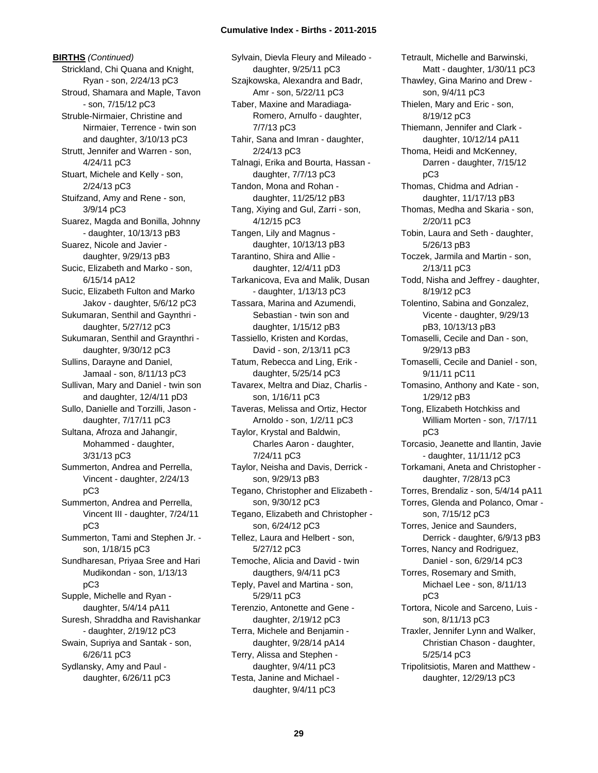**BIRTHS** *(Continued)* Strickland, Chi Quana and Knight, Ryan - son, 2/24/13 pC3 Stroud, Shamara and Maple, Tavon - son, 7/15/12 pC3 Struble-Nirmaier, Christine and Nirmaier, Terrence - twin son and daughter, 3/10/13 pC3 Strutt, Jennifer and Warren - son, 4/24/11 pC3 Stuart, Michele and Kelly - son, 2/24/13 pC3 Stuifzand, Amy and Rene - son, 3/9/14 pC3 Suarez, Magda and Bonilla, Johnny - daughter, 10/13/13 pB3 Suarez, Nicole and Javier daughter, 9/29/13 pB3 Sucic, Elizabeth and Marko - son, 6/15/14 pA12 Sucic, Elizabeth Fulton and Marko Jakov - daughter, 5/6/12 pC3 Sukumaran, Senthil and Gaynthri daughter, 5/27/12 pC3 Sukumaran, Senthil and Graynthri daughter, 9/30/12 pC3 Sullins, Darayne and Daniel, Jamaal - son, 8/11/13 pC3 Sullivan, Mary and Daniel - twin son and daughter, 12/4/11 pD3 Sullo, Danielle and Torzilli, Jason daughter, 7/17/11 pC3 Sultana, Afroza and Jahangir, Mohammed - daughter, 3/31/13 pC3 Summerton, Andrea and Perrella, Vincent - daughter, 2/24/13 pC3 Summerton, Andrea and Perrella, Vincent III - daughter, 7/24/11 pC3 Summerton, Tami and Stephen Jr. son, 1/18/15 pC3 Sundharesan, Priyaa Sree and Hari Mudikondan - son, 1/13/13 pC3 Supple, Michelle and Ryan daughter, 5/4/14 pA11 Suresh, Shraddha and Ravishankar - daughter, 2/19/12 pC3 Swain, Supriya and Santak - son, 6/26/11 pC3 Sydlansky, Amy and Paul daughter, 6/26/11 pC3

Sylvain, Dievla Fleury and Mileado daughter, 9/25/11 pC3 Szajkowska, Alexandra and Badr, Amr - son, 5/22/11 pC3 Taber, Maxine and Maradiaga-Romero, Arnulfo - daughter, 7/7/13 pC3 Tahir, Sana and Imran - daughter, 2/24/13 pC3 Talnagi, Erika and Bourta, Hassan daughter, 7/7/13 pC3 Tandon, Mona and Rohan daughter, 11/25/12 pB3 Tang, Xiying and Gul, Zarri - son, 4/12/15 pC3 Tangen, Lily and Magnus daughter, 10/13/13 pB3 Tarantino, Shira and Allie daughter, 12/4/11 pD3 Tarkanicova, Eva and Malik, Dusan - daughter, 1/13/13 pC3 Tassara, Marina and Azumendi, Sebastian - twin son and daughter, 1/15/12 pB3 Tassiello, Kristen and Kordas, David - son, 2/13/11 pC3 Tatum, Rebecca and Ling, Erik daughter, 5/25/14 pC3 Tavarex, Meltra and Diaz, Charlis son, 1/16/11 pC3 Taveras, Melissa and Ortiz, Hector Arnoldo - son, 1/2/11 pC3 Taylor, Krystal and Baldwin, Charles Aaron - daughter, 7/24/11 pC3 Taylor, Neisha and Davis, Derrick son, 9/29/13 pB3 Tegano, Christopher and Elizabeth son, 9/30/12 pC3 Tegano, Elizabeth and Christopher son, 6/24/12 pC3 Tellez, Laura and Helbert - son, 5/27/12 pC3 Temoche, Alicia and David - twin daugthers, 9/4/11 pC3 Teply, Pavel and Martina - son, 5/29/11 pC3 Terenzio, Antonette and Gene daughter, 2/19/12 pC3 Terra, Michele and Benjamin daughter, 9/28/14 pA14 Terry, Alissa and Stephen daughter, 9/4/11 pC3 Testa, Janine and Michael daughter, 9/4/11 pC3

Tetrault, Michelle and Barwinski, Matt - daughter, 1/30/11 pC3 Thawley, Gina Marino and Drew son, 9/4/11 pC3 Thielen, Mary and Eric - son, 8/19/12 pC3 Thiemann, Jennifer and Clark daughter, 10/12/14 pA11 Thoma, Heidi and McKenney, Darren - daughter, 7/15/12 pC3 Thomas, Chidma and Adrian daughter, 11/17/13 pB3 Thomas, Medha and Skaria - son, 2/20/11 pC3 Tobin, Laura and Seth - daughter, 5/26/13 pB3 Toczek, Jarmila and Martin - son, 2/13/11 pC3 Todd, Nisha and Jeffrey - daughter, 8/19/12 pC3 Tolentino, Sabina and Gonzalez, Vicente - daughter, 9/29/13 pB3, 10/13/13 pB3 Tomaselli, Cecile and Dan - son, 9/29/13 pB3 Tomaselli, Cecile and Daniel - son, 9/11/11 pC11 Tomasino, Anthony and Kate - son, 1/29/12 pB3 Tong, Elizabeth Hotchkiss and William Morten - son, 7/17/11 pC3 Torcasio, Jeanette and llantin, Javie - daughter, 11/11/12 pC3 Torkamani, Aneta and Christopher daughter, 7/28/13 pC3 Torres, Brendaliz - son, 5/4/14 pA11 Torres, Glenda and Polanco, Omar son, 7/15/12 pC3 Torres, Jenice and Saunders, Derrick - daughter, 6/9/13 pB3 Torres, Nancy and Rodriguez, Daniel - son, 6/29/14 pC3 Torres, Rosemary and Smith, Michael Lee - son, 8/11/13 pC3 Tortora, Nicole and Sarceno, Luis son, 8/11/13 pC3 Traxler, Jennifer Lynn and Walker, Christian Chason - daughter, 5/25/14 pC3 Tripolitsiotis, Maren and Matthew daughter, 12/29/13 pC3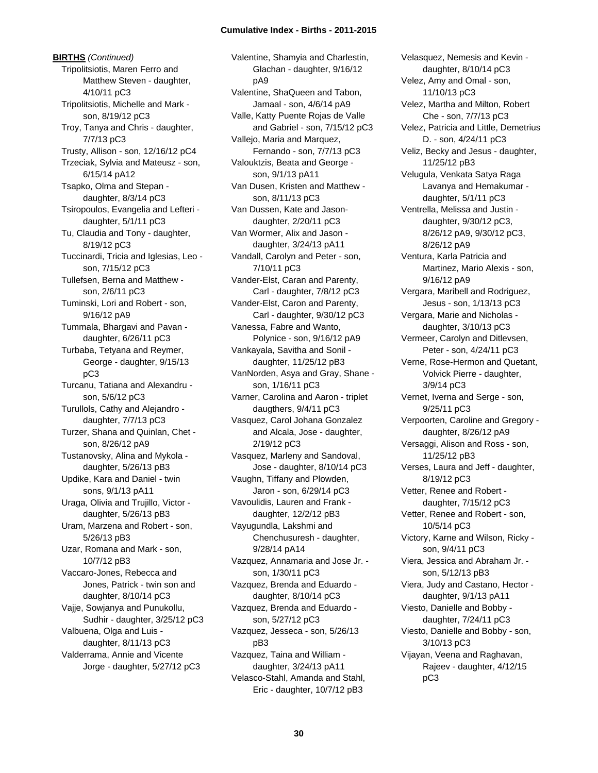**BIRTHS** *(Continued)* Tripolitsiotis, Maren Ferro and Matthew Steven - daughter, 4/10/11 pC3 Tripolitsiotis, Michelle and Mark son, 8/19/12 pC3 Troy, Tanya and Chris - daughter, 7/7/13 pC3 Trusty, Allison - son, 12/16/12 pC4 Trzeciak, Sylvia and Mateusz - son, 6/15/14 pA12 Tsapko, Olma and Stepan daughter, 8/3/14 pC3 Tsiropoulos, Evangelia and Lefteri daughter, 5/1/11 pC3 Tu, Claudia and Tony - daughter, 8/19/12 pC3 Tuccinardi, Tricia and Iglesias, Leo son, 7/15/12 pC3 Tullefsen, Berna and Matthew son, 2/6/11 pC3 Tuminski, Lori and Robert - son, 9/16/12 pA9 Tummala, Bhargavi and Pavan daughter, 6/26/11 pC3 Turbaba, Tetyana and Reymer, George - daughter, 9/15/13 pC3 Turcanu, Tatiana and Alexandru son, 5/6/12 pC3 Turullols, Cathy and Alejandro daughter, 7/7/13 pC3 Turzer, Shana and Quinlan, Chet son, 8/26/12 pA9 Tustanovsky, Alina and Mykola daughter, 5/26/13 pB3 Updike, Kara and Daniel - twin sons, 9/1/13 pA11 Uraga, Olivia and Trujillo, Victor daughter, 5/26/13 pB3 Uram, Marzena and Robert - son, 5/26/13 pB3 Uzar, Romana and Mark - son, 10/7/12 pB3 Vaccaro-Jones, Rebecca and Jones, Patrick - twin son and daughter, 8/10/14 pC3 Vajje, Sowjanya and Punukollu, Sudhir - daughter, 3/25/12 pC3 Valbuena, Olga and Luis daughter, 8/11/13 pC3 Valderrama, Annie and Vicente Jorge - daughter, 5/27/12 pC3

Valentine, Shamyia and Charlestin, Glachan - daughter, 9/16/12 pA9 Valentine, ShaQueen and Tabon, Jamaal - son, 4/6/14 pA9 Valle, Katty Puente Rojas de Valle and Gabriel - son, 7/15/12 pC3 Vallejo, Maria and Marquez, Fernando - son, 7/7/13 pC3 Valouktzis, Beata and George son, 9/1/13 pA11 Van Dusen, Kristen and Matthew son, 8/11/13 pC3 Van Dussen, Kate and Jasondaughter, 2/20/11 pC3 Van Wormer, Alix and Jason daughter, 3/24/13 pA11 Vandall, Carolyn and Peter - son, 7/10/11 pC3 Vander-Elst, Caran and Parenty, Carl - daughter, 7/8/12 pC3 Vander-Elst, Caron and Parenty, Carl - daughter, 9/30/12 pC3 Vanessa, Fabre and Wanto, Polynice - son, 9/16/12 pA9 Vankayala, Savitha and Sonil daughter, 11/25/12 pB3 VanNorden, Asya and Gray, Shane son, 1/16/11 pC3 Varner, Carolina and Aaron - triplet daugthers, 9/4/11 pC3 Vasquez, Carol Johana Gonzalez and Alcala, Jose - daughter, 2/19/12 pC3 Vasquez, Marleny and Sandoval, Jose - daughter, 8/10/14 pC3 Vaughn, Tiffany and Plowden, Jaron - son, 6/29/14 pC3 Vavoulidis, Lauren and Frank daughter, 12/2/12 pB3 Vayugundla, Lakshmi and Chenchusuresh - daughter, 9/28/14 pA14 Vazquez, Annamaria and Jose Jr. son, 1/30/11 pC3 Vazquez, Brenda and Eduardo daughter, 8/10/14 pC3 Vazquez, Brenda and Eduardo son, 5/27/12 pC3 Vazquez, Jesseca - son, 5/26/13 pB3 Vazquez, Taina and William daughter, 3/24/13 pA11 Velasco-Stahl, Amanda and Stahl, Eric - daughter, 10/7/12 pB3

Velasquez, Nemesis and Kevin daughter, 8/10/14 pC3 Velez, Amy and Omal - son, 11/10/13 pC3 Velez, Martha and Milton, Robert Che - son, 7/7/13 pC3 Velez, Patricia and Little, Demetrius D. - son, 4/24/11 pC3 Veliz, Becky and Jesus - daughter, 11/25/12 pB3 Velugula, Venkata Satya Raga Lavanya and Hemakumar daughter, 5/1/11 pC3 Ventrella, Melissa and Justin daughter, 9/30/12 pC3, 8/26/12 pA9, 9/30/12 pC3, 8/26/12 pA9 Ventura, Karla Patricia and Martinez, Mario Alexis - son, 9/16/12 pA9 Vergara, Maribell and Rodriguez, Jesus - son, 1/13/13 pC3 Vergara, Marie and Nicholas daughter, 3/10/13 pC3 Vermeer, Carolyn and Ditlevsen, Peter - son, 4/24/11 pC3 Verne, Rose-Hermon and Quetant, Volvick Pierre - daughter, 3/9/14 pC3 Vernet, Iverna and Serge - son, 9/25/11 pC3 Verpoorten, Caroline and Gregory daughter, 8/26/12 pA9 Versaggi, Alison and Ross - son, 11/25/12 pB3 Verses, Laura and Jeff - daughter, 8/19/12 pC3 Vetter, Renee and Robert daughter, 7/15/12 pC3 Vetter, Renee and Robert - son, 10/5/14 pC3 Victory, Karne and Wilson, Ricky son, 9/4/11 pC3 Viera, Jessica and Abraham Jr. son, 5/12/13 pB3 Viera, Judy and Castano, Hector daughter, 9/1/13 pA11 Viesto, Danielle and Bobby daughter, 7/24/11 pC3 Viesto, Danielle and Bobby - son, 3/10/13 pC3 Vijayan, Veena and Raghavan, Rajeev - daughter, 4/12/15 pC3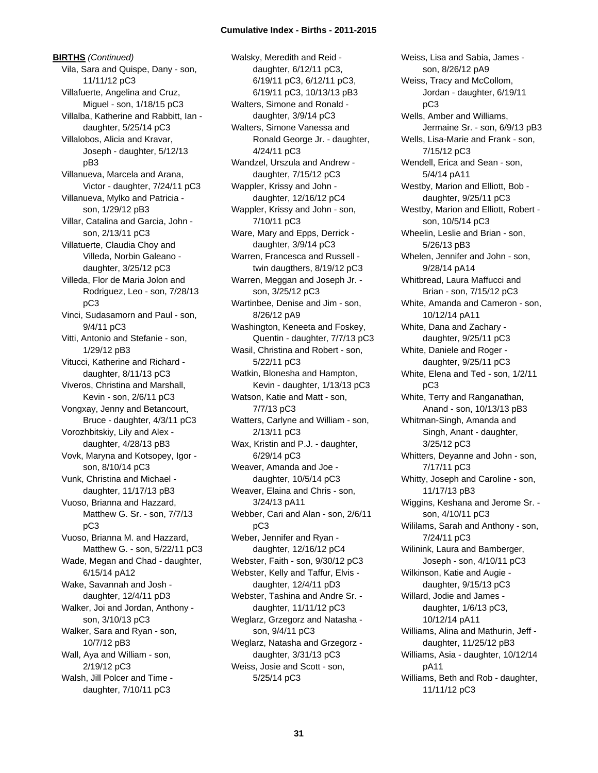**BIRTHS** *(Continued)* Vila, Sara and Quispe, Dany - son, 11/11/12 pC3 Villafuerte, Angelina and Cruz, Miguel - son, 1/18/15 pC3 Villalba, Katherine and Rabbitt, Ian daughter, 5/25/14 pC3 Villalobos, Alicia and Kravar, Joseph - daughter, 5/12/13 pB3 Villanueva, Marcela and Arana, Victor - daughter, 7/24/11 pC3 Villanueva, Mylko and Patricia son, 1/29/12 pB3 Villar, Catalina and Garcia, John son, 2/13/11 pC3 Villatuerte, Claudia Choy and Villeda, Norbin Galeano daughter, 3/25/12 pC3 Villeda, Flor de Maria Jolon and Rodriguez, Leo - son, 7/28/13 pC3 Vinci, Sudasamorn and Paul - son, 9/4/11 pC3 Vitti, Antonio and Stefanie - son, 1/29/12 pB3 Vitucci, Katherine and Richard daughter, 8/11/13 pC3 Viveros, Christina and Marshall, Kevin - son, 2/6/11 pC3 Vongxay, Jenny and Betancourt, Bruce - daughter, 4/3/11 pC3 Vorozhbitskiy, Lily and Alex daughter, 4/28/13 pB3 Vovk, Maryna and Kotsopey, Igor son, 8/10/14 pC3 Vunk, Christina and Michael daughter, 11/17/13 pB3 Vuoso, Brianna and Hazzard, Matthew G. Sr. - son, 7/7/13 pC3 Vuoso, Brianna M. and Hazzard, Matthew G. - son, 5/22/11 pC3 Wade, Megan and Chad - daughter, 6/15/14 pA12 Wake, Savannah and Josh daughter, 12/4/11 pD3 Walker, Joi and Jordan, Anthony son, 3/10/13 pC3 Walker, Sara and Ryan - son, 10/7/12 pB3 Wall, Aya and William - son, 2/19/12 pC3 Walsh, Jill Polcer and Time daughter, 7/10/11 pC3

Walsky, Meredith and Reid daughter, 6/12/11 pC3, 6/19/11 pC3, 6/12/11 pC3, 6/19/11 pC3, 10/13/13 pB3 Walters, Simone and Ronald daughter, 3/9/14 pC3 Walters, Simone Vanessa and Ronald George Jr. - daughter, 4/24/11 pC3 Wandzel, Urszula and Andrew daughter, 7/15/12 pC3 Wappler, Krissy and John daughter, 12/16/12 pC4 Wappler, Krissy and John - son, 7/10/11 pC3 Ware, Mary and Epps, Derrick daughter, 3/9/14 pC3 Warren, Francesca and Russell twin daugthers, 8/19/12 pC3 Warren, Meggan and Joseph Jr. son, 3/25/12 pC3 Wartinbee, Denise and Jim - son, 8/26/12 pA9 Washington, Keneeta and Foskey, Quentin - daughter, 7/7/13 pC3 Wasil, Christina and Robert - son, 5/22/11 pC3 Watkin, Blonesha and Hampton, Kevin - daughter, 1/13/13 pC3 Watson, Katie and Matt - son, 7/7/13 pC3 Watters, Carlyne and William - son, 2/13/11 pC3 Wax, Kristin and P.J. - daughter, 6/29/14 pC3 Weaver, Amanda and Joe daughter, 10/5/14 pC3 Weaver, Elaina and Chris - son, 3/24/13 pA11 Webber, Cari and Alan - son, 2/6/11 pC3 Weber, Jennifer and Ryan daughter, 12/16/12 pC4 Webster, Faith - son, 9/30/12 pC3 Webster, Kelly and Taffur, Elvis daughter, 12/4/11 pD3 Webster, Tashina and Andre Sr. daughter, 11/11/12 pC3 Weglarz, Grzegorz and Natasha son, 9/4/11 pC3 Weglarz, Natasha and Grzegorz daughter, 3/31/13 pC3 Weiss, Josie and Scott - son, 5/25/14 pC3

Weiss, Lisa and Sabia, James son, 8/26/12 pA9 Weiss, Tracy and McCollom, Jordan - daughter, 6/19/11 pC3 Wells, Amber and Williams, Jermaine Sr. - son, 6/9/13 pB3 Wells, Lisa-Marie and Frank - son, 7/15/12 pC3 Wendell, Erica and Sean - son, 5/4/14 pA11 Westby, Marion and Elliott, Bob daughter, 9/25/11 pC3 Westby, Marion and Elliott, Robert son, 10/5/14 pC3 Wheelin, Leslie and Brian - son, 5/26/13 pB3 Whelen, Jennifer and John - son, 9/28/14 pA14 Whitbread, Laura Maffucci and Brian - son, 7/15/12 pC3 White, Amanda and Cameron - son, 10/12/14 pA11 White, Dana and Zachary daughter, 9/25/11 pC3 White, Daniele and Roger daughter, 9/25/11 pC3 White, Elena and Ted - son, 1/2/11 pC3 White, Terry and Ranganathan, Anand - son, 10/13/13 pB3 Whitman-Singh, Amanda and Singh, Anant - daughter, 3/25/12 pC3 Whitters, Deyanne and John - son, 7/17/11 pC3 Whitty, Joseph and Caroline - son, 11/17/13 pB3 Wiggins, Keshana and Jerome Sr. son, 4/10/11 pC3 Wililams, Sarah and Anthony - son, 7/24/11 pC3 Wilinink, Laura and Bamberger, Joseph - son, 4/10/11 pC3 Wilkinson, Katie and Augie daughter, 9/15/13 pC3 Willard, Jodie and James daughter, 1/6/13 pC3, 10/12/14 pA11 Williams, Alina and Mathurin, Jeff daughter, 11/25/12 pB3 Williams, Asia - daughter, 10/12/14 pA11 Williams, Beth and Rob - daughter, 11/11/12 pC3